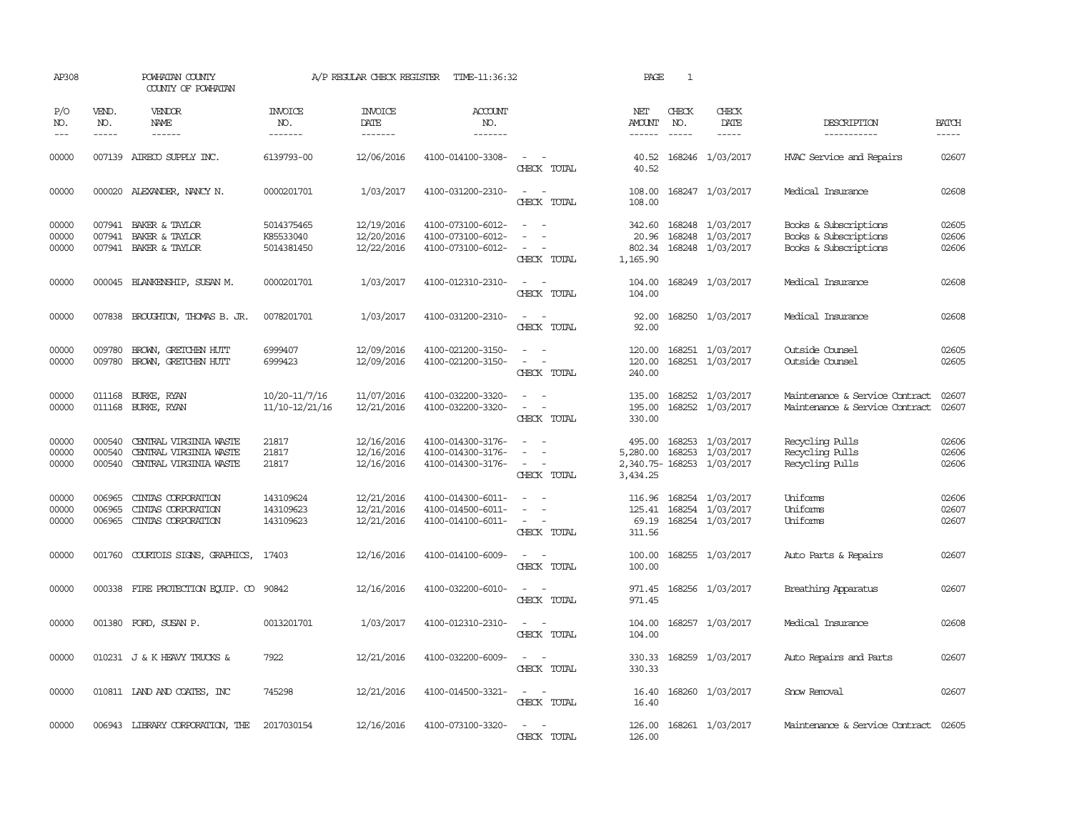| AP308                   |                             | POWHATAN COUNTY<br>COUNTY OF POWHATAN                                             |                                       | A/P REGULAR CHECK REGISTER             | TIME-11:36:32                                               |                                                   | PAGE                                  | $\mathbf{1}$                |                                                                   |                                                                         |                         |
|-------------------------|-----------------------------|-----------------------------------------------------------------------------------|---------------------------------------|----------------------------------------|-------------------------------------------------------------|---------------------------------------------------|---------------------------------------|-----------------------------|-------------------------------------------------------------------|-------------------------------------------------------------------------|-------------------------|
| P/O<br>NO.<br>$---$     | VEND.<br>NO.<br>$- - - - -$ | VENDOR<br>NAME                                                                    | <b>INVOICE</b><br>NO.<br>-------      | <b>INVOICE</b><br>DATE<br>-------      | <b>ACCOUNT</b><br>NO.<br>-------                            |                                                   | NET<br>AMOUNT<br>------               | CHECK<br>NO.<br>$- - - - -$ | CHECK<br>DATE                                                     | DESCRIPTION<br>-----------                                              | <b>BATCH</b><br>-----   |
| 00000                   |                             | 007139 AIRECO SUPPLY INC.                                                         | 6139793-00                            | 12/06/2016                             | 4100-014100-3308-                                           | $\overline{\phantom{a}}$<br>$\sim$<br>CHECK TOTAL | 40.52<br>40.52                        |                             | 168246 1/03/2017                                                  | HVAC Service and Repairs                                                | 02607                   |
| 00000                   |                             | 000020 ALEXANDER, NANCY N.                                                        | 0000201701                            | 1/03/2017                              | 4100-031200-2310-                                           | $\overline{\phantom{a}}$<br>$\sim$<br>CHECK TOTAL | 108.00<br>108.00                      |                             | 168247 1/03/2017                                                  | Medical Insurance                                                       | 02608                   |
| 00000<br>00000<br>00000 |                             | 007941 BAKER & TAYLOR<br>007941 BAKER & TAYLOR<br>007941 BAKER & TAYLOR           | 5014375465<br>K85533040<br>5014381450 | 12/19/2016<br>12/20/2016<br>12/22/2016 | 4100-073100-6012-<br>4100-073100-6012-<br>4100-073100-6012- | $\equiv$<br>$\sim$<br>$\equiv$<br>CHECK TOTAL     | 342.60<br>20.96<br>802.34<br>1,165.90 |                             | 168248 1/03/2017<br>168248 1/03/2017<br>168248 1/03/2017          | Books & Subscriptions<br>Books & Subscriptions<br>Books & Subscriptions | 02605<br>02606<br>02606 |
| 00000                   |                             | 000045 BLANKENSHIP, SUSAN M.                                                      | 0000201701                            | 1/03/2017                              | 4100-012310-2310-                                           | $\sim$<br>. —<br>CHECK TOTAL                      | 104.00<br>104.00                      |                             | 168249 1/03/2017                                                  | Medical Insurance                                                       | 02608                   |
| 00000                   |                             | 007838 BROUGHTON, THOMAS B. JR.                                                   | 0078201701                            | 1/03/2017                              | 4100-031200-2310-                                           | CHECK TOTAL                                       | 92.00<br>92.00                        |                             | 168250 1/03/2017                                                  | Medical Insurance                                                       | 02608                   |
| 00000<br>00000          | 009780                      | BROWN, GRETCHEN HUTT<br>009780 BROWN, GRETCHEN HUTT                               | 6999407<br>6999423                    | 12/09/2016<br>12/09/2016               | 4100-021200-3150-<br>4100-021200-3150-                      | $\sim$<br>$\equiv$<br>$\equiv$<br>CHECK TOTAL     | 120.00<br>120.00<br>240.00            |                             | 168251 1/03/2017<br>168251 1/03/2017                              | Outside Counsel<br>Outside Counsel                                      | 02605<br>02605          |
| 00000<br>00000          | 011168<br>011168            | BURKE, RYAN<br>BURKE, RYAN                                                        | 10/20-11/7/16<br>11/10-12/21/16       | 11/07/2016<br>12/21/2016               | 4100-032200-3320-<br>4100-032200-3320-                      | $\overline{\phantom{a}}$<br>$\sim$<br>CHECK TOTAL | 135.00<br>195.00<br>330.00            |                             | 168252 1/03/2017<br>168252 1/03/2017                              | Maintenance & Service Contract<br>Maintenance & Service Contract        | 02607<br>02607          |
| 00000<br>00000<br>00000 | 000540<br>000540            | 000540 CENTRAL VIRGINIA WASTE<br>CENTRAL VIRGINIA WASTE<br>CENTRAL VIRGINIA WASTE | 21817<br>21817<br>21817               | 12/16/2016<br>12/16/2016<br>12/16/2016 | 4100-014300-3176-<br>4100-014300-3176-<br>4100-014300-3176- | $\sim$<br>CHECK TOTAL                             | 495.00<br>5,280.00<br>3,434.25        |                             | 168253 1/03/2017<br>168253 1/03/2017<br>2,340.75-168253 1/03/2017 | Recycling Pulls<br>Recycling Pulls<br>Recycling Pulls                   | 02606<br>02606<br>02606 |
| 00000<br>00000<br>00000 | 006965<br>006965            | CINIAS CORPORATION<br>CINIAS CORPORATION<br>006965 CINIAS CORPORATION             | 143109624<br>143109623<br>143109623   | 12/21/2016<br>12/21/2016<br>12/21/2016 | 4100-014300-6011-<br>4100-014500-6011-<br>4100-014100-6011- | $\sim$<br>CHECK TOTAL                             | 116.96<br>69.19<br>311.56             |                             | 168254 1/03/2017<br>125.41 168254 1/03/2017<br>168254 1/03/2017   | Uniforms<br>Uniforms<br>Uniforms                                        | 02606<br>02607<br>02607 |
| 00000                   | 001760                      | COURTOIS SIGNS, GRAPHICS,                                                         | 17403                                 | 12/16/2016                             | 4100-014100-6009-                                           | CHECK TOTAL                                       | 100.00<br>100.00                      |                             | 168255 1/03/2017                                                  | Auto Parts & Repairs                                                    | 02607                   |
| 00000                   |                             | 000338 FIRE PROTECTION EQUIP. CO                                                  | 90842                                 | 12/16/2016                             | 4100-032200-6010-                                           | CHECK TOTAL                                       | 971.45<br>971.45                      |                             | 168256 1/03/2017                                                  | Breathing Apparatus                                                     | 02607                   |
| 00000                   |                             | 001380 FORD, SUSAN P.                                                             | 0013201701                            | 1/03/2017                              | 4100-012310-2310-                                           | CHECK TOTAL                                       | 104.00<br>104.00                      |                             | 168257 1/03/2017                                                  | Medical Insurance                                                       | 02608                   |
| 00000                   |                             | 010231 J & K HEAVY TRUCKS &                                                       | 7922                                  | 12/21/2016                             | 4100-032200-6009-                                           | CHECK TOTAL                                       | 330.33<br>330.33                      |                             | 168259 1/03/2017                                                  | Auto Repairs and Parts                                                  | 02607                   |
| 00000                   |                             | 010811 LAND AND COATES, INC                                                       | 745298                                | 12/21/2016                             | 4100-014500-3321-                                           | $\sim$<br>CHECK TOTAL                             | 16.40<br>16.40                        |                             | 168260 1/03/2017                                                  | Snow Removal                                                            | 02607                   |
| 00000                   |                             | 006943 LIBRARY CORPORATION, THE                                                   | 2017030154                            | 12/16/2016                             | 4100-073100-3320-                                           | CHECK TOTAL                                       | 126.00<br>126.00                      |                             | 168261 1/03/2017                                                  | Maintenance & Service Contract 02605                                    |                         |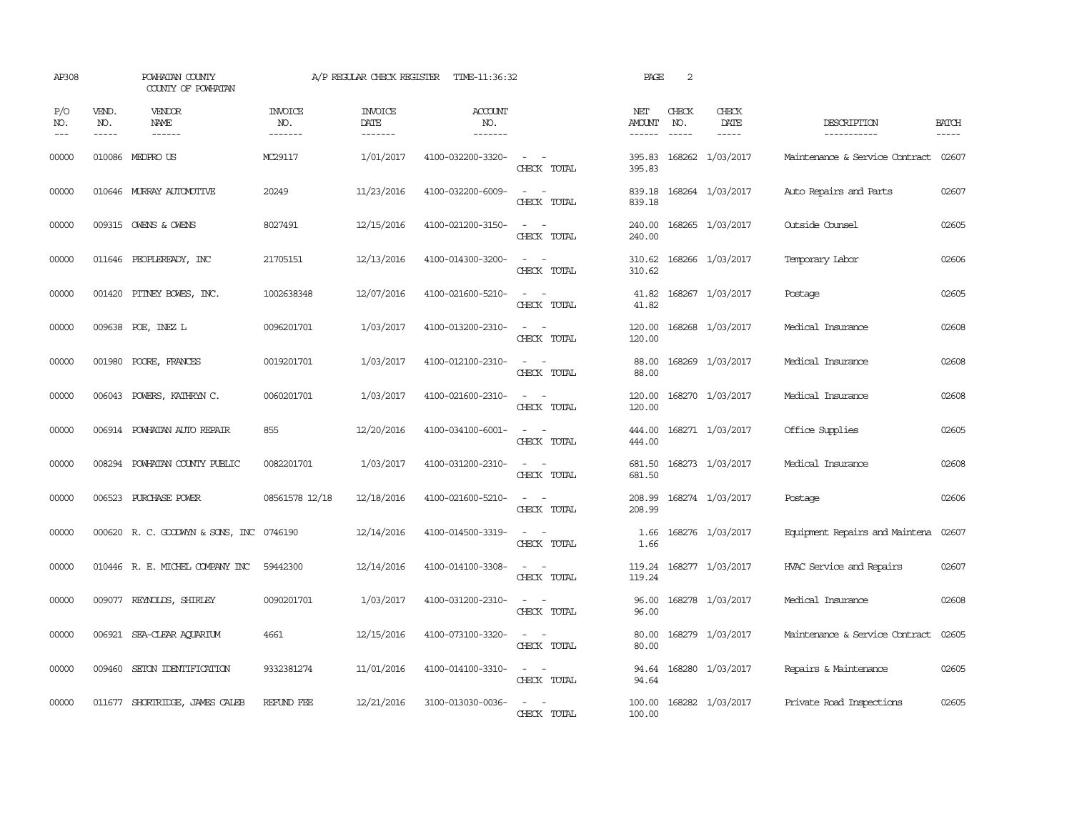| AP308               |                               | POWHATAN COUNTY<br>COUNTY OF POWHATAN |                                  | A/P REGULAR CHECK REGISTER        | TIME-11:36:32                    |                                                                                                                             | PAGE                    | 2            |                                |                                |                             |
|---------------------|-------------------------------|---------------------------------------|----------------------------------|-----------------------------------|----------------------------------|-----------------------------------------------------------------------------------------------------------------------------|-------------------------|--------------|--------------------------------|--------------------------------|-----------------------------|
| P/O<br>NO.<br>$---$ | VEND.<br>NO.<br>$\frac{1}{2}$ | VENDOR<br><b>NAME</b>                 | <b>INVOICE</b><br>NO.<br>------- | <b>INVOICE</b><br>DATE<br>------- | <b>ACCOUNT</b><br>NO.<br>------- |                                                                                                                             | NET<br>AMOUNT<br>------ | CHECK<br>NO. | CHECK<br>DATE<br>$\frac{1}{2}$ | DESCRIPTION<br>-----------     | <b>BATCH</b><br>$- - - - -$ |
| 00000               |                               | 010086 MEDPROUS                       | MC29117                          | 1/01/2017                         | 4100-032200-3320-                | $\overline{\phantom{a}}$<br>CHECK TOTAL                                                                                     | 395.83<br>395.83        |              | 168262 1/03/2017               | Maintenance & Service Contract | 02607                       |
| 00000               |                               | 010646 MURRAY AUTOMOTTVE              | 20249                            | 11/23/2016                        | 4100-032200-6009-                | $\sim$<br>$\sim$<br>CHECK TOTAL                                                                                             | 839.18<br>839.18        |              | 168264 1/03/2017               | Auto Repairs and Parts         | 02607                       |
| 00000               |                               | 009315 OWENS & OWENS                  | 8027491                          | 12/15/2016                        | 4100-021200-3150-                | $\sim$<br>$\sim$<br>CHECK TOTAL                                                                                             | 240.00<br>240.00        |              | 168265 1/03/2017               | Outside Counsel                | 02605                       |
| 00000               |                               | 011646 PEOPLEREADY, INC               | 21705151                         | 12/13/2016                        | 4100-014300-3200-                | $\sim$ 100 $\mu$<br>$\sim$<br>CHECK TOTAL                                                                                   | 310.62<br>310.62        |              | 168266 1/03/2017               | Temporary Labor                | 02606                       |
| 00000               |                               | 001420 PITNEY BOWES, INC.             | 1002638348                       | 12/07/2016                        | 4100-021600-5210-                | $\sim$ $\sim$<br>CHECK TOTAL                                                                                                | 41.82<br>41.82          |              | 168267 1/03/2017               | Postage                        | 02605                       |
| 00000               |                               | 009638 POE, INEZ L                    | 0096201701                       | 1/03/2017                         | 4100-013200-2310-                | $\equiv$<br>$\sim$<br>CHECK TOTAL                                                                                           | 120.00<br>120.00        |              | 168268 1/03/2017               | Medical Insurance              | 02608                       |
| 00000               |                               | 001980 POORE, FRANCES                 | 0019201701                       | 1/03/2017                         | 4100-012100-2310-                | $\sim$ $\sim$<br>CHECK TOTAL                                                                                                | 88.00<br>88.00          |              | 168269 1/03/2017               | Medical Insurance              | 02608                       |
| 00000               |                               | 006043 POWERS, KATHRYN C.             | 0060201701                       | 1/03/2017                         | 4100-021600-2310-                | $\sim$ $\sim$<br>CHECK TOTAL                                                                                                | 120.00<br>120.00        |              | 168270 1/03/2017               | Medical Insurance              | 02608                       |
| 00000               |                               | 006914 POWHATAN AUTO REPAIR           | 855                              | 12/20/2016                        | 4100-034100-6001-                | $\sim$ 100 $\sim$<br>CHECK TOTAL                                                                                            | 444.00<br>444.00        |              | 168271 1/03/2017               | Office Supplies                | 02605                       |
| 00000               |                               | 008294 POWHATAN COUNTY PUBLIC         | 0082201701                       | 1/03/2017                         | 4100-031200-2310-                | $\sim$ $\sim$<br>CHECK TOTAL                                                                                                | 681.50<br>681.50        |              | 168273 1/03/2017               | Medical Insurance              | 02608                       |
| 00000               |                               | 006523 PURCHASE POWER                 | 08561578 12/18                   | 12/18/2016                        | 4100-021600-5210-                | CHECK TOTAL                                                                                                                 | 208.99<br>208.99        |              | 168274 1/03/2017               | Postage                        | 02606                       |
| 00000               |                               | 000620 R.C. GOODWYN & SONS, INC       | 0746190                          | 12/14/2016                        | 4100-014500-3319-                | $\overline{\phantom{a}}$<br>$\sim$<br>CHECK TOTAL                                                                           | 1.66<br>1.66            |              | 168276 1/03/2017               | Equipment Repairs and Maintena | 02607                       |
| 00000               |                               | 010446 R. E. MICHEL COMPANY INC       | 59442300                         | 12/14/2016                        | 4100-014100-3308-                | $\sim$ 100 $\sim$<br>CHECK TOTAL                                                                                            | 119.24<br>119.24        |              | 168277 1/03/2017               | HVAC Service and Repairs       | 02607                       |
| 00000               |                               | 009077 REYNOLDS, SHIRLEY              | 0090201701                       | 1/03/2017                         | 4100-031200-2310-                | $\overline{\phantom{a}}$<br>$\sim$<br>CHECK TOTAL                                                                           | 96.00<br>96.00          |              | 168278 1/03/2017               | Medical Insurance              | 02608                       |
| 00000               |                               | 006921 SEA-CLEAR AQUARIUM             | 4661                             | 12/15/2016                        | 4100-073100-3320-                | $\frac{1}{2} \left( \frac{1}{2} \right) \left( \frac{1}{2} \right) = \frac{1}{2} \left( \frac{1}{2} \right)$<br>CHECK TOTAL | 80.00<br>80.00          |              | 168279 1/03/2017               | Maintenance & Service Contract | 02605                       |
| 00000               |                               | 009460 SETON IDENTIFICATION           | 9332381274                       | 11/01/2016                        | 4100-014100-3310-                | $\sim$ $\sim$<br>CHECK TOTAL                                                                                                | 94.64<br>94.64          |              | 168280 1/03/2017               | Repairs & Maintenance          | 02605                       |
| 00000               |                               | 011677 SHORIRIDGE, JAMES CALEB        | REFUND FEE                       | 12/21/2016                        | 3100-013030-0036-                | CHECK TOTAL                                                                                                                 | 100.00<br>100.00        |              | 168282 1/03/2017               | Private Road Inspections       | 02605                       |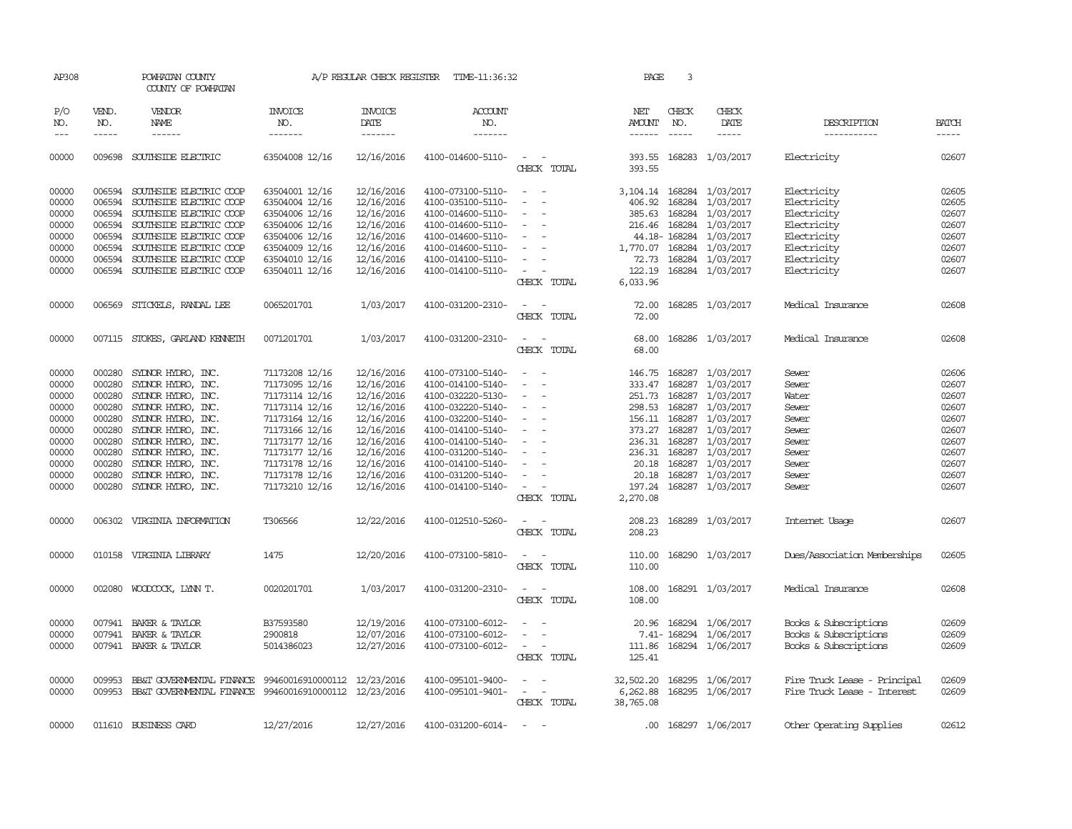| AP308      |              | POWHATAN COUNTY<br>COUNTY OF POWHATAN                  |                   | A/P REGULAR CHECK REGISTER | TIME-11:36:32     |                                                   | PAGE                  | 3             |                             |                              |              |
|------------|--------------|--------------------------------------------------------|-------------------|----------------------------|-------------------|---------------------------------------------------|-----------------------|---------------|-----------------------------|------------------------------|--------------|
| P/O<br>NO. | VEND.<br>NO. | VENDOR<br>NAME                                         | INVOICE<br>NO.    | <b>INVOICE</b><br>DATE     | ACCOUNT<br>NO.    |                                                   | NET<br>AMOUNT         | CHECK<br>NO.  | CHECK<br>DATE               | DESCRIPTION                  | <b>BATCH</b> |
| $---$      | $- - - - -$  | $- - - - - -$                                          | -------           | -------                    | -------           |                                                   | $- - - - - -$         | $- - - - -$   | $- - - - -$                 | -----------                  | $- - - - -$  |
| 00000      |              | 009698 SOUTHSIDE ELECTRIC                              | 63504008 12/16    | 12/16/2016                 | 4100-014600-5110- | $\sim$ $ \sim$<br>CHECK TOTAL                     | 393.55                |               | 393.55 168283 1/03/2017     | Electricity                  | 02607        |
| 00000      | 006594       | SOUTHSIDE ELECTRIC COOP                                | 63504001 12/16    | 12/16/2016                 | 4100-073100-5110- | $\sim$<br>$\sim$                                  |                       |               | 3, 104. 14 168284 1/03/2017 | Electricity                  | 02605        |
| 00000      | 006594       | SOUTHSIDE ELECTRIC COOP                                | 63504004 12/16    | 12/16/2016                 | 4100-035100-5110- | $\overline{\phantom{a}}$<br>$\sim$                | 406.92                | 168284        | 1/03/2017                   | Electricity                  | 02605        |
| 00000      | 006594       | SOUTHSIDE ELECTRIC COOP                                | 63504006 12/16    | 12/16/2016                 | 4100-014600-5110- | $\sim$                                            | 385.63                | 168284        | 1/03/2017                   | Electricity                  | 02607        |
| 00000      |              | 006594 SOUTHSIDE ELECTRIC COOP                         | 63504006 12/16    | 12/16/2016                 | 4100-014600-5110- |                                                   | 216.46                | 168284        | 1/03/2017                   | Electricity                  | 02607        |
| 00000      |              | 006594 SOUTHSIDE ELECTRIC COOP                         | 63504006 12/16    | 12/16/2016                 | 4100-014600-5110- | $\sim$<br>$\sim$                                  |                       | 44.18-168284  | 1/03/2017                   | Electricity                  | 02607        |
| 00000      |              | 006594 SOUTHSIDE ELECTRIC COOP                         | 63504009 12/16    | 12/16/2016                 | 4100-014600-5110- | $\sim$                                            | 1,770.07 168284       |               | 1/03/2017                   | Electricity                  | 02607        |
| 00000      |              | 006594 SOUTHSIDE ELECTRIC COOP                         | 63504010 12/16    | 12/16/2016                 | 4100-014100-5110- |                                                   |                       |               | 72.73 168284 1/03/2017      | Electricity                  | 02607        |
| 00000      |              | 006594 SOUTHSIDE ELECTRIC COOP                         | 63504011 12/16    | 12/16/2016                 | 4100-014100-5110- | $\sim$                                            | 122.19                |               | 168284 1/03/2017            | Electricity                  | 02607        |
|            |              |                                                        |                   |                            |                   | CHECK TOTAL                                       | 6,033.96              |               |                             |                              |              |
| 00000      |              | 006569 STICKELS, RANDAL LEE                            | 0065201701        | 1/03/2017                  | 4100-031200-2310- | $\sim$<br>$\sim$<br>CHECK TOTAL                   | 72.00<br>72.00        |               | 168285 1/03/2017            | Medical Insurance            | 02608        |
| 00000      |              | 007115 STOKES, GARLAND KENNETH                         | 0071201701        | 1/03/2017                  | 4100-031200-2310- | $\overline{\phantom{a}}$                          | 68.00                 |               | 168286 1/03/2017            | Medical Insurance            | 02608        |
|            |              |                                                        |                   |                            |                   | CHECK TOTAL                                       | 68.00                 |               |                             |                              |              |
| 00000      | 000280       | SYDNOR HYDRO, INC.                                     | 71173208 12/16    | 12/16/2016                 | 4100-073100-5140- | $\hspace{0.1mm}-\hspace{0.1mm}$                   | 146.75                |               | 168287 1/03/2017            | Sewer                        | 02606        |
| 00000      | 000280       | SYLNOR HYDRO, INC.                                     | 71173095 12/16    | 12/16/2016                 | 4100-014100-5140- |                                                   | 333.47                | 168287        | 1/03/2017                   | Sewer                        | 02607        |
| 00000      | 000280       | SYLNOR HYDRO, INC.                                     | 71173114 12/16    | 12/16/2016                 | 4100-032220-5130- | $\overline{\phantom{a}}$                          |                       |               | 251.73 168287 1/03/2017     | Water                        | 02607        |
| 00000      | 000280       | SYDNOR HYDRO, INC.                                     | 71173114 12/16    | 12/16/2016                 | 4100-032220-5140- | $\sim$                                            |                       | 298.53 168287 | 1/03/2017                   | Sewer                        | 02607        |
| 00000      | 000280       | SYDNOR HYDRO, INC.                                     | 71173164 12/16    | 12/16/2016                 | 4100-032200-5140- |                                                   | 156.11                | 168287        | 1/03/2017                   | Sewer                        | 02607        |
| 00000      | 000280       | SYDNOR HYDRO, INC.                                     | 71173166 12/16    | 12/16/2016                 | 4100-014100-5140- |                                                   |                       | 373.27 168287 | 1/03/2017                   | Sewer                        | 02607        |
| 00000      | 000280       | SYDNOR HYDRO, INC.                                     | 71173177 12/16    | 12/16/2016                 | 4100-014100-5140- | $\sim$<br>$\overline{\phantom{a}}$                |                       |               | 236.31 168287 1/03/2017     | Sewer                        | 02607        |
| 00000      | 000280       | SYDNOR HYDRO, INC.                                     | 71173177 12/16    | 12/16/2016                 | 4100-031200-5140- | $\overline{\phantom{a}}$                          | 236.31                | 168287        | 1/03/2017                   | Sewer                        | 02607        |
| 00000      | 000280       | SYLNOR HYDRO, INC.                                     | 71173178 12/16    | 12/16/2016                 | 4100-014100-5140- |                                                   |                       | 20.18 168287  | 1/03/2017                   | Sewer                        | 02607        |
| 00000      | 000280       | SYDNOR HYDRO, INC.                                     | 71173178 12/16    | 12/16/2016                 | 4100-031200-5140- | $\sim$                                            | 20.18                 |               | 168287 1/03/2017            | Sewer                        | 02607        |
| 00000      |              | 000280 SYDNOR HYDRO, INC.                              | 71173210 12/16    | 12/16/2016                 | 4100-014100-5140- | $\overline{\phantom{a}}$                          |                       |               | 197.24 168287 1/03/2017     | Sewer                        | 02607        |
|            |              |                                                        |                   |                            |                   | CHECK TOTAL                                       | 2,270.08              |               |                             |                              |              |
| 00000      |              | 006302 VIRGINIA INFORMATION                            | T306566           | 12/22/2016                 | 4100-012510-5260- | CHECK TOTAL                                       | 208.23<br>208.23      |               | 168289 1/03/2017            | Internet Usage               | 02607        |
| 00000      |              | 010158 VIRGINIA LIBRARY                                | 1475              | 12/20/2016                 | 4100-073100-5810- | CHECK TOTAL                                       | 110.00<br>110.00      |               | 168290 1/03/2017            | Dues/Association Memberships | 02605        |
| 00000      |              | 002080 WOODCOCK, LYNN T.                               | 0020201701        | 1/03/2017                  | 4100-031200-2310- | $\overline{\phantom{a}}$<br>CHECK TOTAL           | 108.00<br>108.00      |               | 168291 1/03/2017            | Medical Insurance            | 02608        |
| 00000      | 007941       | BAKER & TAYLOR                                         | B37593580         | 12/19/2016                 | 4100-073100-6012- |                                                   | 20.96                 |               | 168294 1/06/2017            | Books & Subscriptions        | 02609        |
| 00000      | 007941       | BAKER & TAYLOR                                         | 2900818           | 12/07/2016                 | 4100-073100-6012- |                                                   |                       |               | 7.41-168294 1/06/2017       | Books & Subscriptions        | 02609        |
| 00000      |              | 007941 BAKER & TAYLOR                                  | 5014386023        | 12/27/2016                 | 4100-073100-6012- | $\sim$<br>$\overline{\phantom{a}}$<br>CHECK TOTAL | 125.41                |               | 111.86 168294 1/06/2017     | Books & Subscriptions        | 02609        |
| 00000      | 009953       | BB&T GOVERNMENTAL FINANCE                              | 99460016910000112 | 12/23/2016                 | 4100-095101-9400- | $\overline{\phantom{a}}$<br>$\sim$                | 32,502.20             | 168295        | 1/06/2017                   | Fire Truck Lease - Principal | 02609        |
| 00000      | 009953       | BB&T GOVERNMENTAL FTNANCE 99460016910000112 12/23/2016 |                   |                            | 4100-095101-9401- | $\sim$<br>$\overline{\phantom{a}}$<br>CHECK TOTAL | 6,262.88<br>38,765.08 |               | 168295 1/06/2017            | Fire Truck Lease - Interest  | 02609        |
| 00000      |              | 011610 BUSINESS CARD                                   | 12/27/2016        | 12/27/2016                 | 4100-031200-6014- |                                                   |                       |               | .00 168297 1/06/2017        | Other Operating Supplies     | 02612        |
|            |              |                                                        |                   |                            |                   |                                                   |                       |               |                             |                              |              |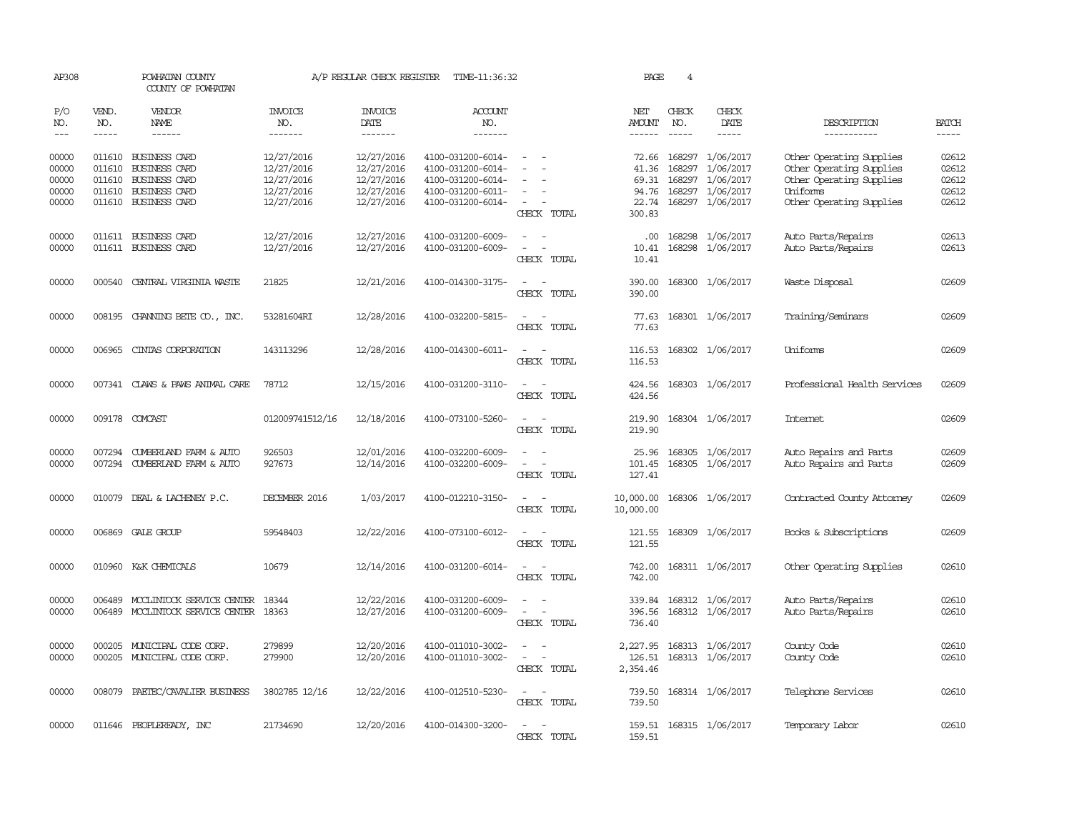| AP308                                     |                  | POWHATAN COUNTY<br>COUNTY OF POWHATAN                                                                                |                                                                    | A/P REGULAR CHECK REGISTER                                         | TIME-11:36:32                                                                                         |                                                     | PAGE                                                | 4            |                                                                                           |                                                                                                                          |                                           |
|-------------------------------------------|------------------|----------------------------------------------------------------------------------------------------------------------|--------------------------------------------------------------------|--------------------------------------------------------------------|-------------------------------------------------------------------------------------------------------|-----------------------------------------------------|-----------------------------------------------------|--------------|-------------------------------------------------------------------------------------------|--------------------------------------------------------------------------------------------------------------------------|-------------------------------------------|
| P/O<br>NO.                                | VEND.<br>NO.     | VENDOR<br><b>NAME</b>                                                                                                | INVOICE<br>NO.                                                     | <b>INVOICE</b><br>DATE                                             | <b>ACCOUNT</b><br>NO.                                                                                 |                                                     | NET<br><b>AMOUNT</b>                                | CHECK<br>NO. | CHECK<br>DATE                                                                             | DESCRIPTION                                                                                                              | <b>BATCH</b>                              |
| $---$                                     | $- - - - -$      | $- - - - - -$                                                                                                        | -------                                                            | -------                                                            | -------                                                                                               |                                                     | $- - - - - -$                                       | $- - - - -$  | -----                                                                                     | -----------                                                                                                              | $- - - - -$                               |
| 00000<br>00000<br>00000<br>00000<br>00000 | 011610<br>011610 | 011610 BUSINESS CARD<br><b>BUSINESS CARD</b><br>011610 BUSINESS CARD<br><b>BUSINESS CARD</b><br>011610 BUSINESS CARD | 12/27/2016<br>12/27/2016<br>12/27/2016<br>12/27/2016<br>12/27/2016 | 12/27/2016<br>12/27/2016<br>12/27/2016<br>12/27/2016<br>12/27/2016 | 4100-031200-6014-<br>4100-031200-6014-<br>4100-031200-6014-<br>4100-031200-6011-<br>4100-031200-6014- | $\equiv$<br>$\overline{\phantom{a}}$<br>CHECK TOTAL | 72.66<br>41.36<br>69.31<br>94.76<br>22.74<br>300.83 | 168297       | 168297 1/06/2017<br>1/06/2017<br>168297 1/06/2017<br>168297 1/06/2017<br>168297 1/06/2017 | Other Operating Supplies<br>Other Operating Supplies<br>Other Operating Supplies<br>Uniforms<br>Other Operating Supplies | 02612<br>02612<br>02612<br>02612<br>02612 |
| 00000                                     |                  | 011611 BUSINESS CARD                                                                                                 | 12/27/2016                                                         | 12/27/2016                                                         | 4100-031200-6009-                                                                                     |                                                     | $.00 \cdot$                                         |              | 168298 1/06/2017                                                                          | Auto Parts/Repairs                                                                                                       | 02613                                     |
| 00000                                     |                  | 011611 BUSINESS CARD                                                                                                 | 12/27/2016                                                         | 12/27/2016                                                         | 4100-031200-6009-                                                                                     | $\equiv$<br>CHECK TOTAL                             | 10.41<br>10.41                                      |              | 168298 1/06/2017                                                                          | Auto Parts/Repairs                                                                                                       | 02613                                     |
| 00000                                     |                  | 000540 CENTRAL VIRGINIA WASTE                                                                                        | 21825                                                              | 12/21/2016                                                         | 4100-014300-3175-                                                                                     | $\sim$<br>$\overline{\phantom{a}}$<br>CHECK TOTAL   | 390.00<br>390.00                                    |              | 168300 1/06/2017                                                                          | Waste Disposal                                                                                                           | 02609                                     |
| 00000                                     |                  | 008195 CHANNING BETE CO., INC.                                                                                       | 53281604RI                                                         | 12/28/2016                                                         | 4100-032200-5815-                                                                                     | $\sim$<br>CHECK TOTAL                               | 77.63<br>77.63                                      |              | 168301 1/06/2017                                                                          | Training/Seminars                                                                                                        | 02609                                     |
| 00000                                     |                  | 006965 CINTAS CORPORATION                                                                                            | 143113296                                                          | 12/28/2016                                                         | 4100-014300-6011-                                                                                     | $\sim$ $ \sim$<br>CHECK TOTAL                       | 116.53<br>116.53                                    |              | 168302 1/06/2017                                                                          | Uniforms                                                                                                                 | 02609                                     |
| 00000                                     |                  | 007341 CLAWS & PAWS ANIMAL CARE                                                                                      | 78712                                                              | 12/15/2016                                                         | 4100-031200-3110-                                                                                     | $\sim$<br>CHECK TOTAL                               | 424.56<br>424.56                                    |              | 168303 1/06/2017                                                                          | Professional Health Services                                                                                             | 02609                                     |
| 00000                                     |                  | 009178 COMCAST                                                                                                       | 012009741512/16                                                    | 12/18/2016                                                         | 4100-073100-5260-                                                                                     | $\equiv$<br>$\sim$<br>CHECK TOTAL                   | 219.90<br>219.90                                    |              | 168304 1/06/2017                                                                          | <b>Internet</b>                                                                                                          | 02609                                     |
| 00000<br>00000                            | 007294           | CUMBERLAND FARM & AUTO<br>007294 CUMBERLAND FARM & AUTO                                                              | 926503<br>927673                                                   | 12/01/2016<br>12/14/2016                                           | 4100-032200-6009-<br>4100-032200-6009-                                                                | CHECK TOTAL                                         | 25.96<br>101.45<br>127.41                           |              | 168305 1/06/2017<br>168305 1/06/2017                                                      | Auto Repairs and Parts<br>Auto Repairs and Parts                                                                         | 02609<br>02609                            |
| 00000                                     | 010079           | DEAL & LACHENEY P.C.                                                                                                 | DECEMBER 2016                                                      | 1/03/2017                                                          | 4100-012210-3150-                                                                                     | CHECK TOTAL                                         | 10,000.00<br>10,000.00                              |              | 168306 1/06/2017                                                                          | Contracted County Attomey                                                                                                | 02609                                     |
| 00000                                     |                  | 006869 GALE GROUP                                                                                                    | 59548403                                                           | 12/22/2016                                                         | 4100-073100-6012-                                                                                     | $\equiv$<br>$\sim$<br>CHECK TOTAL                   | 121.55<br>121.55                                    |              | 168309 1/06/2017                                                                          | Books & Subscriptions                                                                                                    | 02609                                     |
| 00000                                     |                  | 010960 K&K CHEMICALS                                                                                                 | 10679                                                              | 12/14/2016                                                         | 4100-031200-6014-                                                                                     | $\equiv$<br>$\sim$<br>CHECK TOTAL                   | 742.00<br>742.00                                    |              | 168311 1/06/2017                                                                          | Other Operating Supplies                                                                                                 | 02610                                     |
| 00000<br>00000                            | 006489           | MCCLINTOCK SERVICE CENTER<br>006489 MCCLINTOCK SERVICE CENTER 18363                                                  | 18344                                                              | 12/22/2016<br>12/27/2016                                           | 4100-031200-6009-<br>4100-031200-6009-                                                                | $\sim$<br>CHECK TOTAL                               | 339.84<br>396.56<br>736.40                          |              | 168312 1/06/2017<br>168312 1/06/2017                                                      | Auto Parts/Repairs<br>Auto Parts/Repairs                                                                                 | 02610<br>02610                            |
| 00000<br>00000                            | 000205           | MUNICIPAL CODE CORP.<br>000205 MUNICIPAL CODE CORP.                                                                  | 279899<br>279900                                                   | 12/20/2016<br>12/20/2016                                           | 4100-011010-3002-<br>4100-011010-3002-                                                                | $\sim$<br>$\overline{\phantom{0}}$<br>CHECK TOTAL   | 2,227.95<br>126.51<br>2,354.46                      |              | 168313 1/06/2017<br>168313 1/06/2017                                                      | County Code<br>County Code                                                                                               | 02610<br>02610                            |
| 00000                                     |                  | 008079 PAETEC/CAVALIER BUSINESS                                                                                      | 3802785 12/16                                                      | 12/22/2016                                                         | 4100-012510-5230-                                                                                     | CHECK TOTAL                                         | 739.50<br>739.50                                    |              | 168314 1/06/2017                                                                          | Telephone Services                                                                                                       | 02610                                     |
| 00000                                     |                  | 011646 PEOPLEREADY, INC                                                                                              | 21734690                                                           | 12/20/2016                                                         | 4100-014300-3200-                                                                                     | CHFICK<br><b>TOTAL</b>                              | 159.51                                              |              | 159.51 168315 1/06/2017                                                                   | Temporary Labor                                                                                                          | 02610                                     |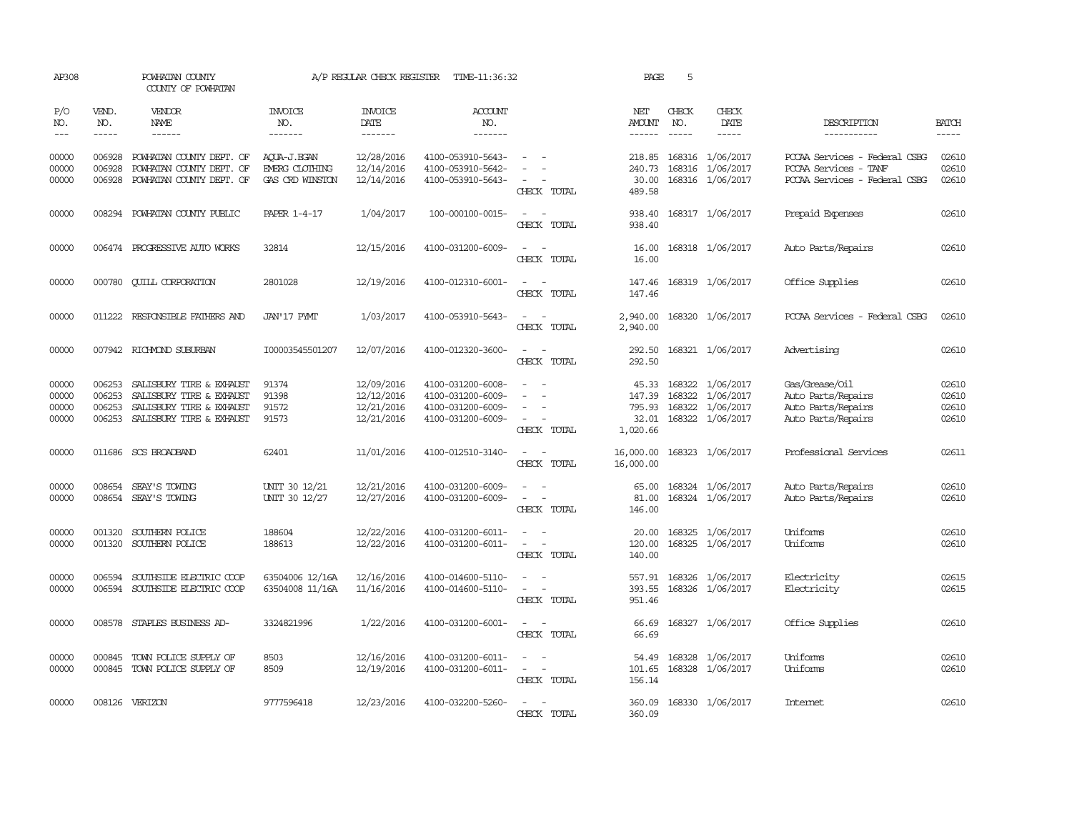| AP308                            |                                      | POWHATAN COUNTY<br>COUNTY OF POWHATAN                                                                        |                                                  | A/P REGULAR CHECK REGISTER                           | TIME-11:36:32                                                                    |                                                                                                                             | PAGE                                           | 5                           |                                                                              |                                                                                         |                                  |
|----------------------------------|--------------------------------------|--------------------------------------------------------------------------------------------------------------|--------------------------------------------------|------------------------------------------------------|----------------------------------------------------------------------------------|-----------------------------------------------------------------------------------------------------------------------------|------------------------------------------------|-----------------------------|------------------------------------------------------------------------------|-----------------------------------------------------------------------------------------|----------------------------------|
| P/O<br>NO.<br>$---$              | VEND.<br>NO.<br>$- - - - -$          | <b>VENDOR</b><br>NAME<br>$- - - - - -$                                                                       | <b>INVOICE</b><br>NO.<br>-------                 | <b>INVOICE</b><br>DATE<br>-------                    | <b>ACCOUNT</b><br>NO.<br>$- - - - - - -$                                         |                                                                                                                             | NET<br>AMOUNT<br>$- - - - - -$                 | CHECK<br>NO.<br>$- - - - -$ | CHECK<br>DATE<br>$- - - - -$                                                 | DESCRIPTION<br>-----------                                                              | <b>BATCH</b><br>-----            |
| 00000<br>00000<br>00000          | 006928<br>006928<br>006928           | POWHATAN COUNTY DEPT. OF<br>POWHATAN COUNTY DEPT. OF<br>POWHATAN COUNTY DEPT. OF                             | ACUA-J.EGAN<br>EMERG CLOTHING<br>GAS CRD WINSTON | 12/28/2016<br>12/14/2016<br>12/14/2016               | 4100-053910-5643-<br>4100-053910-5642-<br>4100-053910-5643-                      | $\overline{\phantom{a}}$<br>CHECK TOTAL                                                                                     | 218.85<br>240.73<br>30.00<br>489.58            |                             | 168316 1/06/2017<br>168316 1/06/2017<br>168316 1/06/2017                     | PCCAA Services - Federal CSBG<br>PCCAA Services - TANF<br>PCCAA Services - Federal CSBG | 02610<br>02610<br>02610          |
| 00000                            |                                      | 008294 POWHATAN COUNTY PUBLIC                                                                                | PAPER 1-4-17                                     | 1/04/2017                                            | 100-000100-0015-                                                                 | $ -$<br>CHECK TOTAL                                                                                                         | 938.40<br>938.40                               |                             | 168317 1/06/2017                                                             | Prepaid Expenses                                                                        | 02610                            |
| 00000                            |                                      | 006474 PROGRESSIVE AUTO WORKS                                                                                | 32814                                            | 12/15/2016                                           | 4100-031200-6009-                                                                | CHECK TOTAL                                                                                                                 | 16.00<br>16.00                                 |                             | 168318 1/06/2017                                                             | Auto Parts/Repairs                                                                      | 02610                            |
| 00000                            | 000780                               | <b>CUILL CORPORATION</b>                                                                                     | 2801028                                          | 12/19/2016                                           | 4100-012310-6001-                                                                | $\frac{1}{2} \left( \frac{1}{2} \right) \left( \frac{1}{2} \right) = \frac{1}{2} \left( \frac{1}{2} \right)$<br>CHECK TOTAL | 147.46<br>147.46                               |                             | 168319 1/06/2017                                                             | Office Supplies                                                                         | 02610                            |
| 00000                            |                                      | 011222 RESPONSIBLE FAIHERS AND                                                                               | JAN'17 PYMT                                      | 1/03/2017                                            | 4100-053910-5643-                                                                | $\frac{1}{2} \left( \frac{1}{2} \right) \left( \frac{1}{2} \right) = \frac{1}{2} \left( \frac{1}{2} \right)$<br>CHECK TOTAL | 2,940.00<br>2,940.00                           |                             | 168320 1/06/2017                                                             | PCCAA Services - Federal CSBG                                                           | 02610                            |
| 00000                            |                                      | 007942 RICHMOND SUBURBAN                                                                                     | I00003545501207                                  | 12/07/2016                                           | 4100-012320-3600-                                                                | $\sim$ $-$<br>$\sim$<br>CHECK TOTAL                                                                                         | 292.50<br>292.50                               |                             | 168321 1/06/2017                                                             | Advertising                                                                             | 02610                            |
| 00000<br>00000<br>00000<br>00000 | 006253<br>006253<br>006253<br>006253 | SALISBURY TIRE & EXHAUST<br>SALISBURY TIRE & EXHAUST<br>SALISBURY TIRE & EXHAUST<br>SALISBURY TIRE & EXHAUST | 91374<br>91398<br>91572<br>91573                 | 12/09/2016<br>12/12/2016<br>12/21/2016<br>12/21/2016 | 4100-031200-6008-<br>4100-031200-6009-<br>4100-031200-6009-<br>4100-031200-6009- | $\equiv$<br>$\overline{\phantom{a}}$<br>CHECK TOTAL                                                                         | 45.33<br>147.39<br>795.93<br>32.01<br>1,020.66 |                             | 168322 1/06/2017<br>168322 1/06/2017<br>168322 1/06/2017<br>168322 1/06/2017 | Gas/Grease/Oil<br>Auto Parts/Repairs<br>Auto Parts/Repairs<br>Auto Parts/Repairs        | 02610<br>02610<br>02610<br>02610 |
| 00000                            |                                      | 011686 SCS BROADBAND                                                                                         | 62401                                            | 11/01/2016                                           | 4100-012510-3140-                                                                | $\frac{1}{2} \left( \frac{1}{2} \right) \left( \frac{1}{2} \right) = \frac{1}{2} \left( \frac{1}{2} \right)$<br>CHECK TOTAL | 16,000.00<br>16,000.00                         |                             | 168323 1/06/2017                                                             | Professional Services                                                                   | 02611                            |
| 00000<br>00000                   | 008654                               | SEAY'S TOWING<br>008654 SEAY'S TOWING                                                                        | UNIT 30 12/21<br>UNIT 30 12/27                   | 12/21/2016<br>12/27/2016                             | 4100-031200-6009-<br>4100-031200-6009-                                           | $\overline{\phantom{a}}$<br>$\sim$<br>$\omega_{\rm{max}}$ and $\omega_{\rm{max}}$<br>CHECK TOTAL                            | 65.00<br>81.00<br>146.00                       |                             | 168324 1/06/2017<br>168324 1/06/2017                                         | Auto Parts/Repairs<br>Auto Parts/Repairs                                                | 02610<br>02610                   |
| 00000<br>00000                   | 001320<br>001320                     | SOUTHERN POLICE<br>SOUTHERN POLICE                                                                           | 188604<br>188613                                 | 12/22/2016<br>12/22/2016                             | 4100-031200-6011-<br>4100-031200-6011-                                           | CHECK TOTAL                                                                                                                 | 20.00<br>120.00<br>140.00                      |                             | 168325 1/06/2017<br>168325 1/06/2017                                         | Uniforms<br>Uniforms                                                                    | 02610<br>02610                   |
| 00000<br>00000                   | 006594                               | SOUTHSIDE ELECTRIC COOP<br>006594 SOUTHSIDE ELECTRIC COOP                                                    | 63504006 12/16A<br>63504008 11/16A               | 12/16/2016<br>11/16/2016                             | 4100-014600-5110-<br>4100-014600-5110-                                           | $\sim$<br>$\omega_{\rm{max}}$ and $\omega_{\rm{max}}$<br>CHECK TOTAL                                                        | 557.91<br>393.55<br>951.46                     |                             | 168326 1/06/2017<br>168326 1/06/2017                                         | Electricity<br>Electricity                                                              | 02615<br>02615                   |
| 00000                            |                                      | 008578 STAPLES BUSINESS AD-                                                                                  | 3324821996                                       | 1/22/2016                                            | 4100-031200-6001-                                                                | $\sim$ $ \sim$<br>CHECK TOTAL                                                                                               | 66.69<br>66.69                                 |                             | 168327 1/06/2017                                                             | Office Supplies                                                                         | 02610                            |
| 00000<br>00000                   |                                      | 000845 TOWN POLICE SUPPLY OF<br>000845 TOWN POLICE SUPPLY OF                                                 | 8503<br>8509                                     | 12/16/2016<br>12/19/2016                             | 4100-031200-6011-<br>4100-031200-6011-                                           | $\sim$<br>$\overline{\phantom{a}}$<br>CHECK TOTAL                                                                           | 54.49<br>101.65<br>156.14                      |                             | 168328 1/06/2017<br>168328 1/06/2017                                         | Uniforms<br>Uniforms                                                                    | 02610<br>02610                   |
| 00000                            |                                      | 008126 VERIZON                                                                                               | 9777596418                                       | 12/23/2016                                           | 4100-032200-5260-                                                                | $\frac{1}{2} \left( \frac{1}{2} \right) \left( \frac{1}{2} \right) = \frac{1}{2} \left( \frac{1}{2} \right)$<br>CHECK TOTAL | 360.09                                         |                             | 360.09 168330 1/06/2017                                                      | Intemet                                                                                 | 02610                            |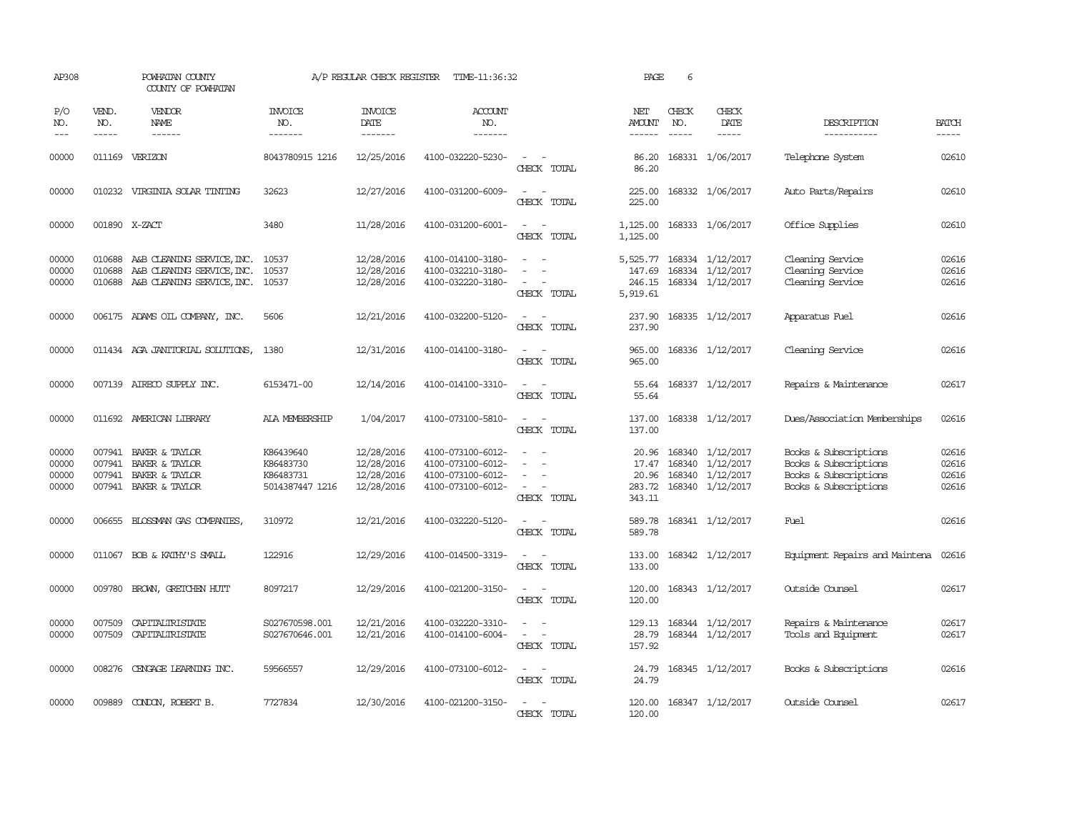| AP308                                                                                                                                                                                                                                                                                                                                                                                                      |                             | POWHATAN COUNTY<br>COUNTY OF POWHATAN                                                         |                                                        | A/P REGULAR CHECK REGISTER                           | TIME-11:36:32                                                                    |                                                                 | PAGE                                        | 6                             |                                                                              |                                                                                                  |                                  |
|------------------------------------------------------------------------------------------------------------------------------------------------------------------------------------------------------------------------------------------------------------------------------------------------------------------------------------------------------------------------------------------------------------|-----------------------------|-----------------------------------------------------------------------------------------------|--------------------------------------------------------|------------------------------------------------------|----------------------------------------------------------------------------------|-----------------------------------------------------------------|---------------------------------------------|-------------------------------|------------------------------------------------------------------------------|--------------------------------------------------------------------------------------------------|----------------------------------|
| P/O<br>NO.<br>$\frac{1}{2} \frac{1}{2} \frac{1}{2} \frac{1}{2} \frac{1}{2} \frac{1}{2} \frac{1}{2} \frac{1}{2} \frac{1}{2} \frac{1}{2} \frac{1}{2} \frac{1}{2} \frac{1}{2} \frac{1}{2} \frac{1}{2} \frac{1}{2} \frac{1}{2} \frac{1}{2} \frac{1}{2} \frac{1}{2} \frac{1}{2} \frac{1}{2} \frac{1}{2} \frac{1}{2} \frac{1}{2} \frac{1}{2} \frac{1}{2} \frac{1}{2} \frac{1}{2} \frac{1}{2} \frac{1}{2} \frac{$ | VEND.<br>NO.<br>$- - - - -$ | VENDOR<br><b>NAME</b><br>$- - - - - -$                                                        | INVOICE<br>NO.<br>-------                              | <b>INVOICE</b><br>DATE<br>--------                   | <b>ACCOUNT</b><br>NO.<br>-------                                                 |                                                                 | NET<br>AMOUNT<br>------                     | CHECK<br>NO.<br>$\frac{1}{2}$ | CHECK<br>DATE<br>$- - - - -$                                                 | DESCRIPTION<br>-----------                                                                       | <b>BATCH</b><br>$- - - - -$      |
| 00000                                                                                                                                                                                                                                                                                                                                                                                                      | 011169                      | VERIZON                                                                                       | 8043780915 1216                                        | 12/25/2016                                           | 4100-032220-5230-                                                                | CHECK TOTAL                                                     | 86.20<br>86.20                              |                               | 168331 1/06/2017                                                             | Telephone System                                                                                 | 02610                            |
| 00000                                                                                                                                                                                                                                                                                                                                                                                                      | 010232                      | VIRGINIA SOLAR TINTING                                                                        | 32623                                                  | 12/27/2016                                           | 4100-031200-6009-                                                                | $\sim$<br>CHECK TOTAL                                           | 225.00<br>225.00                            |                               | 168332 1/06/2017                                                             | Auto Parts/Repairs                                                                               | 02610                            |
| 00000                                                                                                                                                                                                                                                                                                                                                                                                      | 001890 X-ZACT               |                                                                                               | 3480                                                   | 11/28/2016                                           | 4100-031200-6001-                                                                | $\equiv$<br>CHECK TOTAL                                         | 1,125.00<br>1,125.00                        |                               | 168333 1/06/2017                                                             | Office Supplies                                                                                  | 02610                            |
| 00000<br>00000<br>00000                                                                                                                                                                                                                                                                                                                                                                                    | 010688<br>010688            | A&B CLEANING SERVICE, INC.<br>A&B CLEANING SERVICE, INC.<br>010688 A&B CLEANING SERVICE, INC. | 10537<br>10537<br>10537                                | 12/28/2016<br>12/28/2016<br>12/28/2016               | 4100-014100-3180-<br>4100-032210-3180-<br>4100-032220-3180-                      | $\overline{\phantom{a}}$<br>$\sim$<br>CHECK TOTAL               | 5,525.77<br>147.69<br>246.15<br>5,919.61    |                               | 168334 1/12/2017<br>168334 1/12/2017<br>168334 1/12/2017                     | Cleaning Service<br>Cleaning Service<br>Cleaning Service                                         | 02616<br>02616<br>02616          |
| 00000                                                                                                                                                                                                                                                                                                                                                                                                      |                             | 006175 ADAMS OIL COMPANY, INC.                                                                | 5606                                                   | 12/21/2016                                           | 4100-032200-5120-                                                                | $\sim$ $-$<br>$\overline{a}$<br>CHECK TOTAL                     | 237.90<br>237.90                            |                               | 168335 1/12/2017                                                             | Apparatus Fuel                                                                                   | 02616                            |
| 00000                                                                                                                                                                                                                                                                                                                                                                                                      |                             | 011434 AGA JANITORIAL SOLUTIONS,                                                              | 1380                                                   | 12/31/2016                                           | 4100-014100-3180-                                                                | $\sim$<br>CHECK TOTAL                                           | 965.00<br>965.00                            |                               | 168336 1/12/2017                                                             | Cleaning Service                                                                                 | 02616                            |
| 00000                                                                                                                                                                                                                                                                                                                                                                                                      |                             | 007139 AIRECO SUPPLY INC.                                                                     | 6153471-00                                             | 12/14/2016                                           | 4100-014100-3310-                                                                | CHECK TOTAL                                                     | 55.64<br>55.64                              |                               | 168337 1/12/2017                                                             | Repairs & Maintenance                                                                            | 02617                            |
| 00000                                                                                                                                                                                                                                                                                                                                                                                                      |                             | 011692 AMERICAN LIBRARY                                                                       | ALA MEMBERSHIP                                         | 1/04/2017                                            | 4100-073100-5810-                                                                | $\equiv$<br>CHECK TOTAL                                         | 137.00<br>137.00                            |                               | 168338 1/12/2017                                                             | Dues/Association Memberships                                                                     | 02616                            |
| 00000<br>00000<br>00000<br>00000                                                                                                                                                                                                                                                                                                                                                                           | 007941<br>007941<br>007941  | BAKER & TAYLOR<br>BAKER & TAYLOR<br>BAKER & TAYLOR<br>007941 BAKER & TAYLOR                   | K86439640<br>K86483730<br>K86483731<br>5014387447 1216 | 12/28/2016<br>12/28/2016<br>12/28/2016<br>12/28/2016 | 4100-073100-6012-<br>4100-073100-6012-<br>4100-073100-6012-<br>4100-073100-6012- | $\equiv$<br>$\equiv$<br>$\overline{\phantom{a}}$<br>CHECK TOTAL | 20.96<br>17.47<br>20.96<br>283.72<br>343.11 |                               | 168340 1/12/2017<br>168340 1/12/2017<br>168340 1/12/2017<br>168340 1/12/2017 | Books & Subscriptions<br>Books & Subscriptions<br>Books & Subscriptions<br>Books & Subscriptions | 02616<br>02616<br>02616<br>02616 |
| 00000                                                                                                                                                                                                                                                                                                                                                                                                      |                             | 006655 BLOSSMAN GAS COMPANIES                                                                 | 310972                                                 | 12/21/2016                                           | 4100-032220-5120-                                                                | $\sim$<br>CHECK TOTAL                                           | 589.78<br>589.78                            |                               | 168341 1/12/2017                                                             | Fuel                                                                                             | 02616                            |
| 00000                                                                                                                                                                                                                                                                                                                                                                                                      |                             | 011067 BOB & KATHY'S SMALL                                                                    | 122916                                                 | 12/29/2016                                           | 4100-014500-3319-                                                                | $\sim$ 100 $\mu$<br>CHECK TOTAL                                 | 133.00<br>133.00                            |                               | 168342 1/12/2017                                                             | Equipment Repairs and Maintena                                                                   | 02616                            |
| 00000                                                                                                                                                                                                                                                                                                                                                                                                      | 009780                      | BROWN, GRETCHEN HUTT                                                                          | 8097217                                                | 12/29/2016                                           | 4100-021200-3150-                                                                | $\omega_{\rm{max}}$ and $\omega_{\rm{max}}$<br>CHECK TOTAL      | 120.00<br>120.00                            |                               | 168343 1/12/2017                                                             | Outside Counsel                                                                                  | 02617                            |
| 00000<br>00000                                                                                                                                                                                                                                                                                                                                                                                             | 007509<br>007509            | CAPITALIRISTATE<br>CAPITALIRISTATE                                                            | S027670598.001<br>S027670646.001                       | 12/21/2016<br>12/21/2016                             | 4100-032220-3310-<br>4100-014100-6004-                                           | $\equiv$<br>CHECK TOTAL                                         | 129.13<br>28.79<br>157.92                   |                               | 168344 1/12/2017<br>168344 1/12/2017                                         | Repairs & Maintenance<br>Tools and Equipment                                                     | 02617<br>02617                   |
| 00000                                                                                                                                                                                                                                                                                                                                                                                                      |                             | 008276 CENGAGE LEARNING INC.                                                                  | 59566557                                               | 12/29/2016                                           | 4100-073100-6012-                                                                | $ -$<br>CHECK TOTAL                                             | 24.79<br>24.79                              |                               | 168345 1/12/2017                                                             | Books & Subscriptions                                                                            | 02616                            |
| 00000                                                                                                                                                                                                                                                                                                                                                                                                      |                             | 009889 CONDON, ROBERT B.                                                                      | 7727834                                                | 12/30/2016                                           | 4100-021200-3150-                                                                | $\overline{\phantom{a}}$<br>CHECK TOTAL                         | 120.00<br>120.00                            |                               | 168347 1/12/2017                                                             | Outside Counsel                                                                                  | 02617                            |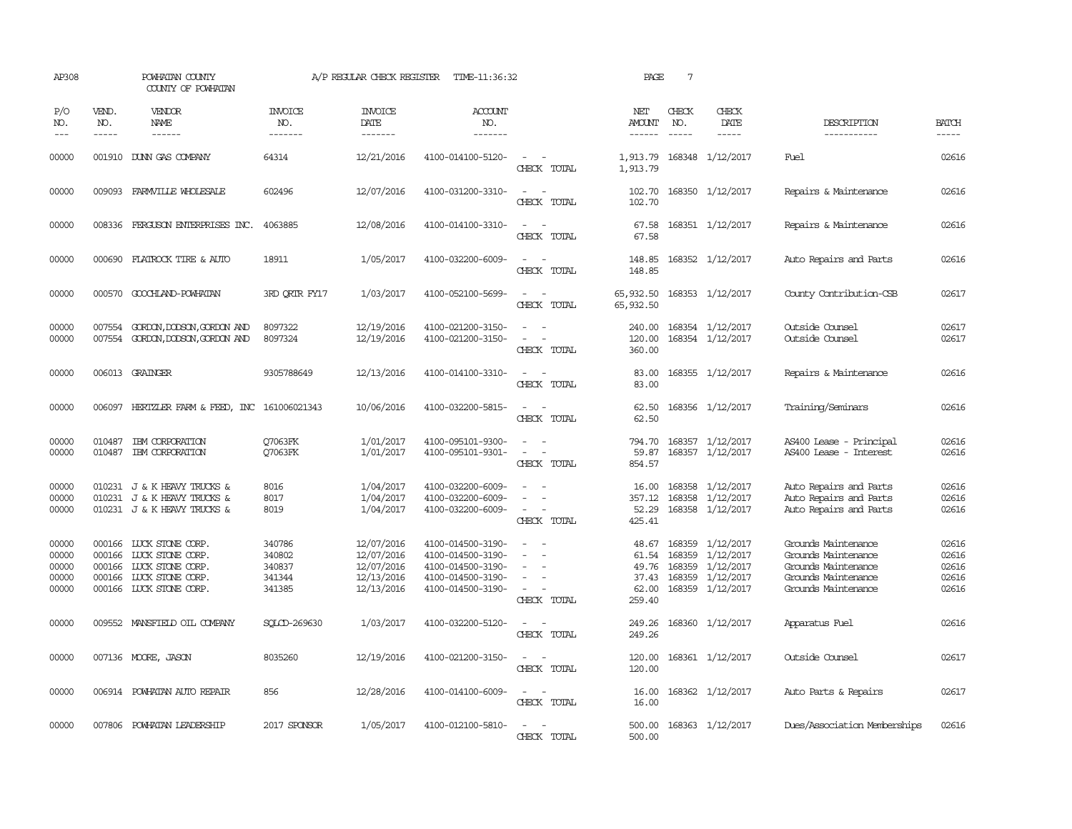| AP308                                     |                               | POWHATAN COUNTY<br>COUNTY OF POWHATAN                                                                                        |                                                | A/P REGULAR CHECK REGISTER                                         | TIME-11:36:32                                                                                         |                                                                                                                             | PAGE                                                | $7\phantom{.0}$               |                                                                                                  |                                                                                                                 |                                           |
|-------------------------------------------|-------------------------------|------------------------------------------------------------------------------------------------------------------------------|------------------------------------------------|--------------------------------------------------------------------|-------------------------------------------------------------------------------------------------------|-----------------------------------------------------------------------------------------------------------------------------|-----------------------------------------------------|-------------------------------|--------------------------------------------------------------------------------------------------|-----------------------------------------------------------------------------------------------------------------|-------------------------------------------|
| P/O<br>NO.<br>$- - -$                     | VEND.<br>NO.<br>$\frac{1}{2}$ | VENDOR<br>NAME<br>$- - - - - -$                                                                                              | <b>INVOICE</b><br>NO.<br>-------               | <b>INVOICE</b><br>DATE<br>--------                                 | <b>ACCOUNT</b><br>NO.<br>-------                                                                      |                                                                                                                             | NET<br>AMOUNT<br>------                             | CHECK<br>NO.<br>$\frac{1}{2}$ | CHECK<br>DATE<br>$- - - - -$                                                                     | DESCRIPTION<br>-----------                                                                                      | <b>BATCH</b><br>$- - - - -$               |
| 00000                                     |                               | 001910 DUNN GAS COMPANY                                                                                                      | 64314                                          | 12/21/2016                                                         | 4100-014100-5120-                                                                                     | $\sim$ 100 $\mu$<br>CHECK TOTAL                                                                                             | 1,913.79<br>1,913.79                                |                               | 168348 1/12/2017                                                                                 | Fuel                                                                                                            | 02616                                     |
| 00000                                     |                               | 009093 FARMVILLE WHOLESALE                                                                                                   | 602496                                         | 12/07/2016                                                         | 4100-031200-3310-                                                                                     | $\sim$<br>$\overline{\phantom{a}}$<br>CHECK TOTAL                                                                           | 102.70<br>102.70                                    |                               | 168350 1/12/2017                                                                                 | Repairs & Maintenance                                                                                           | 02616                                     |
| 00000                                     |                               | 008336 FERGUSON ENTERPRISES INC.                                                                                             | 4063885                                        | 12/08/2016                                                         | 4100-014100-3310-                                                                                     | $ -$<br>CHECK TOTAL                                                                                                         | 67.58<br>67.58                                      |                               | 168351 1/12/2017                                                                                 | Repairs & Maintenance                                                                                           | 02616                                     |
| 00000                                     |                               | 000690 FLATROCK TIRE & AUTO                                                                                                  | 18911                                          | 1/05/2017                                                          | 4100-032200-6009-                                                                                     | $\sim$<br>$\sim$<br>CHECK TOTAL                                                                                             | 148.85<br>148.85                                    |                               | 168352 1/12/2017                                                                                 | Auto Repairs and Parts                                                                                          | 02616                                     |
| 00000                                     | 000570                        | GOOCHLAND-POWHATAN                                                                                                           | 3RD ORIR FY17                                  | 1/03/2017                                                          | 4100-052100-5699-                                                                                     | $\overline{\phantom{a}}$<br>CHECK TOTAL                                                                                     | 65,932.50<br>65,932.50                              |                               | 168353 1/12/2017                                                                                 | County Contribution-CSB                                                                                         | 02617                                     |
| 00000<br>00000                            | 007554<br>007554              | GORDON, DODSON, GORDON AND<br>GORDON, DODSON, GORDON AND                                                                     | 8097322<br>8097324                             | 12/19/2016<br>12/19/2016                                           | 4100-021200-3150-<br>4100-021200-3150-                                                                | $\equiv$<br>$\equiv$<br>CHECK TOTAL                                                                                         | 240.00<br>120.00<br>360.00                          |                               | 168354 1/12/2017<br>168354 1/12/2017                                                             | Outside Counsel<br>Outside Counsel                                                                              | 02617<br>02617                            |
| 00000                                     |                               | 006013 GRAINGER                                                                                                              | 9305788649                                     | 12/13/2016                                                         | 4100-014100-3310-                                                                                     | $\equiv$<br>CHECK TOTAL                                                                                                     | 83.00<br>83.00                                      |                               | 168355 1/12/2017                                                                                 | Repairs & Maintenance                                                                                           | 02616                                     |
| 00000                                     |                               | 006097 HERTZLER FARM & FEED, INC 161006021343                                                                                |                                                | 10/06/2016                                                         | 4100-032200-5815-                                                                                     | $\sim$ 100 $\mu$<br>CHECK TOTAL                                                                                             | 62.50<br>62.50                                      |                               | 168356 1/12/2017                                                                                 | Training/Seminars                                                                                               | 02616                                     |
| 00000<br>00000                            | 010487                        | IBM CORPORATION<br>010487 IBM CORPORATION                                                                                    | 07063FK<br>07063FK                             | 1/01/2017<br>1/01/2017                                             | 4100-095101-9300-<br>4100-095101-9301-                                                                | $\sim$<br>$\sim$<br>$\overline{\phantom{a}}$<br>CHECK TOTAL                                                                 | 794.70<br>59.87<br>854.57                           |                               | 168357 1/12/2017<br>168357 1/12/2017                                                             | AS400 Lease - Principal<br>AS400 Lease - Interest                                                               | 02616<br>02616                            |
| 00000<br>00000<br>00000                   |                               | 010231 J & K HEAVY TRUCKS &<br>010231 J & K HEAVY TRUCKS &<br>010231 J & K HEAVY TRUCKS &                                    | 8016<br>8017<br>8019                           | 1/04/2017<br>1/04/2017<br>1/04/2017                                | 4100-032200-6009-<br>4100-032200-6009-<br>4100-032200-6009-                                           | $\equiv$<br>$\sim$<br>CHECK TOTAL                                                                                           | 16.00<br>357.12<br>52.29<br>425.41                  |                               | 168358 1/12/2017<br>168358 1/12/2017<br>168358 1/12/2017                                         | Auto Repairs and Parts<br>Auto Repairs and Parts<br>Auto Repairs and Parts                                      | 02616<br>02616<br>02616                   |
| 00000<br>00000<br>00000<br>00000<br>00000 | 000166                        | 000166 LUCK STONE CORP.<br>000166 LUCK STONE CORP.<br>LUCK STONE CORP.<br>000166 LUCK STONE CORP.<br>000166 LUCK STONE CORP. | 340786<br>340802<br>340837<br>341344<br>341385 | 12/07/2016<br>12/07/2016<br>12/07/2016<br>12/13/2016<br>12/13/2016 | 4100-014500-3190-<br>4100-014500-3190-<br>4100-014500-3190-<br>4100-014500-3190-<br>4100-014500-3190- | $\equiv$<br>$\equiv$<br>$\equiv$<br>CHECK TOTAL                                                                             | 48.67<br>61.54<br>49.76<br>37.43<br>62.00<br>259.40 |                               | 168359 1/12/2017<br>168359 1/12/2017<br>168359 1/12/2017<br>168359 1/12/2017<br>168359 1/12/2017 | Grounds Maintenance<br>Grounds Maintenance<br>Grounds Maintenance<br>Grounds Maintenance<br>Grounds Maintenance | 02616<br>02616<br>02616<br>02616<br>02616 |
| 00000                                     |                               | 009552 MANSFIELD OIL COMPANY                                                                                                 | SOLCD-269630                                   | 1/03/2017                                                          | 4100-032200-5120-                                                                                     | $\sim$<br>CHECK TOTAL                                                                                                       | 249.26<br>249.26                                    |                               | 168360 1/12/2017                                                                                 | Apparatus Fuel                                                                                                  | 02616                                     |
| 00000                                     |                               | 007136 MOORE, JASON                                                                                                          | 8035260                                        | 12/19/2016                                                         | 4100-021200-3150-                                                                                     | CHECK TOTAL                                                                                                                 | 120.00<br>120.00                                    |                               | 168361 1/12/2017                                                                                 | Outside Counsel                                                                                                 | 02617                                     |
| 00000                                     |                               | 006914 POWHATAN AUTO REPAIR                                                                                                  | 856                                            | 12/28/2016                                                         | 4100-014100-6009-                                                                                     | $\frac{1}{2} \left( \frac{1}{2} \right) \left( \frac{1}{2} \right) = \frac{1}{2} \left( \frac{1}{2} \right)$<br>CHECK TOTAL | 16.00<br>16.00                                      |                               | 168362 1/12/2017                                                                                 | Auto Parts & Repairs                                                                                            | 02617                                     |
| 00000                                     |                               | 007806 POWHATAN LEADERSHIP                                                                                                   | 2017 SPONSOR                                   | 1/05/2017                                                          | 4100-012100-5810-                                                                                     | $\sim$<br>CHECK TOTAL                                                                                                       | 500.00<br>500.00                                    |                               | 168363 1/12/2017                                                                                 | Dues/Association Memberships                                                                                    | 02616                                     |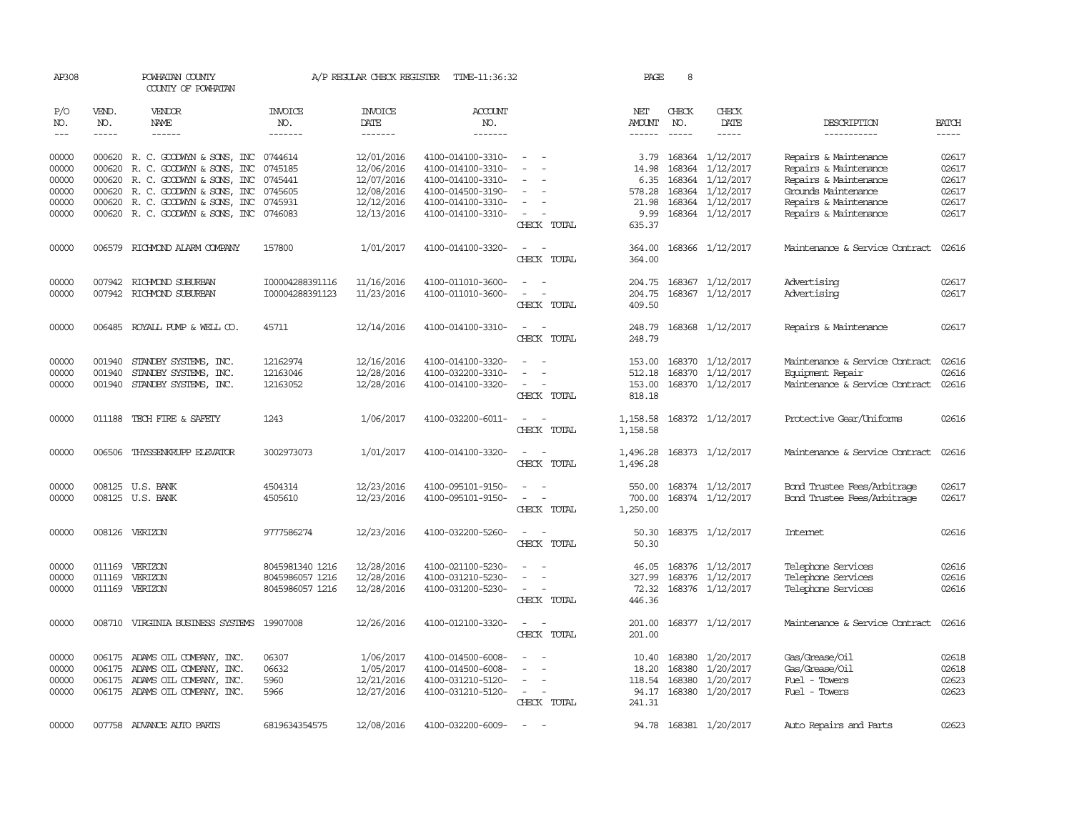| AP308      |              | POWHATAN COUNTY<br>COUNTY OF POWHATAN     |                       | A/P REGULAR CHECK REGISTER | TIME-11:36:32         |                                                          | PAGE                 | 8             |                         |                                |              |
|------------|--------------|-------------------------------------------|-----------------------|----------------------------|-----------------------|----------------------------------------------------------|----------------------|---------------|-------------------------|--------------------------------|--------------|
| P/O<br>NO. | VEND.<br>NO. | VENDOR<br>NAME                            | <b>INVOICE</b><br>NO. | <b>INVOICE</b><br>DATE     | <b>ACCOUNT</b><br>NO. |                                                          | NET<br>AMOUNT        | CHECK<br>NO.  | CHECK<br>DATE           | DESCRIPTION                    | <b>BATCH</b> |
| $---$      | $- - - - -$  | $- - - - - -$                             | -------               | $- - - - - - -$            | -------               |                                                          | $- - - - - -$        | $- - - - -$   | $- - - - -$             | -----------                    | $- - - - -$  |
| 00000      |              | 000620 R.C. GOODWYN & SONS, INC 0744614   |                       | 12/01/2016                 | 4100-014100-3310-     | $\overline{a}$                                           |                      |               | 3.79 168364 1/12/2017   | Repairs & Maintenance          | 02617        |
| 00000      | 000620       | R. C. GOODWYN & SONS, INC                 | 0745185               | 12/06/2016                 | 4100-014100-3310-     | $\sim$                                                   | 14.98                | 168364        | 1/12/2017               | Repairs & Maintenance          | 02617        |
| 00000      | 000620       | R. C. GOODWYN & SONS, INC                 | 0745441               | 12/07/2016                 | 4100-014100-3310-     |                                                          | 6.35                 | 168364        | 1/12/2017               | Repairs & Maintenance          | 02617        |
| 00000      |              | 000620 R.C. GOODWYN & SONS, INC           | 0745605               | 12/08/2016                 | 4100-014500-3190-     | $\overline{\phantom{a}}$                                 | 578.28               |               | 168364 1/12/2017        | Grounds Maintenance            | 02617        |
| 00000      |              | 000620 R. C. GOODWYN & SONS, INC          | 0745931               | 12/12/2016                 | 4100-014100-3310-     |                                                          | 21.98                |               | 168364 1/12/2017        | Repairs & Maintenance          | 02617        |
| 00000      |              | 000620 R. C. GOODWYN & SONS, INC 0746083  |                       | 12/13/2016                 | 4100-014100-3310-     | $\sim$<br>$\overline{\phantom{a}}$<br>CHECK TOTAL        | 9.99<br>635.37       |               | 168364 1/12/2017        | Repairs & Maintenance          | 02617        |
| 00000      | 006579       | RICHMOND ALARM COMPANY                    | 157800                | 1/01/2017                  | 4100-014100-3320-     | $\overline{\phantom{a}}$<br>$\sim$<br>CHECK TOTAL        | 364.00<br>364.00     |               | 168366 1/12/2017        | Maintenance & Service Contract | 02616        |
| 00000      |              | 007942 RICHMOND SUBURBAN                  | I00004288391116       | 11/16/2016                 | 4100-011010-3600-     | $\sim$<br>$\sim$                                         | 204.75               |               | 168367 1/12/2017        | Advertising                    | 02617        |
| 00000      |              | 007942 RICHMOND SUBURBAN                  | I00004288391123       | 11/23/2016                 | 4100-011010-3600-     | $\sim$<br>$\sim$                                         | 204.75               |               | 168367 1/12/2017        | Advertising                    | 02617        |
|            |              |                                           |                       |                            |                       | CHECK TOTAL                                              | 409.50               |               |                         |                                |              |
| 00000      |              | 006485 ROYALL PUMP & WELL CO.             | 45711                 | 12/14/2016                 | 4100-014100-3310-     | $\hspace{0.1mm}-\hspace{0.1mm}$<br>$\sim$<br>CHECK TOTAL | 248.79<br>248.79     |               | 168368 1/12/2017        | Repairs & Maintenance          | 02617        |
| 00000      | 001940       | STANDBY SYSTEMS, INC.                     | 12162974              | 12/16/2016                 | 4100-014100-3320-     | $\overline{a}$<br>$\overline{\phantom{a}}$               | 153.00               | 168370        | 1/12/2017               | Maintenance & Service Contract | 02616        |
| 00000      | 001940       | STANDBY SYSTEMS, INC.                     | 12163046              | 12/28/2016                 | 4100-032200-3310-     |                                                          | 512.18               |               | 168370 1/12/2017        | Equipment Repair               | 02616        |
| 00000      |              | 001940 STANDBY SYSTEMS, INC.              | 12163052              | 12/28/2016                 | 4100-014100-3320-     | $\sim$<br>CHECK TOTAL                                    | 153.00<br>818.18     |               | 168370 1/12/2017        | Maintenance & Service Contract | 02616        |
| 00000      |              | 011188 TECH FIRE & SAFETY                 | 1243                  | 1/06/2017                  | 4100-032200-6011-     | $\sim$ $ \sim$<br>CHECK TOTAL                            | 1,158.58<br>1,158.58 |               | 168372 1/12/2017        | Protective Gear/Uniforms       | 02616        |
| 00000      |              | 006506 THYSSENKRUPP ELEVATOR              | 3002973073            | 1/01/2017                  | 4100-014100-3320-     | $\sim$<br>$\sim$                                         | 1,496.28             |               | 168373 1/12/2017        | Maintenance & Service Contract | 02616        |
|            |              |                                           |                       |                            |                       | CHECK TOTAL                                              | 1,496.28             |               |                         |                                |              |
| 00000      |              | 008125 U.S. BANK                          | 4504314               | 12/23/2016                 | 4100-095101-9150-     |                                                          |                      |               | 550.00 168374 1/12/2017 | Bond Trustee Fees/Arbitrage    | 02617        |
| 00000      |              | 008125 U.S. BANK                          | 4505610               | 12/23/2016                 | 4100-095101-9150-     | $\overline{\phantom{a}}$                                 | 700.00               |               | 168374 1/12/2017        | Bond Trustee Fees/Arbitrage    | 02617        |
|            |              |                                           |                       |                            |                       | CHECK TOTAL                                              | 1,250.00             |               |                         |                                |              |
| 00000      |              | 008126 VERIZON                            | 9777586274            | 12/23/2016                 | 4100-032200-5260-     | $\sim$<br>CHECK TOTAL                                    | 50.30<br>50.30       |               | 168375 1/12/2017        | <b>Internet</b>                | 02616        |
| 00000      | 011169       | VERIZON                                   | 8045981340 1216       | 12/28/2016                 | 4100-021100-5230-     |                                                          | 46.05                |               | 168376 1/12/2017        | Telephone Services             | 02616        |
| 00000      | 011169       | VERIZON                                   | 8045986057 1216       | 12/28/2016                 | 4100-031210-5230-     | $\overline{\phantom{a}}$                                 | 327.99               |               | 168376 1/12/2017        | Telephone Services             | 02616        |
| 00000      |              | 011169 VERIZON                            | 8045986057 1216       | 12/28/2016                 | 4100-031200-5230-     | $\sim$<br>CHECK TOTAL                                    | 72.32<br>446.36      |               | 168376 1/12/2017        | Telephone Services             | 02616        |
| 00000      |              | 008710 VIRGINIA BUSINESS SYSTEMS 19907008 |                       | 12/26/2016                 | 4100-012100-3320-     | $\sim$ $\sim$<br>CHECK TOTAL                             | 201.00<br>201.00     |               | 168377 1/12/2017        | Maintenance & Service Contract | 02616        |
| 00000      |              | 006175 ADAMS OIL COMPANY, INC.            | 06307                 | 1/06/2017                  | 4100-014500-6008-     | $\overline{\phantom{a}}$                                 | 10.40                | 168380        | 1/20/2017               | Gas/Grease/Oil                 | 02618        |
| 00000      |              | 006175 ADAMS OIL COMPANY, INC.            | 06632                 | 1/05/2017                  | 4100-014500-6008-     | $\sim$                                                   | 18.20                | 168380        | 1/20/2017               | Gas/Grease/Oil                 | 02618        |
| 00000      |              | 006175 ADAMS OIL COMPANY, INC.            | 5960                  | 12/21/2016                 | 4100-031210-5120-     | $\sim$                                                   |                      | 118.54 168380 | 1/20/2017               | Fuel - Towers                  | 02623        |
| 00000      |              | 006175 ADAMS OIL COMPANY, INC.            | 5966                  | 12/27/2016                 | 4100-031210-5120-     | $\sim$<br>$\overline{\phantom{a}}$<br>CHECK TOTAL        | 94.17<br>241.31      |               | 168380 1/20/2017        | Fuel - Towers                  | 02623        |
| 00000      |              | 007758 ADVANCE AUTO PARTS                 | 6819634354575         | 12/08/2016                 | 4100-032200-6009-     |                                                          |                      |               | 94.78 168381 1/20/2017  | Auto Repairs and Parts         | 02623        |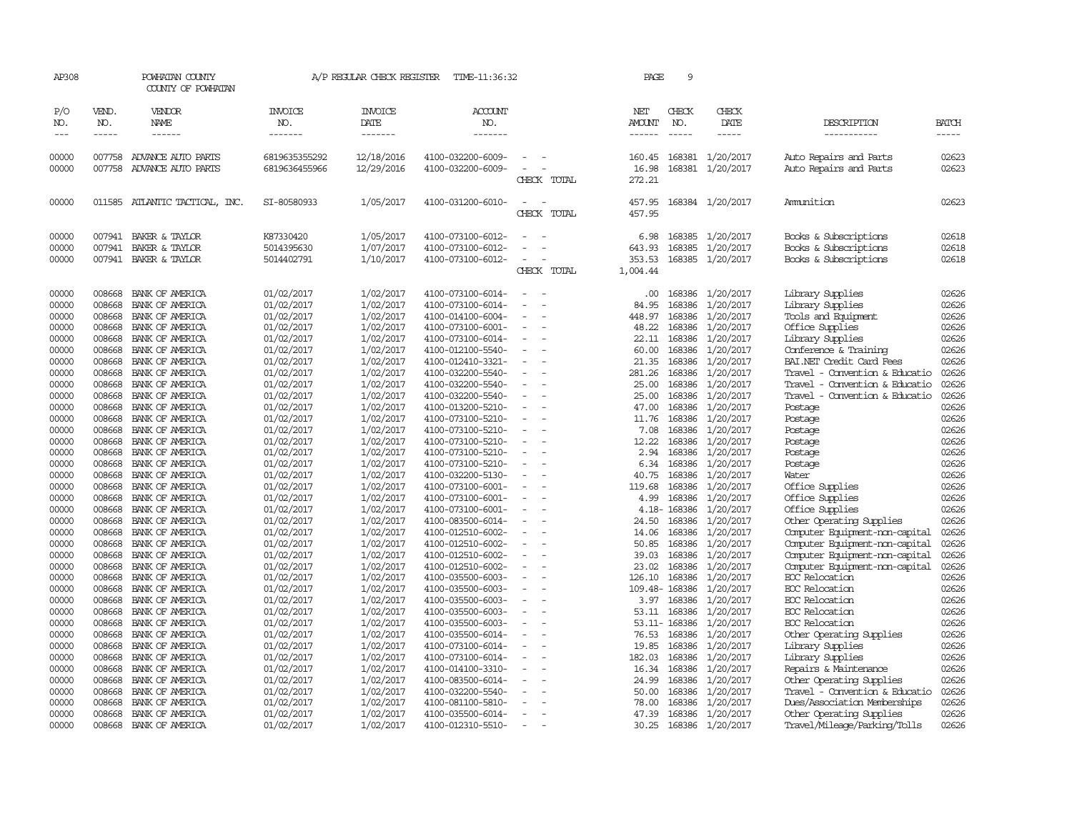| AP308                       |                       | POWHATAN COUNTY<br>COUNTY OF POWHATAN                     |                                       | A/P REGULAR CHECK REGISTER          | TIME-11:36:32                                               |                                                      | PAGE                                 | 9                           |                                            |                                                                         |                         |
|-----------------------------|-----------------------|-----------------------------------------------------------|---------------------------------------|-------------------------------------|-------------------------------------------------------------|------------------------------------------------------|--------------------------------------|-----------------------------|--------------------------------------------|-------------------------------------------------------------------------|-------------------------|
| P/O<br>NO.<br>$\frac{1}{2}$ | VEND.<br>NO.<br>----- | VENDOR<br>NAME<br>------                                  | <b>INVOICE</b><br>NO.<br>-------      | <b>INVOICE</b><br>DATE<br>-------   | <b>ACCOUNT</b><br>NO.<br>-------                            |                                                      | NET<br>AMOUNT<br>------              | CHECK<br>NO.<br>$- - - - -$ | CHECK<br>DATE<br>$- - - - -$               | DESCRIPTION<br>-----------                                              | <b>BATCH</b><br>-----   |
| 00000<br>00000              | 007758<br>007758      | ADVANCE AUTO PARTS<br>ADVANCE AUTO PARTS                  | 6819635355292<br>6819636455966        | 12/18/2016<br>12/29/2016            | 4100-032200-6009-<br>4100-032200-6009-                      | $\overline{\phantom{a}}$<br>CHECK TOTAL              | 160.45<br>16.98<br>272.21            |                             | 168381 1/20/2017<br>168381 1/20/2017       | Auto Repairs and Parts<br>Auto Repairs and Parts                        | 02623<br>02623          |
| 00000                       |                       | 011585 ATLANTIC TACTICAL, INC.                            | SI-80580933                           | 1/05/2017                           | 4100-031200-6010-                                           |                                                      | 457.95                               |                             | 168384 1/20/2017                           | Amunition                                                               | 02623                   |
|                             |                       |                                                           |                                       |                                     |                                                             | CHECK TOTAL                                          | 457.95                               |                             |                                            |                                                                         |                         |
| 00000<br>00000<br>00000     | 007941<br>007941      | BAKER & TAYLOR<br>BAKER & TAYLOR<br>007941 BAKER & TAYLOR | K87330420<br>5014395630<br>5014402791 | 1/05/2017<br>1/07/2017<br>1/10/2017 | 4100-073100-6012-<br>4100-073100-6012-<br>4100-073100-6012- | $\overline{\phantom{a}}$<br>CHECK TOTAL              | 6.98<br>643.93<br>353.53<br>1,004.44 | 168385<br>168385            | 1/20/2017<br>1/20/2017<br>168385 1/20/2017 | Books & Subscriptions<br>Books & Subscriptions<br>Books & Subscriptions | 02618<br>02618<br>02618 |
| 00000                       | 008668                | BANK OF AMERICA                                           | 01/02/2017                            | 1/02/2017                           | 4100-073100-6014-                                           |                                                      | .00.                                 |                             | 168386 1/20/2017                           | Library Supplies                                                        | 02626                   |
| 00000                       | 008668                | BANK OF AMERICA                                           | 01/02/2017                            | 1/02/2017                           | 4100-073100-6014-                                           | $\overline{\phantom{a}}$                             | 84.95                                | 168386                      | 1/20/2017                                  | Library Supplies                                                        | 02626                   |
| 00000<br>00000              | 008668<br>008668      | BANK OF AMERICA<br>BANK OF AMERICA                        | 01/02/2017<br>01/02/2017              | 1/02/2017<br>1/02/2017              | 4100-014100-6004-<br>4100-073100-6001-                      |                                                      | 448.97<br>48.22                      | 168386                      | 1/20/2017<br>168386 1/20/2017              | Tools and Equipment<br>Office Supplies                                  | 02626<br>02626          |
| 00000                       | 008668                | BANK OF AMERICA                                           | 01/02/2017                            | 1/02/2017                           | 4100-073100-6014-                                           |                                                      | 22.11                                |                             | 168386 1/20/2017                           | Library Supplies                                                        | 02626                   |
| 00000                       | 008668                | BANK OF AMERICA                                           | 01/02/2017                            | 1/02/2017                           | 4100-012100-5540-                                           | $\equiv$                                             | 60.00                                | 168386                      | 1/20/2017                                  | Conference & Training                                                   | 02626                   |
| 00000                       | 008668                | BANK OF AMERICA                                           | 01/02/2017                            | 1/02/2017                           | 4100-012410-3321-                                           | $\equiv$                                             | 21.35                                | 168386                      | 1/20/2017                                  | BAI.NET Credit Card Fees                                                | 02626                   |
| 00000                       | 008668                | BANK OF AMERICA                                           | 01/02/2017                            | 1/02/2017                           | 4100-032200-5540-                                           |                                                      | 281.26                               | 168386                      | 1/20/2017                                  | Travel - Convention & Educatio                                          | 02626                   |
| 00000                       | 008668                | BANK OF AMERICA                                           | 01/02/2017                            | 1/02/2017                           | 4100-032200-5540-                                           | $\equiv$                                             | 25.00                                | 168386                      | 1/20/2017                                  | Travel - Convention & Educatio                                          | 02626                   |
| 00000                       | 008668                | BANK OF AMERICA                                           | 01/02/2017                            | 1/02/2017                           | 4100-032200-5540-                                           | $\equiv$                                             | 25.00                                | 168386                      | 1/20/2017                                  | Travel - Convention & Educatio                                          | 02626                   |
| 00000                       | 008668                | BANK OF AMERICA                                           | 01/02/2017                            | 1/02/2017                           | 4100-013200-5210-                                           |                                                      | 47.00                                | 168386                      | 1/20/2017                                  | Postage                                                                 | 02626                   |
| 00000<br>00000              | 008668<br>008668      | BANK OF AMERICA<br>BANK OF AMERICA                        | 01/02/2017                            | 1/02/2017                           | 4100-073100-5210-<br>4100-073100-5210-                      | $\overline{\phantom{a}}$<br>$\overline{\phantom{a}}$ | 11.76<br>7.08                        | 168386<br>168386            | 1/20/2017                                  | Postage                                                                 | 02626<br>02626          |
| 00000                       | 008668                | BANK OF AMERICA                                           | 01/02/2017<br>01/02/2017              | 1/02/2017<br>1/02/2017              | 4100-073100-5210-                                           | $\equiv$                                             | 12.22                                |                             | 1/20/2017<br>168386 1/20/2017              | Postage<br>Postage                                                      | 02626                   |
| 00000                       | 008668                | BANK OF AMERICA                                           | 01/02/2017                            | 1/02/2017                           | 4100-073100-5210-                                           |                                                      | 2.94                                 | 168386                      | 1/20/2017                                  | Postage                                                                 | 02626                   |
| 00000                       | 008668                | BANK OF AMERICA                                           | 01/02/2017                            | 1/02/2017                           | 4100-073100-5210-                                           | $\overline{\phantom{a}}$                             | 6.34                                 | 168386                      | 1/20/2017                                  | Postage                                                                 | 02626                   |
| 00000                       | 008668                | BANK OF AMERICA                                           | 01/02/2017                            | 1/02/2017                           | 4100-032200-5130-                                           | $\sim$                                               | 40.75                                | 168386                      | 1/20/2017                                  | Water                                                                   | 02626                   |
| 00000                       | 008668                | BANK OF AMERICA                                           | 01/02/2017                            | 1/02/2017                           | 4100-073100-6001-                                           |                                                      | 119.68                               | 168386                      | 1/20/2017                                  | Office Supplies                                                         | 02626                   |
| 00000                       | 008668                | BANK OF AMERICA                                           | 01/02/2017                            | 1/02/2017                           | 4100-073100-6001-                                           | $\overline{\phantom{a}}$                             | 4.99                                 |                             | 168386 1/20/2017                           | Office Supplies                                                         | 02626                   |
| 00000                       | 008668                | BANK OF AMERICA                                           | 01/02/2017                            | 1/02/2017                           | 4100-073100-6001-                                           |                                                      |                                      | 4.18-168386                 | 1/20/2017                                  | Office Supplies                                                         | 02626                   |
| 00000                       | 008668                | BANK OF AMERICA                                           | 01/02/2017                            | 1/02/2017                           | 4100-083500-6014-                                           |                                                      | 24.50                                | 168386                      | 1/20/2017                                  | Other Operating Supplies                                                | 02626                   |
| 00000                       | 008668                | BANK OF AMERICA                                           | 01/02/2017                            | 1/02/2017                           | 4100-012510-6002-                                           |                                                      | 14.06                                |                             | 168386 1/20/2017                           | Computer Equipment-non-capital                                          | 02626                   |
| 00000<br>00000              | 008668<br>008668      | BANK OF AMERICA<br>BANK OF AMERICA                        | 01/02/2017                            | 1/02/2017<br>1/02/2017              | 4100-012510-6002-<br>4100-012510-6002-                      | $\equiv$<br>$\equiv$                                 | 50.85<br>39.03                       | 168386                      | 168386 1/20/2017                           | Computer Equipment-non-capital                                          | 02626<br>02626          |
| 00000                       | 008668                | BANK OF AMERICA                                           | 01/02/2017<br>01/02/2017              | 1/02/2017                           | 4100-012510-6002-                                           |                                                      | 23.02                                | 168386                      | 1/20/2017<br>1/20/2017                     | Computer Equipment-non-capital<br>Computer Equipment-non-capital        | 02626                   |
| 00000                       | 008668                | BANK OF AMERICA                                           | 01/02/2017                            | 1/02/2017                           | 4100-035500-6003-                                           | $\equiv$                                             | 126.10                               | 168386                      | 1/20/2017                                  | EOC Relocation                                                          | 02626                   |
| 00000                       | 008668                | BANK OF AMERICA                                           | 01/02/2017                            | 1/02/2017                           | 4100-035500-6003-                                           |                                                      |                                      | 109.48-168386               | 1/20/2017                                  | EOC Relocation                                                          | 02626                   |
| 00000                       | 008668                | BANK OF AMERICA                                           | 01/02/2017                            | 1/02/2017                           | 4100-035500-6003-                                           |                                                      |                                      | 3.97 168386                 | 1/20/2017                                  | EOC Relocation                                                          | 02626                   |
| 00000                       | 008668                | BANK OF AMERICA                                           | 01/02/2017                            | 1/02/2017                           | 4100-035500-6003-                                           | $\equiv$                                             | 53.11                                | 168386                      | 1/20/2017                                  | ECC Relocation                                                          | 02626                   |
| 00000                       | 008668                | BANK OF AMERICA                                           | 01/02/2017                            | 1/02/2017                           | 4100-035500-6003-                                           |                                                      |                                      | 53.11-168386                | 1/20/2017                                  | EOC Relocation                                                          | 02626                   |
| 00000                       | 008668                | BANK OF AMERICA                                           | 01/02/2017                            | 1/02/2017                           | 4100-035500-6014-                                           | $\overline{\phantom{a}}$                             | 76.53                                | 168386                      | 1/20/2017                                  | Other Operating Supplies                                                | 02626                   |
| 00000                       | 008668                | BANK OF AMERICA                                           | 01/02/2017                            | 1/02/2017                           | 4100-073100-6014-                                           |                                                      | 19.85                                | 168386                      | 1/20/2017                                  | Library Supplies                                                        | 02626                   |
| 00000                       | 008668                | BANK OF AMERICA                                           | 01/02/2017                            | 1/02/2017                           | 4100-073100-6014-                                           | $\overline{\phantom{a}}$                             | 182.03                               |                             | 168386 1/20/2017                           | Library Supplies                                                        | 02626                   |
| 00000                       | 008668                | BANK OF AMERICA                                           | 01/02/2017                            | 1/02/2017                           | 4100-014100-3310-                                           |                                                      | 16.34                                | 168386                      | 1/20/2017                                  | Repairs & Maintenance                                                   | 02626                   |
| 00000                       | 008668<br>008668      | BANK OF AMERICA<br>BANK OF AMERICA                        | 01/02/2017                            | 1/02/2017                           | 4100-083500-6014-<br>4100-032200-5540-                      | $\sim$                                               | 24.99<br>50.00                       | 168386                      | 1/20/2017                                  | Other Operating Supplies                                                | 02626<br>02626          |
| 00000<br>00000              | 008668                | BANK OF AMERICA                                           | 01/02/2017<br>01/02/2017              | 1/02/2017<br>1/02/2017              | 4100-081100-5810-                                           |                                                      | 78.00                                | 168386                      | 168386 1/20/2017<br>1/20/2017              | Travel - Convention & Educatio<br>Dues/Association Memberships          | 02626                   |
| 00000                       | 008668                | BANK OF AMERICA                                           | 01/02/2017                            | 1/02/2017                           | 4100-035500-6014-                                           | $\overline{\phantom{a}}$                             | 47.39                                |                             | 168386 1/20/2017                           | Other Operating Supplies                                                | 02626                   |
| 00000                       | 008668                | BANK OF AMERICA                                           | 01/02/2017                            | 1/02/2017                           | 4100-012310-5510-                                           | $\equiv$                                             | 30.25                                |                             | 168386 1/20/2017                           | Travel/Mileage/Parking/Tolls                                            | 02626                   |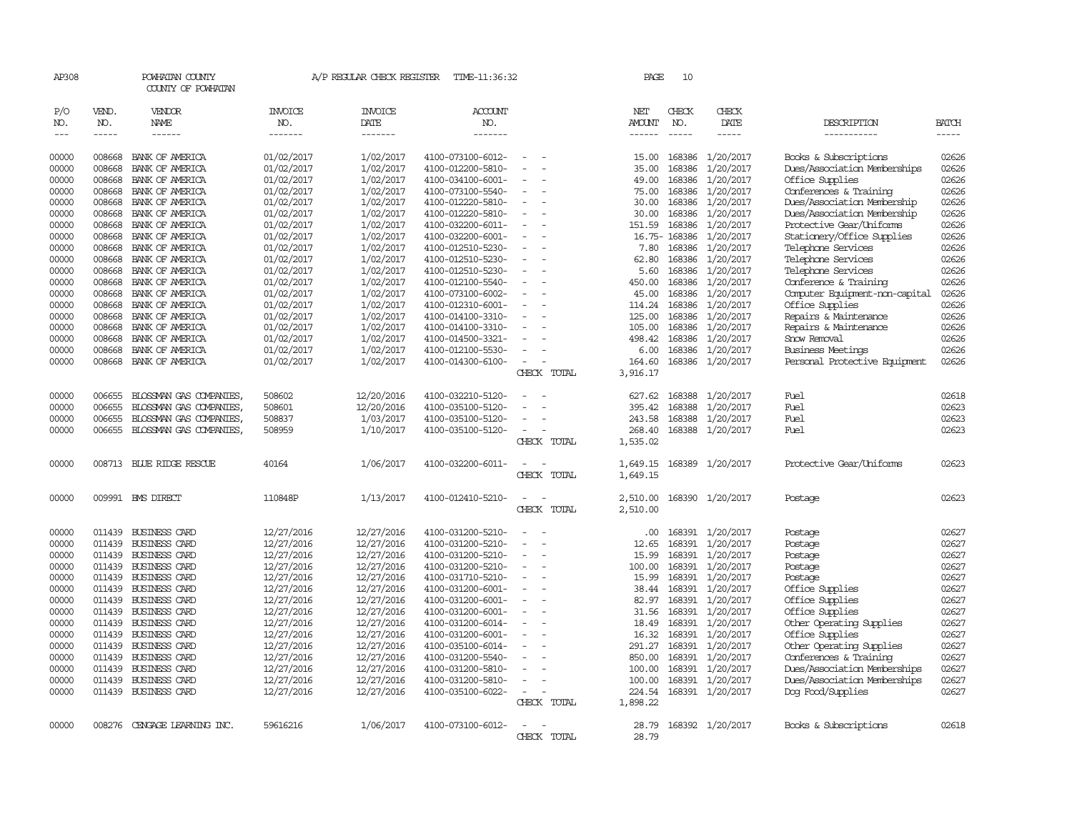| AP308         |        | POWHATAN COUNTY<br>COUNTY OF POWHATAN |                | A/P REGULAR CHECK REGISTER | TIME-11:36:32     |                          |             | <b>PAGE</b>   | 10            |                  |                                |              |
|---------------|--------|---------------------------------------|----------------|----------------------------|-------------------|--------------------------|-------------|---------------|---------------|------------------|--------------------------------|--------------|
| P/O           | VEND.  | VENDOR                                | <b>INVOICE</b> | <b>INVOICE</b>             | ACCOUNT           |                          |             | NET           | CHECK         | CHECK            |                                |              |
| NO.           | NO.    | NAME                                  | NO.            | DATE                       | NO.               |                          |             | <b>AMOUNT</b> | NO.           | DATE             | DESCRIPTION                    | <b>BATCH</b> |
| $\frac{1}{2}$ | -----  | $- - - - - -$                         | -------        | -------                    | -------           |                          |             | ------        | $\frac{1}{2}$ | $- - - - -$      | -----------                    | -----        |
| 00000         | 008668 | BANK OF AMERICA                       | 01/02/2017     | 1/02/2017                  | 4100-073100-6012- |                          |             | 15.00         | 168386        | 1/20/2017        | Books & Subscriptions          | 02626        |
| 00000         | 008668 | BANK OF AMERICA                       | 01/02/2017     | 1/02/2017                  | 4100-012200-5810- |                          |             | 35.00         | 168386        | 1/20/2017        | Dues/Association Memberships   | 02626        |
| 00000         | 008668 | BANK OF AMERICA                       | 01/02/2017     | 1/02/2017                  | 4100-034100-6001- | $\overline{\phantom{a}}$ |             | 49.00         | 168386        | 1/20/2017        | Office Supplies                | 02626        |
| 00000         | 008668 | BANK OF AMERICA                       | 01/02/2017     | 1/02/2017                  | 4100-073100-5540- |                          |             | 75.00         | 168386        | 1/20/2017        | Conferences & Training         | 02626        |
| 00000         | 008668 | BANK OF AMERICA                       | 01/02/2017     | 1/02/2017                  | 4100-012220-5810- |                          |             | 30.00         | 168386        | 1/20/2017        | Dues/Association Membership    | 02626        |
| 00000         | 008668 | BANK OF AMERICA                       | 01/02/2017     | 1/02/2017                  | 4100-012220-5810- |                          |             | 30.00         | 168386        | 1/20/2017        | Dues/Association Membership    | 02626        |
| 00000         | 008668 | BANK OF AMERICA                       | 01/02/2017     | 1/02/2017                  | 4100-032200-6011- | $\overline{\phantom{a}}$ |             | 151.59        | 168386        | 1/20/2017        | Protective Gear/Uniforms       | 02626        |
| 00000         | 008668 | BANK OF AMERICA                       | 01/02/2017     | 1/02/2017                  | 4100-032200-6001- |                          |             | $16.75-$      | 168386        | 1/20/2017        | Stationery/Office Supplies     | 02626        |
| 00000         | 008668 | BANK OF AMERICA                       | 01/02/2017     | 1/02/2017                  | 4100-012510-5230- |                          |             | 7.80          | 168386        | 1/20/2017        | Telephone Services             | 02626        |
| 00000         | 008668 | BANK OF AMERICA                       | 01/02/2017     | 1/02/2017                  | 4100-012510-5230- |                          |             | 62.80         | 168386        | 1/20/2017        | Telephone Services             | 02626        |
| 00000         | 008668 | BANK OF AMERICA                       | 01/02/2017     | 1/02/2017                  | 4100-012510-5230- | $\overline{\phantom{a}}$ |             | 5.60          | 168386        | 1/20/2017        | Telephone Services             | 02626        |
| 00000         | 008668 | BANK OF AMERICA                       | 01/02/2017     | 1/02/2017                  | 4100-012100-5540- |                          |             | 450.00        | 168386        | 1/20/2017        | Conference & Training          | 02626        |
| 00000         | 008668 | BANK OF AMERICA                       | 01/02/2017     | 1/02/2017                  | 4100-073100-6002- |                          |             | 45.00         | 168386        | 1/20/2017        | Computer Equipment-non-capital | 02626        |
| 00000         | 008668 | BANK OF AMERICA                       | 01/02/2017     | 1/02/2017                  | 4100-012310-6001- |                          |             | 114.24        | 168386        | 1/20/2017        | Office Supplies                | 02626        |
| 00000         | 008668 | BANK OF AMERICA                       | 01/02/2017     | 1/02/2017                  | 4100-014100-3310- | $\sim$                   |             | 125.00        | 168386        | 1/20/2017        | Repairs & Maintenance          | 02626        |
| 00000         | 008668 | BANK OF AMERICA                       | 01/02/2017     | 1/02/2017                  | 4100-014100-3310- |                          |             | 105.00        | 168386        | 1/20/2017        | Repairs & Maintenance          | 02626        |
| 00000         | 008668 | BANK OF AMERICA                       | 01/02/2017     | 1/02/2017                  | 4100-014500-3321- |                          |             | 498.42        | 168386        | 1/20/2017        | Snow Removal                   | 02626        |
| 00000         | 008668 | BANK OF AMERICA                       | 01/02/2017     | 1/02/2017                  | 4100-012100-5530- |                          |             | 6.00          | 168386        | 1/20/2017        | Business Meetings              | 02626        |
| 00000         | 008668 | BANK OF AMERICA                       | 01/02/2017     | 1/02/2017                  | 4100-014300-6100- |                          |             | 164.60        | 168386        | 1/20/2017        | Personal Protective Equipment  | 02626        |
|               |        |                                       |                |                            |                   |                          | CHECK TOTAL | 3,916.17      |               |                  |                                |              |
| 00000         | 006655 | BLOSSMAN GAS COMPANIES                | 508602         | 12/20/2016                 | 4100-032210-5120- |                          |             | 627.62        | 168388        | 1/20/2017        | Fuel                           | 02618        |
| 00000         | 006655 | BLOSSMAN GAS COMPANIES,               | 508601         | 12/20/2016                 | 4100-035100-5120- |                          |             | 395.42        | 168388        | 1/20/2017        | Fuel                           | 02623        |
| 00000         | 006655 | BLOSSMAN GAS COMPANIES,               | 508837         | 1/03/2017                  | 4100-035100-5120- |                          |             | 243.58        | 168388        | 1/20/2017        | Fuel                           | 02623        |
| 00000         | 006655 | BLOSSMAN GAS COMPANIES,               | 508959         | 1/10/2017                  | 4100-035100-5120- |                          |             | 268.40        |               | 168388 1/20/2017 | Fuel                           | 02623        |
|               |        |                                       |                |                            |                   |                          | CHECK TOTAL | 1,535.02      |               |                  |                                |              |
| 00000         | 008713 | BLUE RIDGE RESCUE                     | 40164          | 1/06/2017                  | 4100-032200-6011- | $\overline{\phantom{a}}$ |             | 1,649.15      |               | 168389 1/20/2017 | Protective Gear/Uniforms       | 02623        |
|               |        |                                       |                |                            |                   |                          | CHECK TOTAL | 1,649.15      |               |                  |                                |              |
| 00000         |        | 009991 BMS DIRECT                     | 110848P        | 1/13/2017                  | 4100-012410-5210- | $\overline{\phantom{a}}$ |             | 2,510.00      |               | 168390 1/20/2017 | Postage                        | 02623        |
|               |        |                                       |                |                            |                   |                          | CHECK TOTAL | 2,510.00      |               |                  |                                |              |
| 00000         | 011439 | <b>BUSINESS CARD</b>                  | 12/27/2016     | 12/27/2016                 | 4100-031200-5210- | $\overline{\phantom{a}}$ |             | .00.          |               | 168391 1/20/2017 | Postage                        | 02627        |
| 00000         | 011439 | <b>BUSINESS CARD</b>                  | 12/27/2016     | 12/27/2016                 | 4100-031200-5210- |                          |             | 12.65         | 168391        | 1/20/2017        | Postage                        | 02627        |
| 00000         | 011439 | <b>BUSINESS CARD</b>                  | 12/27/2016     | 12/27/2016                 | 4100-031200-5210- | $\sim$                   |             | 15.99         |               | 168391 1/20/2017 | Postage                        | 02627        |
| 00000         | 011439 | <b>BUSINESS CARD</b>                  | 12/27/2016     | 12/27/2016                 | 4100-031200-5210- |                          |             | 100.00        | 168391        | 1/20/2017        | Postage                        | 02627        |
| 00000         | 011439 | BUSINESS CARD                         | 12/27/2016     | 12/27/2016                 | 4100-031710-5210- | $\overline{\phantom{a}}$ |             | 15.99         |               | 168391 1/20/2017 | Postage                        | 02627        |
| 00000         | 011439 | <b>BUSINESS CARD</b>                  | 12/27/2016     | 12/27/2016                 | 4100-031200-6001- |                          |             | 38.44         | 168391        | 1/20/2017        | Office Supplies                | 02627        |
| 00000         | 011439 | <b>BUSINESS CARD</b>                  | 12/27/2016     | 12/27/2016                 | 4100-031200-6001- |                          |             | 82.97         |               | 168391 1/20/2017 | Office Supplies                | 02627        |
| 00000         | 011439 | <b>BUSINESS CARD</b>                  | 12/27/2016     | 12/27/2016                 | 4100-031200-6001- |                          |             | 31.56         | 168391        | 1/20/2017        | Office Supplies                | 02627        |
| 00000         | 011439 | BUSINESS CARD                         | 12/27/2016     | 12/27/2016                 | 4100-031200-6014- | $\sim$                   |             | 18.49         |               | 168391 1/20/2017 | Other Operating Supplies       | 02627        |
| 00000         | 011439 | <b>BUSINESS CARD</b>                  | 12/27/2016     | 12/27/2016                 | 4100-031200-6001- |                          |             | 16.32         | 168391        | 1/20/2017        | Office Supplies                | 02627        |
| 00000         | 011439 | <b>BUSINESS CARD</b>                  | 12/27/2016     | 12/27/2016                 | 4100-035100-6014- |                          |             | 291.27        |               | 168391 1/20/2017 | Other Operating Supplies       | 02627        |
| 00000         | 011439 | <b>BUSINESS CARD</b>                  | 12/27/2016     | 12/27/2016                 | 4100-031200-5540- |                          |             | 850.00        |               | 168391 1/20/2017 | Conferences & Training         | 02627        |
| 00000         | 011439 | <b>BUSINESS CARD</b>                  | 12/27/2016     | 12/27/2016                 | 4100-031200-5810- | $\sim$                   |             | 100.00        | 168391        | 1/20/2017        | Dues/Association Memberships   | 02627        |
| 00000         | 011439 | <b>BUSINESS CARD</b>                  | 12/27/2016     | 12/27/2016                 | 4100-031200-5810- | $\sim$                   |             | 100.00        | 168391        | 1/20/2017        | Dues/Association Memberships   | 02627        |
| 00000         |        | 011439 BUSINESS CARD                  | 12/27/2016     | 12/27/2016                 | 4100-035100-6022- | $\equiv$                 |             | 224.54        |               | 168391 1/20/2017 | Dog Food/Supplies              | 02627        |
|               |        |                                       |                |                            |                   |                          | CHECK TOTAL | 1,898.22      |               |                  |                                |              |
| 00000         | 008276 | CENGAGE LEARNING INC.                 | 59616216       | 1/06/2017                  | 4100-073100-6012- |                          |             | 28.79         |               | 168392 1/20/2017 | Books & Subscriptions          | 02618        |
|               |        |                                       |                |                            |                   |                          | CHECK TOTAL | 28.79         |               |                  |                                |              |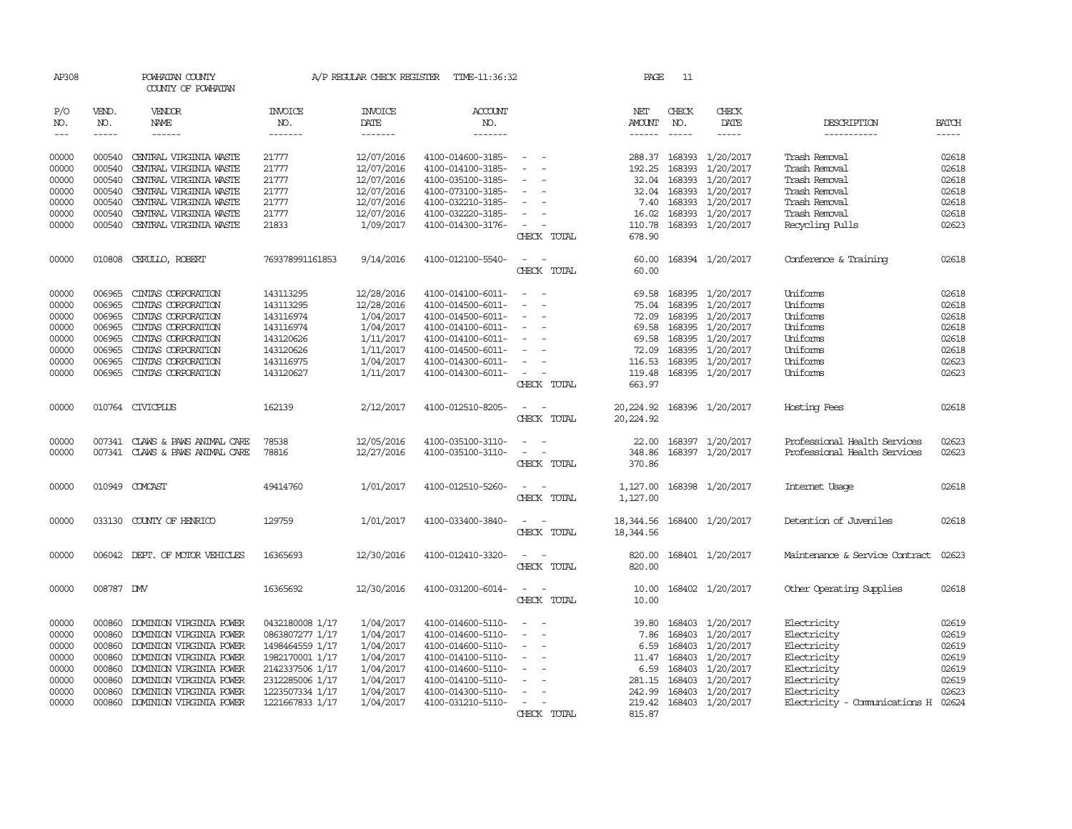| <b>INVOICE</b><br><b>INVOICE</b><br><b>ACCOUNT</b><br>CHECK<br>P/O<br>VEND.<br>VENDOR<br>NET<br>CHECK<br>DATE<br>DATE<br>NO.<br>NAME<br>NO.<br>NO.<br>NO.<br>NO.<br>AMOUNT<br>$- - - - -$<br>$- - - - - -$<br>-------<br>-------<br>-------<br>$- - - - -$<br>-----<br>$\frac{1}{2}$<br>$- - - - - -$<br>12/07/2016<br>00000<br>000540<br>CENTRAL VIRGINIA WASTE<br>21777<br>4100-014600-3185-<br>288.37<br>168393<br>1/20/2017<br>Trash Removal<br>$\hspace{0.1mm}-\hspace{0.1mm}$<br>00000<br>000540<br>CENTRAL VIRGINIA WASTE<br>21777<br>12/07/2016<br>4100-014100-3185-<br>192.25<br>168393<br>1/20/2017<br>Trash Removal<br>21777<br>12/07/2016<br>168393<br>1/20/2017<br>Trash Removal<br>00000<br>000540<br>CENTRAL VIRGINIA WASTE<br>4100-035100-3185-<br>32.04<br>$\overline{\phantom{a}}$<br>000540<br>CENTRAL VIRGINIA WASTE<br>12/07/2016<br>32.04<br>168393<br>1/20/2017<br>Trash Removal<br>00000<br>21777<br>4100-073100-3185-<br>$\overline{\phantom{a}}$<br>1/20/2017<br>00000<br>000540<br>CENTRAL VIRGINIA WASTE<br>21777<br>12/07/2016<br>4100-032210-3185-<br>7.40<br>168393<br>Trash Removal<br>12/07/2016<br>1/20/2017<br>00000<br>000540<br>CENTRAL VIRGINIA WASTE<br>21777<br>4100-032220-3185-<br>16.02<br>168393<br>Trash Removal<br>$\sim$<br>CENTRAL VIRGINIA WASTE<br>21833<br>1/09/2017<br>168393 1/20/2017<br>Recycling Pulls<br>00000<br>000540<br>4100-014300-3176-<br>110.78<br>$\overline{\phantom{a}}$<br>CHECK TOTAL<br>678.90<br>00000<br>010808 CERULLO, ROBERT<br>769378991161853<br>9/14/2016<br>4100-012100-5540-<br>60.00<br>168394 1/20/2017<br>Conference & Training<br>$\sim$<br>$\overline{\phantom{a}}$<br>CHECK TOTAL<br>60.00<br>12/28/2016<br>1/20/2017<br>Uniforms<br>00000<br>006965<br>CINIAS CORPORATION<br>143113295<br>4100-014100-6011-<br>69.58<br>168395<br>$\overline{\phantom{a}}$<br>Uniforms<br>00000<br>006965<br>CINIAS CORPORATION<br>143113295<br>12/28/2016<br>4100-014500-6011-<br>75.04<br>168395<br>1/20/2017<br>CINIAS CORPORATION<br>1/04/2017<br>168395<br>1/20/2017<br>Uniforms<br>00000<br>006965<br>143116974<br>4100-014500-6011-<br>72.09<br>$\overline{\phantom{a}}$<br>1/04/2017<br>168395<br>1/20/2017<br>Uniforms<br>00000<br>006965<br>CINIAS CORPORATION<br>143116974<br>4100-014100-6011-<br>69.58<br>$\overline{\phantom{a}}$<br>1/11/2017<br>168395<br>1/20/2017<br>Uniforms<br>00000<br>006965<br>CINIAS CORPORATION<br>143120626<br>4100-014100-6011-<br>69.58<br>$\overline{\phantom{a}}$<br>1/11/2017<br>1/20/2017<br>Uniforms<br>00000<br>006965<br>CINIAS CORPORATION<br>143120626<br>4100-014500-6011-<br>72.09<br>168395<br>00000<br>006965<br>CINIAS CORPORATION<br>1/04/2017<br>4100-014300-6011-<br>116.53<br>168395<br>1/20/2017<br>Uniforms<br>143116975<br>1/11/2017<br>168395 1/20/2017<br>Uniforms<br>00000<br>006965<br>CINIAS CORPORATION<br>143120627<br>4100-014300-6011-<br>119.48<br>$\sim$<br>CHECK TOTAL<br>663.97<br>010764 CIVICPLUS<br>162139<br>2/12/2017<br>4100-012510-8205-<br>168396 1/20/2017<br>00000<br>20,224.92<br>Hosting Fees<br>CHECK TOTAL<br>20,224.92<br>12/05/2016<br>168397 1/20/2017<br>00000<br>CLAWS & PAWS ANIMAL CARE<br>78538<br>4100-035100-3110-<br>007341<br>22.00<br>$\sim$<br>78816<br>00000<br>007341 CLAWS & PAWS ANIMAL CARE<br>12/27/2016<br>4100-035100-3110-<br>$\overline{\phantom{a}}$<br>348.86<br>168397 1/20/2017<br>370.86<br>CHECK TOTAL<br>1/01/2017<br>168398 1/20/2017<br>00000<br>010949 COMCAST<br>49414760<br>4100-012510-5260-<br>1,127.00<br>Internet Usage<br>CHECK TOTAL<br>1,127.00<br>1/01/2017<br>00000<br>033130 COUNTY OF HENRICO<br>129759<br>4100-033400-3840-<br>18,344.56<br>168400 1/20/2017<br>Detention of Juveniles<br>CHECK TOTAL<br>18,344.56<br>00000<br>006042 DEPT. OF MOTOR VEHICLES<br>16365693<br>12/30/2016<br>4100-012410-3320-<br>820.00<br>168401 1/20/2017<br>CHECK TOTAL<br>820.00<br>00000<br>008787 DW<br>16365692<br>12/30/2016<br>4100-031200-6014-<br>168402 1/20/2017<br>10.00<br>$\sim$<br>$\sim$<br>10.00<br>CHECK TOTAL | <b>BATCH</b><br>DESCRIPTION<br>-----------<br>$- - - - -$<br>02618<br>02618<br>02618<br>02618<br>02618<br>02618<br>02623<br>02618 |
|---------------------------------------------------------------------------------------------------------------------------------------------------------------------------------------------------------------------------------------------------------------------------------------------------------------------------------------------------------------------------------------------------------------------------------------------------------------------------------------------------------------------------------------------------------------------------------------------------------------------------------------------------------------------------------------------------------------------------------------------------------------------------------------------------------------------------------------------------------------------------------------------------------------------------------------------------------------------------------------------------------------------------------------------------------------------------------------------------------------------------------------------------------------------------------------------------------------------------------------------------------------------------------------------------------------------------------------------------------------------------------------------------------------------------------------------------------------------------------------------------------------------------------------------------------------------------------------------------------------------------------------------------------------------------------------------------------------------------------------------------------------------------------------------------------------------------------------------------------------------------------------------------------------------------------------------------------------------------------------------------------------------------------------------------------------------------------------------------------------------------------------------------------------------------------------------------------------------------------------------------------------------------------------------------------------------------------------------------------------------------------------------------------------------------------------------------------------------------------------------------------------------------------------------------------------------------------------------------------------------------------------------------------------------------------------------------------------------------------------------------------------------------------------------------------------------------------------------------------------------------------------------------------------------------------------------------------------------------------------------------------------------------------------------------------------------------------------------------------------------------------------------------------------------------------------------------------------------------------------------------------------------------------------------------------------------------------------------------------------------------------------------------------------------------------------------------------------------------------------------------------------------------------------------------------------------------------------------------------------------------------------------------------------------------------------------------------------------------------------------------------------------------------------------------------------------------------------------------------------------------------------------------------------------------------------------------------------------------------------------------------------------------------------|-----------------------------------------------------------------------------------------------------------------------------------|
|                                                                                                                                                                                                                                                                                                                                                                                                                                                                                                                                                                                                                                                                                                                                                                                                                                                                                                                                                                                                                                                                                                                                                                                                                                                                                                                                                                                                                                                                                                                                                                                                                                                                                                                                                                                                                                                                                                                                                                                                                                                                                                                                                                                                                                                                                                                                                                                                                                                                                                                                                                                                                                                                                                                                                                                                                                                                                                                                                                                                                                                                                                                                                                                                                                                                                                                                                                                                                                                                                                                                                                                                                                                                                                                                                                                                                                                                                                                                                                                                                                       |                                                                                                                                   |
|                                                                                                                                                                                                                                                                                                                                                                                                                                                                                                                                                                                                                                                                                                                                                                                                                                                                                                                                                                                                                                                                                                                                                                                                                                                                                                                                                                                                                                                                                                                                                                                                                                                                                                                                                                                                                                                                                                                                                                                                                                                                                                                                                                                                                                                                                                                                                                                                                                                                                                                                                                                                                                                                                                                                                                                                                                                                                                                                                                                                                                                                                                                                                                                                                                                                                                                                                                                                                                                                                                                                                                                                                                                                                                                                                                                                                                                                                                                                                                                                                                       |                                                                                                                                   |
|                                                                                                                                                                                                                                                                                                                                                                                                                                                                                                                                                                                                                                                                                                                                                                                                                                                                                                                                                                                                                                                                                                                                                                                                                                                                                                                                                                                                                                                                                                                                                                                                                                                                                                                                                                                                                                                                                                                                                                                                                                                                                                                                                                                                                                                                                                                                                                                                                                                                                                                                                                                                                                                                                                                                                                                                                                                                                                                                                                                                                                                                                                                                                                                                                                                                                                                                                                                                                                                                                                                                                                                                                                                                                                                                                                                                                                                                                                                                                                                                                                       |                                                                                                                                   |
|                                                                                                                                                                                                                                                                                                                                                                                                                                                                                                                                                                                                                                                                                                                                                                                                                                                                                                                                                                                                                                                                                                                                                                                                                                                                                                                                                                                                                                                                                                                                                                                                                                                                                                                                                                                                                                                                                                                                                                                                                                                                                                                                                                                                                                                                                                                                                                                                                                                                                                                                                                                                                                                                                                                                                                                                                                                                                                                                                                                                                                                                                                                                                                                                                                                                                                                                                                                                                                                                                                                                                                                                                                                                                                                                                                                                                                                                                                                                                                                                                                       |                                                                                                                                   |
|                                                                                                                                                                                                                                                                                                                                                                                                                                                                                                                                                                                                                                                                                                                                                                                                                                                                                                                                                                                                                                                                                                                                                                                                                                                                                                                                                                                                                                                                                                                                                                                                                                                                                                                                                                                                                                                                                                                                                                                                                                                                                                                                                                                                                                                                                                                                                                                                                                                                                                                                                                                                                                                                                                                                                                                                                                                                                                                                                                                                                                                                                                                                                                                                                                                                                                                                                                                                                                                                                                                                                                                                                                                                                                                                                                                                                                                                                                                                                                                                                                       |                                                                                                                                   |
|                                                                                                                                                                                                                                                                                                                                                                                                                                                                                                                                                                                                                                                                                                                                                                                                                                                                                                                                                                                                                                                                                                                                                                                                                                                                                                                                                                                                                                                                                                                                                                                                                                                                                                                                                                                                                                                                                                                                                                                                                                                                                                                                                                                                                                                                                                                                                                                                                                                                                                                                                                                                                                                                                                                                                                                                                                                                                                                                                                                                                                                                                                                                                                                                                                                                                                                                                                                                                                                                                                                                                                                                                                                                                                                                                                                                                                                                                                                                                                                                                                       |                                                                                                                                   |
|                                                                                                                                                                                                                                                                                                                                                                                                                                                                                                                                                                                                                                                                                                                                                                                                                                                                                                                                                                                                                                                                                                                                                                                                                                                                                                                                                                                                                                                                                                                                                                                                                                                                                                                                                                                                                                                                                                                                                                                                                                                                                                                                                                                                                                                                                                                                                                                                                                                                                                                                                                                                                                                                                                                                                                                                                                                                                                                                                                                                                                                                                                                                                                                                                                                                                                                                                                                                                                                                                                                                                                                                                                                                                                                                                                                                                                                                                                                                                                                                                                       |                                                                                                                                   |
|                                                                                                                                                                                                                                                                                                                                                                                                                                                                                                                                                                                                                                                                                                                                                                                                                                                                                                                                                                                                                                                                                                                                                                                                                                                                                                                                                                                                                                                                                                                                                                                                                                                                                                                                                                                                                                                                                                                                                                                                                                                                                                                                                                                                                                                                                                                                                                                                                                                                                                                                                                                                                                                                                                                                                                                                                                                                                                                                                                                                                                                                                                                                                                                                                                                                                                                                                                                                                                                                                                                                                                                                                                                                                                                                                                                                                                                                                                                                                                                                                                       |                                                                                                                                   |
|                                                                                                                                                                                                                                                                                                                                                                                                                                                                                                                                                                                                                                                                                                                                                                                                                                                                                                                                                                                                                                                                                                                                                                                                                                                                                                                                                                                                                                                                                                                                                                                                                                                                                                                                                                                                                                                                                                                                                                                                                                                                                                                                                                                                                                                                                                                                                                                                                                                                                                                                                                                                                                                                                                                                                                                                                                                                                                                                                                                                                                                                                                                                                                                                                                                                                                                                                                                                                                                                                                                                                                                                                                                                                                                                                                                                                                                                                                                                                                                                                                       |                                                                                                                                   |
|                                                                                                                                                                                                                                                                                                                                                                                                                                                                                                                                                                                                                                                                                                                                                                                                                                                                                                                                                                                                                                                                                                                                                                                                                                                                                                                                                                                                                                                                                                                                                                                                                                                                                                                                                                                                                                                                                                                                                                                                                                                                                                                                                                                                                                                                                                                                                                                                                                                                                                                                                                                                                                                                                                                                                                                                                                                                                                                                                                                                                                                                                                                                                                                                                                                                                                                                                                                                                                                                                                                                                                                                                                                                                                                                                                                                                                                                                                                                                                                                                                       |                                                                                                                                   |
|                                                                                                                                                                                                                                                                                                                                                                                                                                                                                                                                                                                                                                                                                                                                                                                                                                                                                                                                                                                                                                                                                                                                                                                                                                                                                                                                                                                                                                                                                                                                                                                                                                                                                                                                                                                                                                                                                                                                                                                                                                                                                                                                                                                                                                                                                                                                                                                                                                                                                                                                                                                                                                                                                                                                                                                                                                                                                                                                                                                                                                                                                                                                                                                                                                                                                                                                                                                                                                                                                                                                                                                                                                                                                                                                                                                                                                                                                                                                                                                                                                       |                                                                                                                                   |
|                                                                                                                                                                                                                                                                                                                                                                                                                                                                                                                                                                                                                                                                                                                                                                                                                                                                                                                                                                                                                                                                                                                                                                                                                                                                                                                                                                                                                                                                                                                                                                                                                                                                                                                                                                                                                                                                                                                                                                                                                                                                                                                                                                                                                                                                                                                                                                                                                                                                                                                                                                                                                                                                                                                                                                                                                                                                                                                                                                                                                                                                                                                                                                                                                                                                                                                                                                                                                                                                                                                                                                                                                                                                                                                                                                                                                                                                                                                                                                                                                                       | 02618                                                                                                                             |
|                                                                                                                                                                                                                                                                                                                                                                                                                                                                                                                                                                                                                                                                                                                                                                                                                                                                                                                                                                                                                                                                                                                                                                                                                                                                                                                                                                                                                                                                                                                                                                                                                                                                                                                                                                                                                                                                                                                                                                                                                                                                                                                                                                                                                                                                                                                                                                                                                                                                                                                                                                                                                                                                                                                                                                                                                                                                                                                                                                                                                                                                                                                                                                                                                                                                                                                                                                                                                                                                                                                                                                                                                                                                                                                                                                                                                                                                                                                                                                                                                                       | 02618                                                                                                                             |
|                                                                                                                                                                                                                                                                                                                                                                                                                                                                                                                                                                                                                                                                                                                                                                                                                                                                                                                                                                                                                                                                                                                                                                                                                                                                                                                                                                                                                                                                                                                                                                                                                                                                                                                                                                                                                                                                                                                                                                                                                                                                                                                                                                                                                                                                                                                                                                                                                                                                                                                                                                                                                                                                                                                                                                                                                                                                                                                                                                                                                                                                                                                                                                                                                                                                                                                                                                                                                                                                                                                                                                                                                                                                                                                                                                                                                                                                                                                                                                                                                                       | 02618                                                                                                                             |
|                                                                                                                                                                                                                                                                                                                                                                                                                                                                                                                                                                                                                                                                                                                                                                                                                                                                                                                                                                                                                                                                                                                                                                                                                                                                                                                                                                                                                                                                                                                                                                                                                                                                                                                                                                                                                                                                                                                                                                                                                                                                                                                                                                                                                                                                                                                                                                                                                                                                                                                                                                                                                                                                                                                                                                                                                                                                                                                                                                                                                                                                                                                                                                                                                                                                                                                                                                                                                                                                                                                                                                                                                                                                                                                                                                                                                                                                                                                                                                                                                                       | 02618                                                                                                                             |
|                                                                                                                                                                                                                                                                                                                                                                                                                                                                                                                                                                                                                                                                                                                                                                                                                                                                                                                                                                                                                                                                                                                                                                                                                                                                                                                                                                                                                                                                                                                                                                                                                                                                                                                                                                                                                                                                                                                                                                                                                                                                                                                                                                                                                                                                                                                                                                                                                                                                                                                                                                                                                                                                                                                                                                                                                                                                                                                                                                                                                                                                                                                                                                                                                                                                                                                                                                                                                                                                                                                                                                                                                                                                                                                                                                                                                                                                                                                                                                                                                                       | 02618                                                                                                                             |
|                                                                                                                                                                                                                                                                                                                                                                                                                                                                                                                                                                                                                                                                                                                                                                                                                                                                                                                                                                                                                                                                                                                                                                                                                                                                                                                                                                                                                                                                                                                                                                                                                                                                                                                                                                                                                                                                                                                                                                                                                                                                                                                                                                                                                                                                                                                                                                                                                                                                                                                                                                                                                                                                                                                                                                                                                                                                                                                                                                                                                                                                                                                                                                                                                                                                                                                                                                                                                                                                                                                                                                                                                                                                                                                                                                                                                                                                                                                                                                                                                                       | 02618                                                                                                                             |
|                                                                                                                                                                                                                                                                                                                                                                                                                                                                                                                                                                                                                                                                                                                                                                                                                                                                                                                                                                                                                                                                                                                                                                                                                                                                                                                                                                                                                                                                                                                                                                                                                                                                                                                                                                                                                                                                                                                                                                                                                                                                                                                                                                                                                                                                                                                                                                                                                                                                                                                                                                                                                                                                                                                                                                                                                                                                                                                                                                                                                                                                                                                                                                                                                                                                                                                                                                                                                                                                                                                                                                                                                                                                                                                                                                                                                                                                                                                                                                                                                                       | 02623                                                                                                                             |
|                                                                                                                                                                                                                                                                                                                                                                                                                                                                                                                                                                                                                                                                                                                                                                                                                                                                                                                                                                                                                                                                                                                                                                                                                                                                                                                                                                                                                                                                                                                                                                                                                                                                                                                                                                                                                                                                                                                                                                                                                                                                                                                                                                                                                                                                                                                                                                                                                                                                                                                                                                                                                                                                                                                                                                                                                                                                                                                                                                                                                                                                                                                                                                                                                                                                                                                                                                                                                                                                                                                                                                                                                                                                                                                                                                                                                                                                                                                                                                                                                                       | 02623                                                                                                                             |
|                                                                                                                                                                                                                                                                                                                                                                                                                                                                                                                                                                                                                                                                                                                                                                                                                                                                                                                                                                                                                                                                                                                                                                                                                                                                                                                                                                                                                                                                                                                                                                                                                                                                                                                                                                                                                                                                                                                                                                                                                                                                                                                                                                                                                                                                                                                                                                                                                                                                                                                                                                                                                                                                                                                                                                                                                                                                                                                                                                                                                                                                                                                                                                                                                                                                                                                                                                                                                                                                                                                                                                                                                                                                                                                                                                                                                                                                                                                                                                                                                                       |                                                                                                                                   |
|                                                                                                                                                                                                                                                                                                                                                                                                                                                                                                                                                                                                                                                                                                                                                                                                                                                                                                                                                                                                                                                                                                                                                                                                                                                                                                                                                                                                                                                                                                                                                                                                                                                                                                                                                                                                                                                                                                                                                                                                                                                                                                                                                                                                                                                                                                                                                                                                                                                                                                                                                                                                                                                                                                                                                                                                                                                                                                                                                                                                                                                                                                                                                                                                                                                                                                                                                                                                                                                                                                                                                                                                                                                                                                                                                                                                                                                                                                                                                                                                                                       | 02618                                                                                                                             |
|                                                                                                                                                                                                                                                                                                                                                                                                                                                                                                                                                                                                                                                                                                                                                                                                                                                                                                                                                                                                                                                                                                                                                                                                                                                                                                                                                                                                                                                                                                                                                                                                                                                                                                                                                                                                                                                                                                                                                                                                                                                                                                                                                                                                                                                                                                                                                                                                                                                                                                                                                                                                                                                                                                                                                                                                                                                                                                                                                                                                                                                                                                                                                                                                                                                                                                                                                                                                                                                                                                                                                                                                                                                                                                                                                                                                                                                                                                                                                                                                                                       | 02623<br>Professional Health Services                                                                                             |
|                                                                                                                                                                                                                                                                                                                                                                                                                                                                                                                                                                                                                                                                                                                                                                                                                                                                                                                                                                                                                                                                                                                                                                                                                                                                                                                                                                                                                                                                                                                                                                                                                                                                                                                                                                                                                                                                                                                                                                                                                                                                                                                                                                                                                                                                                                                                                                                                                                                                                                                                                                                                                                                                                                                                                                                                                                                                                                                                                                                                                                                                                                                                                                                                                                                                                                                                                                                                                                                                                                                                                                                                                                                                                                                                                                                                                                                                                                                                                                                                                                       | Professional Health Services<br>02623                                                                                             |
|                                                                                                                                                                                                                                                                                                                                                                                                                                                                                                                                                                                                                                                                                                                                                                                                                                                                                                                                                                                                                                                                                                                                                                                                                                                                                                                                                                                                                                                                                                                                                                                                                                                                                                                                                                                                                                                                                                                                                                                                                                                                                                                                                                                                                                                                                                                                                                                                                                                                                                                                                                                                                                                                                                                                                                                                                                                                                                                                                                                                                                                                                                                                                                                                                                                                                                                                                                                                                                                                                                                                                                                                                                                                                                                                                                                                                                                                                                                                                                                                                                       |                                                                                                                                   |
|                                                                                                                                                                                                                                                                                                                                                                                                                                                                                                                                                                                                                                                                                                                                                                                                                                                                                                                                                                                                                                                                                                                                                                                                                                                                                                                                                                                                                                                                                                                                                                                                                                                                                                                                                                                                                                                                                                                                                                                                                                                                                                                                                                                                                                                                                                                                                                                                                                                                                                                                                                                                                                                                                                                                                                                                                                                                                                                                                                                                                                                                                                                                                                                                                                                                                                                                                                                                                                                                                                                                                                                                                                                                                                                                                                                                                                                                                                                                                                                                                                       |                                                                                                                                   |
|                                                                                                                                                                                                                                                                                                                                                                                                                                                                                                                                                                                                                                                                                                                                                                                                                                                                                                                                                                                                                                                                                                                                                                                                                                                                                                                                                                                                                                                                                                                                                                                                                                                                                                                                                                                                                                                                                                                                                                                                                                                                                                                                                                                                                                                                                                                                                                                                                                                                                                                                                                                                                                                                                                                                                                                                                                                                                                                                                                                                                                                                                                                                                                                                                                                                                                                                                                                                                                                                                                                                                                                                                                                                                                                                                                                                                                                                                                                                                                                                                                       | 02618                                                                                                                             |
|                                                                                                                                                                                                                                                                                                                                                                                                                                                                                                                                                                                                                                                                                                                                                                                                                                                                                                                                                                                                                                                                                                                                                                                                                                                                                                                                                                                                                                                                                                                                                                                                                                                                                                                                                                                                                                                                                                                                                                                                                                                                                                                                                                                                                                                                                                                                                                                                                                                                                                                                                                                                                                                                                                                                                                                                                                                                                                                                                                                                                                                                                                                                                                                                                                                                                                                                                                                                                                                                                                                                                                                                                                                                                                                                                                                                                                                                                                                                                                                                                                       |                                                                                                                                   |
|                                                                                                                                                                                                                                                                                                                                                                                                                                                                                                                                                                                                                                                                                                                                                                                                                                                                                                                                                                                                                                                                                                                                                                                                                                                                                                                                                                                                                                                                                                                                                                                                                                                                                                                                                                                                                                                                                                                                                                                                                                                                                                                                                                                                                                                                                                                                                                                                                                                                                                                                                                                                                                                                                                                                                                                                                                                                                                                                                                                                                                                                                                                                                                                                                                                                                                                                                                                                                                                                                                                                                                                                                                                                                                                                                                                                                                                                                                                                                                                                                                       | 02618                                                                                                                             |
|                                                                                                                                                                                                                                                                                                                                                                                                                                                                                                                                                                                                                                                                                                                                                                                                                                                                                                                                                                                                                                                                                                                                                                                                                                                                                                                                                                                                                                                                                                                                                                                                                                                                                                                                                                                                                                                                                                                                                                                                                                                                                                                                                                                                                                                                                                                                                                                                                                                                                                                                                                                                                                                                                                                                                                                                                                                                                                                                                                                                                                                                                                                                                                                                                                                                                                                                                                                                                                                                                                                                                                                                                                                                                                                                                                                                                                                                                                                                                                                                                                       |                                                                                                                                   |
|                                                                                                                                                                                                                                                                                                                                                                                                                                                                                                                                                                                                                                                                                                                                                                                                                                                                                                                                                                                                                                                                                                                                                                                                                                                                                                                                                                                                                                                                                                                                                                                                                                                                                                                                                                                                                                                                                                                                                                                                                                                                                                                                                                                                                                                                                                                                                                                                                                                                                                                                                                                                                                                                                                                                                                                                                                                                                                                                                                                                                                                                                                                                                                                                                                                                                                                                                                                                                                                                                                                                                                                                                                                                                                                                                                                                                                                                                                                                                                                                                                       | Maintenance & Service Contract<br>02623                                                                                           |
|                                                                                                                                                                                                                                                                                                                                                                                                                                                                                                                                                                                                                                                                                                                                                                                                                                                                                                                                                                                                                                                                                                                                                                                                                                                                                                                                                                                                                                                                                                                                                                                                                                                                                                                                                                                                                                                                                                                                                                                                                                                                                                                                                                                                                                                                                                                                                                                                                                                                                                                                                                                                                                                                                                                                                                                                                                                                                                                                                                                                                                                                                                                                                                                                                                                                                                                                                                                                                                                                                                                                                                                                                                                                                                                                                                                                                                                                                                                                                                                                                                       |                                                                                                                                   |
|                                                                                                                                                                                                                                                                                                                                                                                                                                                                                                                                                                                                                                                                                                                                                                                                                                                                                                                                                                                                                                                                                                                                                                                                                                                                                                                                                                                                                                                                                                                                                                                                                                                                                                                                                                                                                                                                                                                                                                                                                                                                                                                                                                                                                                                                                                                                                                                                                                                                                                                                                                                                                                                                                                                                                                                                                                                                                                                                                                                                                                                                                                                                                                                                                                                                                                                                                                                                                                                                                                                                                                                                                                                                                                                                                                                                                                                                                                                                                                                                                                       |                                                                                                                                   |
|                                                                                                                                                                                                                                                                                                                                                                                                                                                                                                                                                                                                                                                                                                                                                                                                                                                                                                                                                                                                                                                                                                                                                                                                                                                                                                                                                                                                                                                                                                                                                                                                                                                                                                                                                                                                                                                                                                                                                                                                                                                                                                                                                                                                                                                                                                                                                                                                                                                                                                                                                                                                                                                                                                                                                                                                                                                                                                                                                                                                                                                                                                                                                                                                                                                                                                                                                                                                                                                                                                                                                                                                                                                                                                                                                                                                                                                                                                                                                                                                                                       | 02618<br>Other Operating Supplies                                                                                                 |
| 0432180008 1/17<br>1/04/2017<br>4100-014600-5110-<br>1/20/2017<br>Electricity<br>00000<br>000860<br>DOMINION VIRGINIA POWER<br>39.80<br>168403                                                                                                                                                                                                                                                                                                                                                                                                                                                                                                                                                                                                                                                                                                                                                                                                                                                                                                                                                                                                                                                                                                                                                                                                                                                                                                                                                                                                                                                                                                                                                                                                                                                                                                                                                                                                                                                                                                                                                                                                                                                                                                                                                                                                                                                                                                                                                                                                                                                                                                                                                                                                                                                                                                                                                                                                                                                                                                                                                                                                                                                                                                                                                                                                                                                                                                                                                                                                                                                                                                                                                                                                                                                                                                                                                                                                                                                                                        |                                                                                                                                   |
| 1/04/2017<br>1/20/2017<br>Electricity<br>DOMINION VIRGINIA POWER<br>0863807277 1/17<br>4100-014600-5110-<br>7.86<br>168403<br>00000<br>000860<br>$\sim$<br>$\sim$                                                                                                                                                                                                                                                                                                                                                                                                                                                                                                                                                                                                                                                                                                                                                                                                                                                                                                                                                                                                                                                                                                                                                                                                                                                                                                                                                                                                                                                                                                                                                                                                                                                                                                                                                                                                                                                                                                                                                                                                                                                                                                                                                                                                                                                                                                                                                                                                                                                                                                                                                                                                                                                                                                                                                                                                                                                                                                                                                                                                                                                                                                                                                                                                                                                                                                                                                                                                                                                                                                                                                                                                                                                                                                                                                                                                                                                                     | 02619                                                                                                                             |
| 1498464559 1/17<br>1/04/2017<br>168403<br>1/20/2017<br>Electricity<br>00000<br>000860<br>DOMINION VIRGINIA POWER<br>4100-014600-5110-<br>6.59<br>$\overline{\phantom{a}}$                                                                                                                                                                                                                                                                                                                                                                                                                                                                                                                                                                                                                                                                                                                                                                                                                                                                                                                                                                                                                                                                                                                                                                                                                                                                                                                                                                                                                                                                                                                                                                                                                                                                                                                                                                                                                                                                                                                                                                                                                                                                                                                                                                                                                                                                                                                                                                                                                                                                                                                                                                                                                                                                                                                                                                                                                                                                                                                                                                                                                                                                                                                                                                                                                                                                                                                                                                                                                                                                                                                                                                                                                                                                                                                                                                                                                                                             | 02619                                                                                                                             |
| 000860<br>1982170001 1/17<br>1/04/2017<br>168403<br>1/20/2017<br>Electricity<br>00000<br>DOMINION VIRGINIA POWER<br>4100-014100-5110-<br>11.47                                                                                                                                                                                                                                                                                                                                                                                                                                                                                                                                                                                                                                                                                                                                                                                                                                                                                                                                                                                                                                                                                                                                                                                                                                                                                                                                                                                                                                                                                                                                                                                                                                                                                                                                                                                                                                                                                                                                                                                                                                                                                                                                                                                                                                                                                                                                                                                                                                                                                                                                                                                                                                                                                                                                                                                                                                                                                                                                                                                                                                                                                                                                                                                                                                                                                                                                                                                                                                                                                                                                                                                                                                                                                                                                                                                                                                                                                        | 02619                                                                                                                             |
| 000860<br>DOMINION VIRGINIA POWER<br>2142337506 1/17<br>1/04/2017<br>168403<br>1/20/2017<br>Electricity<br>00000<br>4100-014600-5110-<br>6.59<br>$\sim$<br>$\sim$                                                                                                                                                                                                                                                                                                                                                                                                                                                                                                                                                                                                                                                                                                                                                                                                                                                                                                                                                                                                                                                                                                                                                                                                                                                                                                                                                                                                                                                                                                                                                                                                                                                                                                                                                                                                                                                                                                                                                                                                                                                                                                                                                                                                                                                                                                                                                                                                                                                                                                                                                                                                                                                                                                                                                                                                                                                                                                                                                                                                                                                                                                                                                                                                                                                                                                                                                                                                                                                                                                                                                                                                                                                                                                                                                                                                                                                                     | 02619                                                                                                                             |
| 1/04/2017<br>00000<br>000860<br>DOMINION VIRGINIA POWER<br>2312285006 1/17<br>4100-014100-5110-<br>281.15<br>168403<br>1/20/2017<br>Electricity                                                                                                                                                                                                                                                                                                                                                                                                                                                                                                                                                                                                                                                                                                                                                                                                                                                                                                                                                                                                                                                                                                                                                                                                                                                                                                                                                                                                                                                                                                                                                                                                                                                                                                                                                                                                                                                                                                                                                                                                                                                                                                                                                                                                                                                                                                                                                                                                                                                                                                                                                                                                                                                                                                                                                                                                                                                                                                                                                                                                                                                                                                                                                                                                                                                                                                                                                                                                                                                                                                                                                                                                                                                                                                                                                                                                                                                                                       | 02619                                                                                                                             |
| 1/04/2017<br>242.99<br>168403<br>1/20/2017<br>00000<br>000860<br>DOMINION VIRGINIA POWER<br>1223507334 1/17<br>4100-014300-5110-<br>Electricity                                                                                                                                                                                                                                                                                                                                                                                                                                                                                                                                                                                                                                                                                                                                                                                                                                                                                                                                                                                                                                                                                                                                                                                                                                                                                                                                                                                                                                                                                                                                                                                                                                                                                                                                                                                                                                                                                                                                                                                                                                                                                                                                                                                                                                                                                                                                                                                                                                                                                                                                                                                                                                                                                                                                                                                                                                                                                                                                                                                                                                                                                                                                                                                                                                                                                                                                                                                                                                                                                                                                                                                                                                                                                                                                                                                                                                                                                       | 02619                                                                                                                             |
| 168403 1/20/2017<br>00000<br>000860 DOMINION VIRGINIA POWER<br>1221667833 1/17<br>1/04/2017<br>4100-031210-5110-<br>219.42<br>$\equiv$                                                                                                                                                                                                                                                                                                                                                                                                                                                                                                                                                                                                                                                                                                                                                                                                                                                                                                                                                                                                                                                                                                                                                                                                                                                                                                                                                                                                                                                                                                                                                                                                                                                                                                                                                                                                                                                                                                                                                                                                                                                                                                                                                                                                                                                                                                                                                                                                                                                                                                                                                                                                                                                                                                                                                                                                                                                                                                                                                                                                                                                                                                                                                                                                                                                                                                                                                                                                                                                                                                                                                                                                                                                                                                                                                                                                                                                                                                | 02623                                                                                                                             |
| 815.87<br>CHECK TOTAL                                                                                                                                                                                                                                                                                                                                                                                                                                                                                                                                                                                                                                                                                                                                                                                                                                                                                                                                                                                                                                                                                                                                                                                                                                                                                                                                                                                                                                                                                                                                                                                                                                                                                                                                                                                                                                                                                                                                                                                                                                                                                                                                                                                                                                                                                                                                                                                                                                                                                                                                                                                                                                                                                                                                                                                                                                                                                                                                                                                                                                                                                                                                                                                                                                                                                                                                                                                                                                                                                                                                                                                                                                                                                                                                                                                                                                                                                                                                                                                                                 | 02624<br>Electricity - Comunications H                                                                                            |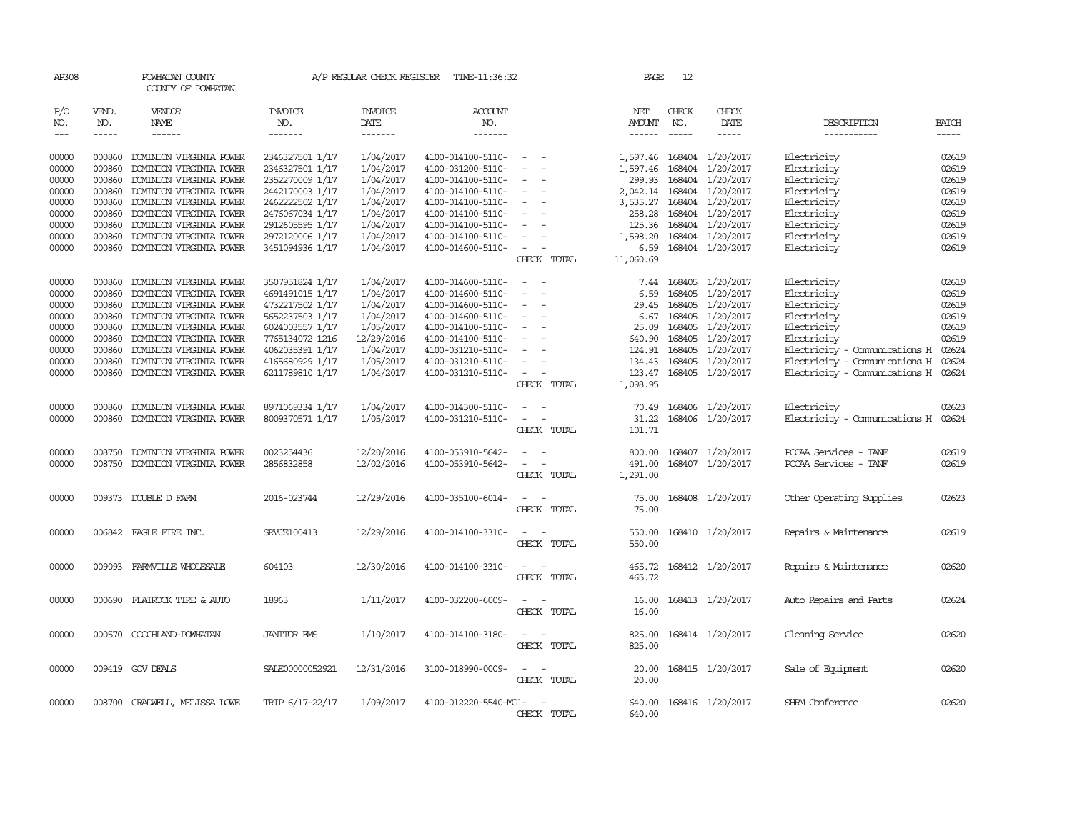| AP308               |              | POWHATAN COUNTY<br>COUNTY OF POWHATAN |                                  | A/P REGULAR CHECK REGISTER        | TIME-11:36:32                    |                                                      | PAGE                           | 12                                                                                                                                                                                                                                                                                                                                                                                                           |                           |                                      |                             |
|---------------------|--------------|---------------------------------------|----------------------------------|-----------------------------------|----------------------------------|------------------------------------------------------|--------------------------------|--------------------------------------------------------------------------------------------------------------------------------------------------------------------------------------------------------------------------------------------------------------------------------------------------------------------------------------------------------------------------------------------------------------|---------------------------|--------------------------------------|-----------------------------|
| P/O<br>NO.<br>$---$ | VEND.<br>NO. | VENDOR<br>NAME<br>$- - - - - -$       | <b>INVOICE</b><br>NO.<br>------- | <b>INVOICE</b><br>DATE<br>------- | <b>ACCOUNT</b><br>NO.<br>------- |                                                      | NET<br>AMOUNT<br>$- - - - - -$ | CHECK<br>NO.<br>$\frac{1}{2} \frac{1}{2} \frac{1}{2} \frac{1}{2} \frac{1}{2} \frac{1}{2} \frac{1}{2} \frac{1}{2} \frac{1}{2} \frac{1}{2} \frac{1}{2} \frac{1}{2} \frac{1}{2} \frac{1}{2} \frac{1}{2} \frac{1}{2} \frac{1}{2} \frac{1}{2} \frac{1}{2} \frac{1}{2} \frac{1}{2} \frac{1}{2} \frac{1}{2} \frac{1}{2} \frac{1}{2} \frac{1}{2} \frac{1}{2} \frac{1}{2} \frac{1}{2} \frac{1}{2} \frac{1}{2} \frac{$ | CHECK<br>DATE             | DESCRIPTION<br>-----------           | <b>BATCH</b><br>$- - - - -$ |
| 00000               | 000860       | DOMINION VIRGINIA POWER               | 2346327501 1/17                  | 1/04/2017                         | 4100-014100-5110-                | $\overline{\phantom{a}}$                             |                                |                                                                                                                                                                                                                                                                                                                                                                                                              | 1,597.46 168404 1/20/2017 | Electricity                          | 02619                       |
| 00000               | 000860       | DOMINION VIRGINIA POWER               | 2346327501 1/17                  | 1/04/2017                         | 4100-031200-5110-                | $\overline{\phantom{a}}$                             | 1,597.46                       | 168404                                                                                                                                                                                                                                                                                                                                                                                                       | 1/20/2017                 | Electricity                          | 02619                       |
| 00000               | 000860       | DOMINION VIRGINIA POWER               | 2352270009 1/17                  | 1/04/2017                         | 4100-014100-5110-                | $\sim$                                               | 299.93                         |                                                                                                                                                                                                                                                                                                                                                                                                              | 168404 1/20/2017          | Electricity                          | 02619                       |
| 00000               | 000860       | DOMINION VIRGINIA POWER               | 2442170003 1/17                  | 1/04/2017                         | 4100-014100-5110-                | $\sim$                                               | 2,042.14                       | 168404                                                                                                                                                                                                                                                                                                                                                                                                       | 1/20/2017                 | Electricity                          | 02619                       |
| 00000               | 000860       | DOMINION VIRGINIA POWER               | 2462222502 1/17                  | 1/04/2017                         | 4100-014100-5110-                | $\sim$                                               | 3,535.27                       |                                                                                                                                                                                                                                                                                                                                                                                                              | 168404 1/20/2017          | Electricity                          | 02619                       |
| 00000               | 000860       | DOMINION VIRGINIA POWER               | 2476067034 1/17                  | 1/04/2017                         | 4100-014100-5110-                | $\overline{\phantom{a}}$<br>$\overline{\phantom{a}}$ | 258.28                         |                                                                                                                                                                                                                                                                                                                                                                                                              | 168404 1/20/2017          | Electricity                          | 02619                       |
| 00000               | 000860       | DOMINION VIRGINIA POWER               | 2912605595 1/17                  | 1/04/2017                         | 4100-014100-5110-                | $\overline{\phantom{a}}$                             | 125.36                         | 168404                                                                                                                                                                                                                                                                                                                                                                                                       | 1/20/2017                 | Electricity                          | 02619                       |
| 00000               | 000860       | DOMINION VIRGINIA POWER               | 2972120006 1/17                  | 1/04/2017                         | 4100-014100-5110-                |                                                      | 1,598.20                       |                                                                                                                                                                                                                                                                                                                                                                                                              | 168404 1/20/2017          | Electricity                          | 02619                       |
| 00000               | 000860       | DOMINION VIRGINIA POWER               | 3451094936 1/17                  | 1/04/2017                         | 4100-014600-5110-                | $\sim$<br>$\sim$                                     | 6.59                           |                                                                                                                                                                                                                                                                                                                                                                                                              | 168404 1/20/2017          | Electricity                          | 02619                       |
|                     |              |                                       |                                  |                                   |                                  | CHECK TOTAL                                          | 11,060.69                      |                                                                                                                                                                                                                                                                                                                                                                                                              |                           |                                      |                             |
| 00000               | 000860       | DOMINION VIRGINIA POWER               | 3507951824 1/17                  | 1/04/2017                         | 4100-014600-5110-                | $\equiv$<br>$\overline{\phantom{a}}$                 | 7.44                           | 168405                                                                                                                                                                                                                                                                                                                                                                                                       | 1/20/2017                 | Electricity                          | 02619                       |
| 00000               | 000860       | DOMINION VIRGINIA POWER               | 4691491015 1/17                  | 1/04/2017                         | 4100-014600-5110-                | $\sim$<br>$\sim$                                     | 6.59                           | 168405                                                                                                                                                                                                                                                                                                                                                                                                       | 1/20/2017                 | Electricity                          | 02619                       |
| 00000               | 000860       | DOMINION VIRGINIA POWER               | 4732217502 1/17                  | 1/04/2017                         | 4100-014600-5110-                |                                                      |                                | 29.45 168405                                                                                                                                                                                                                                                                                                                                                                                                 | 1/20/2017                 | Electricity                          | 02619                       |
| 00000               | 000860       | DOMINION VIRGINIA POWER               | 5652237503 1/17                  | 1/04/2017                         | 4100-014600-5110-                | $\overline{\phantom{a}}$                             | 6.67                           | 168405                                                                                                                                                                                                                                                                                                                                                                                                       | 1/20/2017                 | Electricity                          | 02619                       |
| 00000               | 000860       | DOMINION VIRGINIA POWER               | 6024003557 1/17                  | 1/05/2017                         | 4100-014100-5110-                | $\overline{\phantom{a}}$                             | 25.09                          | 168405                                                                                                                                                                                                                                                                                                                                                                                                       | 1/20/2017                 | Electricity                          | 02619                       |
| 00000               | 000860       | DOMINION VIRGINIA POWER               | 7765134072 1216                  | 12/29/2016                        | 4100-014100-5110-                |                                                      | 640.90                         | 168405                                                                                                                                                                                                                                                                                                                                                                                                       | 1/20/2017                 | Electricity                          | 02619                       |
| 00000               | 000860       | DOMINION VIRGINIA POWER               | 4062035391 1/17                  | 1/04/2017                         | 4100-031210-5110-                |                                                      | 124.91                         | 168405                                                                                                                                                                                                                                                                                                                                                                                                       | 1/20/2017                 | Electricity - Comunications H        | 02624                       |
| 00000               | 000860       | DOMINION VIRGINIA POWER               | 4165680929 1/17                  | 1/05/2017                         | 4100-031210-5110-                | $\sim$                                               | 134.43 168405                  |                                                                                                                                                                                                                                                                                                                                                                                                              | 1/20/2017                 | Electricity - Comunications H        | 02624                       |
| 00000               | 000860       | DOMINION VIRGINIA POWER               | 6211789810 1/17                  | 1/04/2017                         | 4100-031210-5110-                | $\overline{\phantom{a}}$<br>$\equiv$                 | 123.47                         | 168405                                                                                                                                                                                                                                                                                                                                                                                                       | 1/20/2017                 | Electricity - Communications H 02624 |                             |
|                     |              |                                       |                                  |                                   |                                  | CHECK TOTAL                                          | 1,098.95                       |                                                                                                                                                                                                                                                                                                                                                                                                              |                           |                                      |                             |
| 00000               | 000860       | DOMINION VIRGINIA POWER               | 8971069334 1/17                  | 1/04/2017                         | 4100-014300-5110-                |                                                      | 70.49                          | 168406                                                                                                                                                                                                                                                                                                                                                                                                       | 1/20/2017                 | Electricity                          | 02623                       |
| 00000               | 000860       | DOMINION VIRGINIA POWER               | 8009370571 1/17                  | 1/05/2017                         | 4100-031210-5110-                | $\sim$<br>$\overline{\phantom{a}}$                   | 31.22                          |                                                                                                                                                                                                                                                                                                                                                                                                              | 168406 1/20/2017          | Electricity - Comunications H 02624  |                             |
|                     |              |                                       |                                  |                                   |                                  | CHECK TOTAL                                          | 101.71                         |                                                                                                                                                                                                                                                                                                                                                                                                              |                           |                                      |                             |
| 00000               | 008750       | DOMINION VIRGINIA POWER               | 0023254436                       | 12/20/2016                        | 4100-053910-5642-                |                                                      | 800.00                         |                                                                                                                                                                                                                                                                                                                                                                                                              | 168407 1/20/2017          | PCCAA Services - TANF                | 02619                       |
| 00000               | 008750       | DOMINION VIRGINIA POWER               | 2856832858                       | 12/02/2016                        | 4100-053910-5642-                | $\sim$<br>$\sim$                                     | 491.00                         |                                                                                                                                                                                                                                                                                                                                                                                                              | 168407 1/20/2017          | PCCAA Services - TANF                | 02619                       |
|                     |              |                                       |                                  |                                   |                                  | CHECK TOTAL                                          | 1,291.00                       |                                                                                                                                                                                                                                                                                                                                                                                                              |                           |                                      |                             |
| 00000               |              | 009373 DOUBLE D FARM                  | 2016-023744                      | 12/29/2016                        | 4100-035100-6014-                | $\sim$ 100 $\sim$                                    | 75.00                          |                                                                                                                                                                                                                                                                                                                                                                                                              | 168408 1/20/2017          | Other Operating Supplies             | 02623                       |
|                     |              |                                       |                                  |                                   |                                  | CHECK TOTAL                                          | 75.00                          |                                                                                                                                                                                                                                                                                                                                                                                                              |                           |                                      |                             |
| 00000               |              | 006842 EAGLE FIRE INC.                | SRVCE100413                      | 12/29/2016                        | 4100-014100-3310-                | $\hspace{0.1mm}-\hspace{0.1mm}$<br>$\sim$            | 550.00                         |                                                                                                                                                                                                                                                                                                                                                                                                              | 168410 1/20/2017          | Repairs & Maintenance                | 02619                       |
|                     |              |                                       |                                  |                                   |                                  | CHECK TOTAL                                          | 550.00                         |                                                                                                                                                                                                                                                                                                                                                                                                              |                           |                                      |                             |
| 00000               |              | 009093 FARMVILLE WHOLESALE            | 604103                           | 12/30/2016                        | 4100-014100-3310-                | $\overline{a}$<br>$\overline{\phantom{a}}$           |                                |                                                                                                                                                                                                                                                                                                                                                                                                              | 465.72 168412 1/20/2017   | Repairs & Maintenance                | 02620                       |
|                     |              |                                       |                                  |                                   |                                  | CHECK TOTAL                                          | 465.72                         |                                                                                                                                                                                                                                                                                                                                                                                                              |                           |                                      |                             |
| 00000               |              | 000690 FLATROCK TIRE & AUTO           | 18963                            | 1/11/2017                         | 4100-032200-6009-                | $\sim$                                               | 16.00                          |                                                                                                                                                                                                                                                                                                                                                                                                              | 168413 1/20/2017          | Auto Repairs and Parts               | 02624                       |
|                     |              |                                       |                                  |                                   |                                  | CHECK TOTAL                                          | 16.00                          |                                                                                                                                                                                                                                                                                                                                                                                                              |                           |                                      |                             |
| 00000               | 000570       | GOOCHLAND-POWHATAN                    | <b>JANITOR EMS</b>               | 1/10/2017                         | 4100-014100-3180-                |                                                      | 825.00                         |                                                                                                                                                                                                                                                                                                                                                                                                              | 168414 1/20/2017          | Cleaning Service                     | 02620                       |
|                     |              |                                       |                                  |                                   |                                  | CHECK TOTAL                                          | 825.00                         |                                                                                                                                                                                                                                                                                                                                                                                                              |                           |                                      |                             |
| 00000               |              | 009419 GOV DEALS                      | SALE00000052921                  | 12/31/2016                        | 3100-018990-0009-                | $\sim$<br>$\overline{\phantom{a}}$                   | 20.00                          |                                                                                                                                                                                                                                                                                                                                                                                                              | 168415 1/20/2017          | Sale of Equipment                    | 02620                       |
|                     |              |                                       |                                  |                                   |                                  | CHECK TOTAL                                          | 20.00                          |                                                                                                                                                                                                                                                                                                                                                                                                              |                           |                                      |                             |
| 00000               |              | 008700 GRADWELL, MELISSA LOWE         | TRIP 6/17-22/17                  | 1/09/2017                         | 4100-012220-5540-MG1-            | $\sim$                                               | 640.00                         |                                                                                                                                                                                                                                                                                                                                                                                                              | 168416 1/20/2017          | SHRM Conference                      | 02620                       |
|                     |              |                                       |                                  |                                   |                                  | CHECK TOTAL                                          | 640.00                         |                                                                                                                                                                                                                                                                                                                                                                                                              |                           |                                      |                             |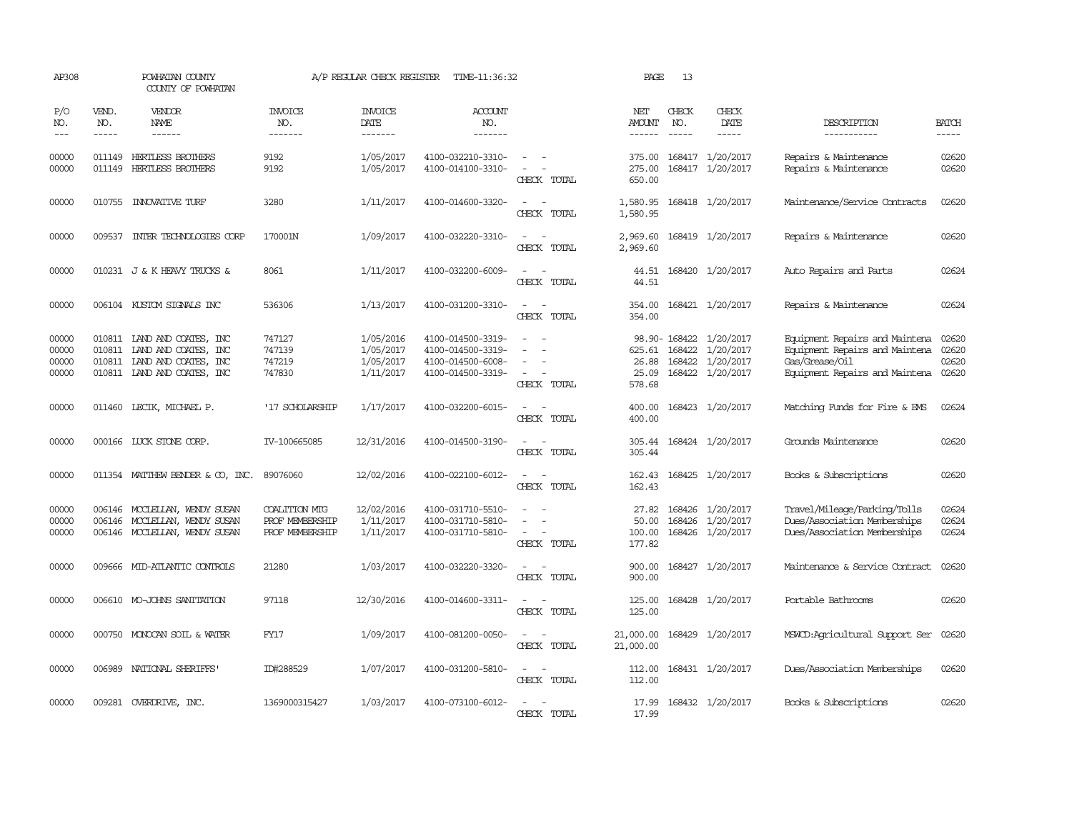| AP308                            |                             | POWHATAN COUNTY<br>COUNTY OF POWHATAN                                                                             |                                                     | A/P REGULAR CHECK REGISTER                       | TIME-11:36:32                                                                    |                                                                     | PAGE                               | 13               |                                                                             |                                                                                                                            |                         |
|----------------------------------|-----------------------------|-------------------------------------------------------------------------------------------------------------------|-----------------------------------------------------|--------------------------------------------------|----------------------------------------------------------------------------------|---------------------------------------------------------------------|------------------------------------|------------------|-----------------------------------------------------------------------------|----------------------------------------------------------------------------------------------------------------------------|-------------------------|
| P/O<br>NO.<br>$\frac{1}{2}$      | VEND.<br>NO.<br>$- - - - -$ | VENDOR<br>NAME<br>------                                                                                          | <b>INVOICE</b><br>NO.<br>-------                    | <b>INVOICE</b><br>DATE<br>-------                | <b>ACCOUNT</b><br>NO.<br>-------                                                 |                                                                     | NET<br><b>AMOUNT</b><br>------     | CHECK<br>NO.     | CHECK<br>DATE<br>-----                                                      | DESCRIPTION<br>-----------                                                                                                 | <b>BATCH</b><br>-----   |
| 00000<br>00000                   |                             | 011149 HERTLESS BROTHERS<br>011149 HERTLESS BROTHERS                                                              | 9192<br>9192                                        | 1/05/2017<br>1/05/2017                           | 4100-032210-3310-<br>4100-014100-3310-                                           | CHECK TOTAL                                                         | 375.00<br>275.00<br>650.00         |                  | 168417 1/20/2017<br>168417 1/20/2017                                        | Repairs & Maintenance<br>Repairs & Maintenance                                                                             | 02620<br>02620          |
| 00000                            |                             | 010755 INNOVATIVE TURF                                                                                            | 3280                                                | 1/11/2017                                        | 4100-014600-3320-                                                                | CHECK TOTAL                                                         | 1,580.95<br>1,580.95               |                  | 168418 1/20/2017                                                            | Maintenance/Service Contracts                                                                                              | 02620                   |
| 00000                            | 009537                      | INIER TECHNOLOGIES CORP                                                                                           | 170001N                                             | 1/09/2017                                        | 4100-032220-3310-                                                                | CHECK TOTAL                                                         | 2,969.60<br>2,969.60               |                  | 168419 1/20/2017                                                            | Repairs & Maintenance                                                                                                      | 02620                   |
| 00000                            |                             | 010231 J & K HEAVY TRUCKS &                                                                                       | 8061                                                | 1/11/2017                                        | 4100-032200-6009-                                                                | $\sim$<br>CHECK TOTAL                                               | 44.51<br>44.51                     |                  | 168420 1/20/2017                                                            | Auto Repairs and Parts                                                                                                     | 02624                   |
| 00000                            |                             | 006104 KUSTOM SIGNALS INC                                                                                         | 536306                                              | 1/13/2017                                        | 4100-031200-3310-                                                                | CHECK TOTAL                                                         | 354.00<br>354.00                   |                  | 168421 1/20/2017                                                            | Repairs & Maintenance                                                                                                      | 02624                   |
| 00000<br>00000<br>00000<br>00000 | 010811                      | 010811 LAND AND COATES, INC<br>010811 LAND AND COATES, INC<br>LAND AND COATES, INC<br>010811 LAND AND COATES, INC | 747127<br>747139<br>747219<br>747830                | 1/05/2016<br>1/05/2017<br>1/05/2017<br>1/11/2017 | 4100-014500-3319-<br>4100-014500-3319-<br>4100-014500-6008-<br>4100-014500-3319- | $\sim$<br>$\sim$<br>CHECK TOTAL                                     | 625.61<br>26.88<br>25.09<br>578.68 | 168422           | 98.90-168422 1/20/2017<br>1/20/2017<br>168422 1/20/2017<br>168422 1/20/2017 | Equipment Repairs and Maintena<br>Equipment Repairs and Maintena<br>Gas/Grease/Oil<br>Equipment Repairs and Maintena 02620 | 02620<br>02620<br>02620 |
| 00000                            |                             | 011460 LECIK, MICHAEL P.                                                                                          | '17 SCHOLARSHIP                                     | 1/17/2017                                        | 4100-032200-6015-                                                                | CHECK TOTAL                                                         | 400.00<br>400.00                   |                  | 168423 1/20/2017                                                            | Matching Funds for Fire & EMS                                                                                              | 02624                   |
| 00000                            |                             | 000166 LUCK STONE CORP.                                                                                           | IV-100665085                                        | 12/31/2016                                       | 4100-014500-3190-                                                                | $\equiv$<br>CHECK TOTAL                                             | 305.44<br>305.44                   |                  | 168424 1/20/2017                                                            | Grounds Maintenance                                                                                                        | 02620                   |
| 00000                            |                             | 011354 MATTHEW BENDER & CO, INC.                                                                                  | 89076060                                            | 12/02/2016                                       | 4100-022100-6012-                                                                | CHECK TOTAL                                                         | 162.43<br>162.43                   |                  | 168425 1/20/2017                                                            | Books & Subscriptions                                                                                                      | 02620                   |
| 00000<br>00000<br>00000          |                             | 006146 MCCLELLAN, WENDY SUSAN<br>006146 MCCLELLAN, WENDY SUSAN<br>006146 MCCLELLAN, WENDY SUSAN                   | COALITION MIG<br>PROF MEMBERSHIP<br>PROF MEMBERSHIP | 12/02/2016<br>1/11/2017<br>1/11/2017             | 4100-031710-5510-<br>4100-031710-5810-<br>4100-031710-5810-                      | $\overline{\phantom{a}}$<br>$\overline{\phantom{a}}$<br>CHECK TOTAL | 27.82<br>50.00<br>100.00<br>177.82 | 168426<br>168426 | 1/20/2017<br>1/20/2017<br>168426 1/20/2017                                  | Travel/Mileage/Parking/Tolls<br>Dues/Association Memberships<br>Dues/Association Memberships                               | 02624<br>02624<br>02624 |
| 00000                            |                             | 009666 MID-ATLANTIC CONTROLS                                                                                      | 21280                                               | 1/03/2017                                        | 4100-032220-3320-                                                                | $\sim$<br>CHECK TOTAL                                               | 900.00<br>900.00                   |                  | 168427 1/20/2017                                                            | Maintenance & Service Contract                                                                                             | 02620                   |
| 00000                            |                             | 006610 MO-JOHNS SANITATION                                                                                        | 97118                                               | 12/30/2016                                       | 4100-014600-3311-                                                                | $\sim$<br>CHECK TOTAL                                               | 125.00<br>125.00                   |                  | 168428 1/20/2017                                                            | Portable Bathrooms                                                                                                         | 02620                   |
| 00000                            |                             | 000750 MONOCAN SOIL & WATER                                                                                       | FY17                                                | 1/09/2017                                        | 4100-081200-0050-                                                                | $\sim$<br>CHECK TOTAL                                               | 21,000.00<br>21,000.00             |                  | 168429 1/20/2017                                                            | MSWCD:Agricultural Support Ser                                                                                             | 02620                   |
| 00000                            | 006989                      | NATIONAL SHERIFFS                                                                                                 | ID#288529                                           | 1/07/2017                                        | 4100-031200-5810-                                                                | $\overline{\phantom{a}}$<br>CHECK TOTAL                             | 112.00<br>112.00                   |                  | 168431 1/20/2017                                                            | Dues/Association Memberships                                                                                               | 02620                   |
| 00000                            |                             | 009281 OVERDRIVE, INC.                                                                                            | 1369000315427                                       | 1/03/2017                                        | 4100-073100-6012-                                                                | CHECK TOTAL                                                         | 17.99<br>17.99                     |                  | 168432 1/20/2017                                                            | Books & Subscriptions                                                                                                      | 02620                   |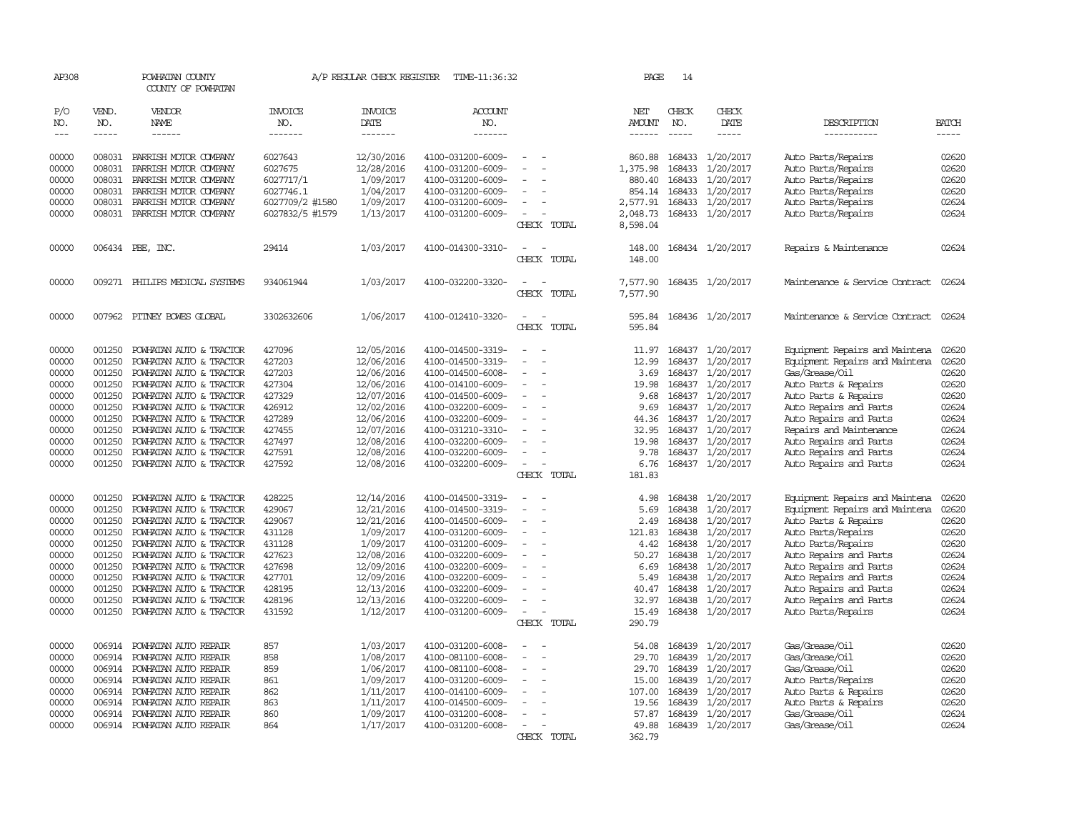| AP308         |             | POWHATAN COUNTY<br>COUNTY OF POWHATAN |                 | A/P REGULAR CHECK REGISTER | TIME-11:36:32     |                                    | PAGE     | 14            |                  |                                |              |
|---------------|-------------|---------------------------------------|-----------------|----------------------------|-------------------|------------------------------------|----------|---------------|------------------|--------------------------------|--------------|
| P/O           | VEND.       | <b>VENDOR</b>                         | INVOICE         | <b>INVOICE</b>             | <b>ACCOUNT</b>    |                                    | NET      | CHECK         | CHECK            |                                |              |
| NO.           | NO.         | NAME                                  | NO.             | DATE                       | NO.               |                                    | AMOUNT   | NO.           | DATE             | DESCRIPTION                    | <b>BATCH</b> |
| $\frac{1}{2}$ | $- - - - -$ | ------                                | -------         | -------                    | -------           |                                    |          | $\frac{1}{2}$ | -----            | -----------                    | -----        |
| 00000         | 008031      | PARRISH MOTOR COMPANY                 | 6027643         | 12/30/2016                 | 4100-031200-6009- |                                    | 860.88   |               | 168433 1/20/2017 | Auto Parts/Repairs             | 02620        |
| 00000         | 008031      | PARRISH MOTOR COMPANY                 | 6027675         | 12/28/2016                 | 4100-031200-6009- | $\overline{\phantom{a}}$           | 1,375.98 | 168433        | 1/20/2017        | Auto Parts/Repairs             | 02620        |
| 00000         | 008031      | PARRISH MOTOR COMPANY                 | 6027717/1       | 1/09/2017                  | 4100-031200-6009- |                                    | 880.40   | 168433        | 1/20/2017        | Auto Parts/Repairs             | 02620        |
| 00000         | 008031      | PARRISH MOTOR COMPANY                 | 6027746.1       | 1/04/2017                  | 4100-031200-6009- |                                    | 854.14   | 168433        | 1/20/2017        | Auto Parts/Repairs             | 02620        |
| 00000         | 008031      | PARRISH MOTOR COMPANY                 | 6027709/2 #1580 | 1/09/2017                  | 4100-031200-6009- |                                    | 2,577.91 | 168433        | 1/20/2017        | Auto Parts/Repairs             | 02624        |
| 00000         | 008031      | PARRISH MOTOR COMPANY                 | 6027832/5 #1579 | 1/13/2017                  | 4100-031200-6009- |                                    | 2,048.73 |               | 168433 1/20/2017 | Auto Parts/Repairs             | 02624        |
|               |             |                                       |                 |                            |                   | CHECK TOTAL                        | 8,598.04 |               |                  |                                |              |
| 00000         |             | 006434 PBE, INC.                      | 29414           | 1/03/2017                  | 4100-014300-3310- |                                    | 148.00   |               | 168434 1/20/2017 | Repairs & Maintenance          | 02624        |
|               |             |                                       |                 |                            |                   | CHECK<br>TOTAL                     | 148.00   |               |                  |                                |              |
| 00000         |             | 009271 PHILIPS MEDICAL SYSTEMS        | 934061944       | 1/03/2017                  | 4100-032200-3320- |                                    | 7,577.90 |               | 168435 1/20/2017 | Maintenance & Service Contract | 02624        |
|               |             |                                       |                 |                            |                   | CHECK TOTAL                        | 7,577.90 |               |                  |                                |              |
| 00000         | 007962      | PITNEY BOWES GLOBAL                   | 3302632606      | 1/06/2017                  | 4100-012410-3320- | $\overline{\phantom{a}}$           | 595.84   |               | 168436 1/20/2017 | Maintenance & Service Contract | 02624        |
|               |             |                                       |                 |                            |                   | CHECK TOTAL                        | 595.84   |               |                  |                                |              |
| 00000         | 001250      | POWHATAN AUTO & TRACTOR               | 427096          | 12/05/2016                 | 4100-014500-3319- |                                    | 11.97    | 168437        | 1/20/2017        | Equipment Repairs and Maintena | 02620        |
| 00000         | 001250      | POWHATAN AUTO & TRACTOR               | 427203          | 12/06/2016                 | 4100-014500-3319- |                                    | 12.99    | 168437        | 1/20/2017        | Equipment Repairs and Maintena | 02620        |
| 00000         | 001250      | POWHATAN AUTO & TRACTOR               | 427203          | 12/06/2016                 | 4100-014500-6008- | $\overline{\phantom{a}}$<br>$\sim$ | 3.69     | 168437        | 1/20/2017        | Gas/Grease/Oil                 | 02620        |
| 00000         | 001250      | POWHATAN AUTO & TRACTOR               | 427304          | 12/06/2016                 | 4100-014100-6009- |                                    | 19.98    | 168437        | 1/20/2017        | Auto Parts & Repairs           | 02620        |
| 00000         | 001250      | POWHATAN AUTO & TRACTOR               | 427329          | 12/07/2016                 | 4100-014500-6009- |                                    | 9.68     | 168437        | 1/20/2017        | Auto Parts & Repairs           | 02620        |
| 00000         | 001250      | POWHATAN AUTO & TRACTOR               | 426912          | 12/02/2016                 | 4100-032200-6009- |                                    | 9.69     |               | 168437 1/20/2017 | Auto Repairs and Parts         | 02624        |
| 00000         | 001250      | POWHATAN AUTO & TRACTOR               | 427289          | 12/06/2016                 | 4100-032200-6009- |                                    | 44.36    | 168437        | 1/20/2017        | Auto Repairs and Parts         | 02624        |
| 00000         | 001250      | POWHATAN AUTO & TRACTOR               | 427455          | 12/07/2016                 | 4100-031210-3310- |                                    | 32.95    | 168437        | 1/20/2017        | Repairs and Maintenance        | 02624        |
| 00000         | 001250      | POWHATAN AUTO & TRACTOR               | 427497          | 12/08/2016                 | 4100-032200-6009- |                                    | 19.98    | 168437        | 1/20/2017        | Auto Repairs and Parts         | 02624        |
| 00000         | 001250      | POWHATAN AUTO & TRACTOR               | 427591          | 12/08/2016                 | 4100-032200-6009- | $\equiv$                           | 9.78     |               | 168437 1/20/2017 | Auto Repairs and Parts         | 02624        |
| 00000         | 001250      | POWHATAN AUTO & TRACTOR               | 427592          | 12/08/2016                 | 4100-032200-6009- | $\equiv$                           | 6.76     |               | 168437 1/20/2017 | Auto Repairs and Parts         | 02624        |
|               |             |                                       |                 |                            |                   | CHECK TOTAL                        | 181.83   |               |                  |                                |              |
| 00000         | 001250      | POWHATAN AUTO & TRACTOR               | 428225          | 12/14/2016                 | 4100-014500-3319- | $\sim$                             | 4.98     | 168438        | 1/20/2017        | Equipment Repairs and Maintena | 02620        |
| 00000         | 001250      | POWHATAN AUTO & TRACTOR               | 429067          | 12/21/2016                 | 4100-014500-3319- |                                    | 5.69     | 168438        | 1/20/2017        | Equipment Repairs and Maintena | 02620        |
| 00000         | 001250      | POWHATAN AUTO & TRACTOR               | 429067          | 12/21/2016                 | 4100-014500-6009- |                                    | 2.49     | 168438        | 1/20/2017        | Auto Parts & Repairs           | 02620        |
| 00000         | 001250      | POWHATAN AUTO & TRACTOR               | 431128          | 1/09/2017                  | 4100-031200-6009- |                                    | 121.83   | 168438        | 1/20/2017        | Auto Parts/Repairs             | 02620        |
| 00000         | 001250      | POWHATAN AUTO & TRACTOR               | 431128          | 1/09/2017                  | 4100-031200-6009- |                                    | 4.42     | 168438        | 1/20/2017        | Auto Parts/Repairs             | 02620        |
| 00000         | 001250      | POWHATAN AUTO & TRACTOR               | 427623          | 12/08/2016                 | 4100-032200-6009- |                                    | 50.27    | 168438        | 1/20/2017        | Auto Repairs and Parts         | 02624        |
| 00000         | 001250      | POWHATAN AUTO & TRACTOR               | 427698          | 12/09/2016                 | 4100-032200-6009- |                                    | 6.69     | 168438        | 1/20/2017        | Auto Repairs and Parts         | 02624        |
| 00000         | 001250      | POWHATAN AUTO & TRACTOR               | 427701          | 12/09/2016                 | 4100-032200-6009- |                                    | 5.49     | 168438        | 1/20/2017        | Auto Repairs and Parts         | 02624        |
| 00000         | 001250      | POWHATAN AUTO & TRACTOR               | 428195          | 12/13/2016                 | 4100-032200-6009- |                                    | 40.47    | 168438        | 1/20/2017        | Auto Repairs and Parts         | 02624        |
| 00000         | 001250      | POWHATAN AUTO & TRACTOR               | 428196          | 12/13/2016                 | 4100-032200-6009- |                                    | 32.97    | 168438        | 1/20/2017        | Auto Repairs and Parts         | 02624        |
| 00000         | 001250      | POWHATAN AUTO & TRACTOR               | 431592          | 1/12/2017                  | 4100-031200-6009- |                                    | 15.49    | 168438        | 1/20/2017        | Auto Parts/Repairs             | 02624        |
|               |             |                                       |                 |                            |                   | CHECK TOTAL                        | 290.79   |               |                  |                                |              |
| 00000         | 006914      | POWHATAN AUTO REPAIR                  | 857             | 1/03/2017                  | 4100-031200-6008- |                                    | 54.08    | 168439        | 1/20/2017        | Gas/Grease/Oil                 | 02620        |
| 00000         | 006914      | POWHATAN AUTO REPAIR                  | 858             | 1/08/2017                  | 4100-081100-6008- |                                    | 29.70    | 168439        | 1/20/2017        | Gas/Grease/Oil                 | 02620        |
| 00000         | 006914      | POWHATAN AUTO REPAIR                  | 859             | 1/06/2017                  | 4100-081100-6008- |                                    | 29.70    | 168439        | 1/20/2017        | Gas/Grease/Oil                 | 02620        |
| 00000         | 006914      | POWHATAN AUTO REPAIR                  | 861             | 1/09/2017                  | 4100-031200-6009- |                                    | 15.00    | 168439        | 1/20/2017        | Auto Parts/Repairs             | 02620        |
| 00000         | 006914      | POWHATAN AUTO REPAIR                  | 862             | 1/11/2017                  | 4100-014100-6009- |                                    | 107.00   | 168439        | 1/20/2017        | Auto Parts & Repairs           | 02620        |
| 00000         | 006914      | POWHATAN AUTO REPAIR                  | 863             | 1/11/2017                  | 4100-014500-6009- |                                    | 19.56    | 168439        | 1/20/2017        | Auto Parts & Repairs           | 02620        |
| 00000         | 006914      | POWHATAN AUTO REPAIR                  | 860             | 1/09/2017                  | 4100-031200-6008- |                                    | 57.87    | 168439        | 1/20/2017        | Gas/Grease/Oil                 | 02624        |
| 00000         |             | 006914 POWHATAN AUTO REPAIR           | 864             | 1/17/2017                  | 4100-031200-6008- | $\overline{\phantom{a}}$           | 49.88    |               | 168439 1/20/2017 | Gas/Grease/Oil                 | 02624        |
|               |             |                                       |                 |                            |                   | CHECK TOTAL                        | 362.79   |               |                  |                                |              |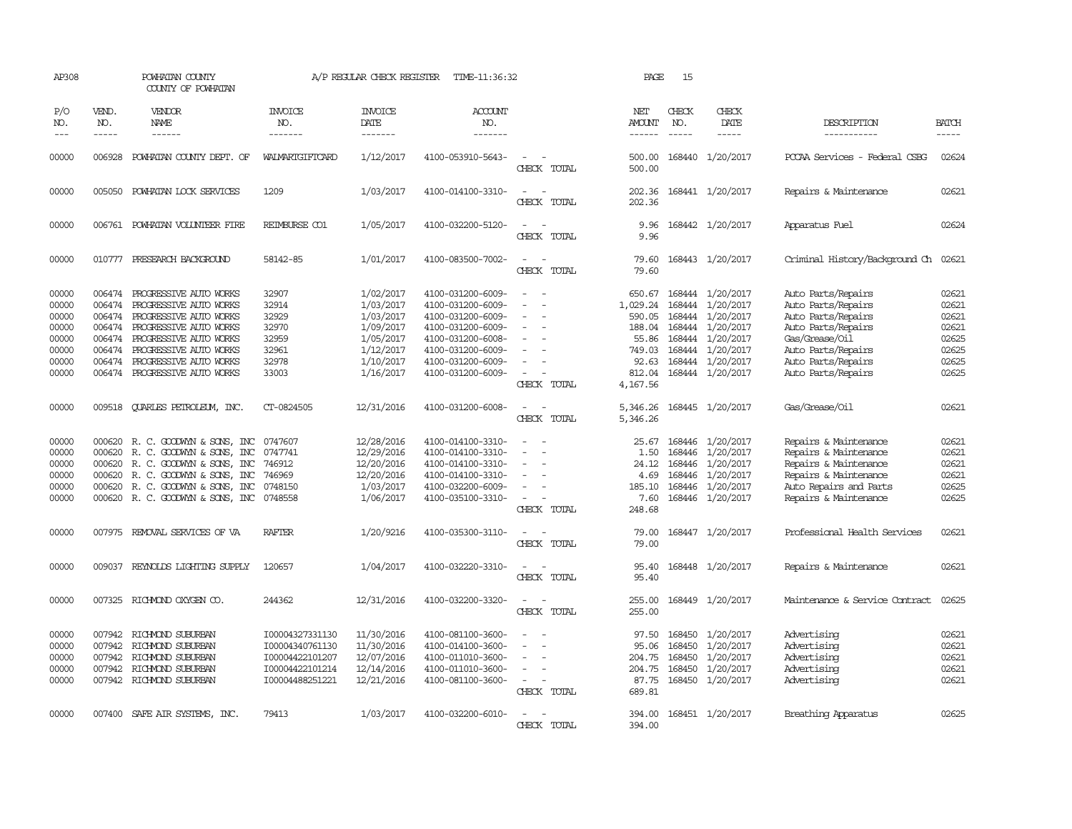| AP308                                                                |                                                          | POWHATAN COUNTY<br>COUNTY OF POWHATAN                                                                                                                                                                                      |                                                                                             | A/P REGULAR CHECK REGISTER                                                                           | TIME-11:36:32                                                                                                                                                        |                                                                     | PAGE                                                                                     | 15                                   |                                                                                                                                                              |                                                                                                                                                                          |                                                                      |
|----------------------------------------------------------------------|----------------------------------------------------------|----------------------------------------------------------------------------------------------------------------------------------------------------------------------------------------------------------------------------|---------------------------------------------------------------------------------------------|------------------------------------------------------------------------------------------------------|----------------------------------------------------------------------------------------------------------------------------------------------------------------------|---------------------------------------------------------------------|------------------------------------------------------------------------------------------|--------------------------------------|--------------------------------------------------------------------------------------------------------------------------------------------------------------|--------------------------------------------------------------------------------------------------------------------------------------------------------------------------|----------------------------------------------------------------------|
| P/O<br>NO.<br>$---$                                                  | VEND.<br>NO.<br>$- - - - -$                              | VENDOR<br><b>NAME</b><br>$- - - - - -$                                                                                                                                                                                     | <b>INVOICE</b><br>NO.<br>-------                                                            | <b>INVOICE</b><br>DATE<br>-------                                                                    | <b>ACCOUNT</b><br>NO.<br>-------                                                                                                                                     |                                                                     | NET<br><b>AMOUNT</b><br>------                                                           | CHECK<br>NO.<br>$- - - - -$          | CHECK<br>DATE<br>-----                                                                                                                                       | DESCRIPTION<br>-----------                                                                                                                                               | <b>BATCH</b><br>-----                                                |
| 00000                                                                | 006928                                                   | POWHATAN COUNTY DEPT. OF                                                                                                                                                                                                   | WALMARIGIFICARD                                                                             | 1/12/2017                                                                                            | 4100-053910-5643-                                                                                                                                                    | $\equiv$<br>CHECK TOTAL                                             | 500.00<br>500.00                                                                         |                                      | 168440 1/20/2017                                                                                                                                             | PCCAA Services - Federal CSBG                                                                                                                                            | 02624                                                                |
| 00000                                                                |                                                          | 005050 POWHATAN LOCK SERVICES                                                                                                                                                                                              | 1209                                                                                        | 1/03/2017                                                                                            | 4100-014100-3310-                                                                                                                                                    | $\equiv$<br>CHECK TOTAL                                             | 202.36<br>202.36                                                                         |                                      | 168441 1/20/2017                                                                                                                                             | Repairs & Maintenance                                                                                                                                                    | 02621                                                                |
| 00000                                                                |                                                          | 006761 POWHATAN VOLUNTEER FIRE                                                                                                                                                                                             | REIMBURSE CO1                                                                               | 1/05/2017                                                                                            | 4100-032200-5120-                                                                                                                                                    | CHECK TOTAL                                                         | 9.96<br>9.96                                                                             |                                      | 168442 1/20/2017                                                                                                                                             | Apparatus Fuel                                                                                                                                                           | 02624                                                                |
| 00000                                                                |                                                          | 010777 PRESEARCH BACKGROUND                                                                                                                                                                                                | 58142-85                                                                                    | 1/01/2017                                                                                            | 4100-083500-7002-                                                                                                                                                    | $\sim$<br>CHECK TOTAL                                               | 79.60<br>79.60                                                                           |                                      | 168443 1/20/2017                                                                                                                                             | Criminal History/Background Ch 02621                                                                                                                                     |                                                                      |
| 00000<br>00000<br>00000<br>00000<br>00000<br>00000<br>00000<br>00000 | 006474<br>006474<br>006474<br>006474<br>006474<br>006474 | PROGRESSIVE AUTO WORKS<br>PROGRESSIVE AUTO WORKS<br>006474 PROGRESSIVE AUTO WORKS<br>PROGRESSIVE AUTO WORKS<br>PROGRESSIVE AUTO WORKS<br>PROGRESSIVE AUTO WORKS<br>PROGRESSIVE AUTO WORKS<br>006474 PROGRESSIVE AUTO WORKS | 32907<br>32914<br>32929<br>32970<br>32959<br>32961<br>32978<br>33003                        | 1/02/2017<br>1/03/2017<br>1/03/2017<br>1/09/2017<br>1/05/2017<br>1/12/2017<br>1/10/2017<br>1/16/2017 | 4100-031200-6009-<br>4100-031200-6009-<br>4100-031200-6009-<br>4100-031200-6009-<br>4100-031200-6008-<br>4100-031200-6009-<br>4100-031200-6009-<br>4100-031200-6009- | $\equiv$<br>$\overline{\phantom{a}}$<br>$\equiv$<br>CHECK TOTAL     | 650.67<br>1,029.24<br>590.05<br>188.04<br>55.86<br>749.03<br>92.63<br>812.04<br>4,167.56 |                                      | 168444 1/20/2017<br>168444 1/20/2017<br>168444 1/20/2017<br>168444 1/20/2017<br>168444 1/20/2017<br>168444 1/20/2017<br>168444 1/20/2017<br>168444 1/20/2017 | Auto Parts/Repairs<br>Auto Parts/Repairs<br>Auto Parts/Repairs<br>Auto Parts/Repairs<br>Gas/Grease/Oil<br>Auto Parts/Repairs<br>Auto Parts/Repairs<br>Auto Parts/Repairs | 02621<br>02621<br>02621<br>02621<br>02625<br>02625<br>02625<br>02625 |
| 00000                                                                | 009518                                                   | QUARLES PETROLEUM, INC.                                                                                                                                                                                                    | CT-0824505                                                                                  | 12/31/2016                                                                                           | 4100-031200-6008-                                                                                                                                                    | $\equiv$<br>CHECK TOTAL                                             | 5,346.26<br>5,346.26                                                                     |                                      | 168445 1/20/2017                                                                                                                                             | Gas/Grease/Oil                                                                                                                                                           | 02621                                                                |
| 00000<br>00000<br>00000<br>00000<br>00000<br>00000                   | 000620<br>000620<br>000620<br>000620                     | R. C. GOODWYN & SONS, INC<br>R. C. GOODWYN & SONS, INC<br>R. C. GOODWYN & SONS, INC<br>R. C. GOODWYN & SONS, INC<br>000620 R. C. GOODWYN & SONS, INC<br>000620 R. C. GOODWYN & SONS, INC 0748558                           | 0747607<br>0747741<br>746912<br>746969<br>0748150                                           | 12/28/2016<br>12/29/2016<br>12/20/2016<br>12/20/2016<br>1/03/2017<br>1/06/2017                       | 4100-014100-3310-<br>4100-014100-3310-<br>4100-014100-3310-<br>4100-014100-3310-<br>4100-032200-6009-<br>4100-035100-3310-                                           | $\sim$<br>$\equiv$<br>CHECK TOTAL                                   | 25.67<br>1.50<br>24.12<br>4.69<br>185.10<br>7.60<br>248.68                               | 168446                               | 168446 1/20/2017<br>1/20/2017<br>168446 1/20/2017<br>168446 1/20/2017<br>168446 1/20/2017<br>168446 1/20/2017                                                | Repairs & Maintenance<br>Repairs & Maintenance<br>Repairs & Maintenance<br>Repairs & Maintenance<br>Auto Repairs and Parts<br>Repairs & Maintenance                      | 02621<br>02621<br>02621<br>02621<br>02625<br>02625                   |
| 00000                                                                | 007975                                                   | REMOVAL SERVICES OF VA                                                                                                                                                                                                     | <b>RAFTER</b>                                                                               | 1/20/9216                                                                                            | 4100-035300-3110-                                                                                                                                                    | CHECK TOTAL                                                         | 79.00<br>79.00                                                                           |                                      | 168447 1/20/2017                                                                                                                                             | Professional Health Services                                                                                                                                             | 02621                                                                |
| 00000                                                                | 009037                                                   | REYNOLDS LIGHTING SUPPLY                                                                                                                                                                                                   | 120657                                                                                      | 1/04/2017                                                                                            | 4100-032220-3310-                                                                                                                                                    | CHECK TOTAL                                                         | 95.40<br>95.40                                                                           |                                      | 168448 1/20/2017                                                                                                                                             | Repairs & Maintenance                                                                                                                                                    | 02621                                                                |
| 00000                                                                | 007325                                                   | RICHMOND OXYGEN CO.                                                                                                                                                                                                        | 244362                                                                                      | 12/31/2016                                                                                           | 4100-032200-3320-                                                                                                                                                    | CHECK TOTAL                                                         | 255.00<br>255.00                                                                         |                                      | 168449 1/20/2017                                                                                                                                             | Maintenance & Service Contract                                                                                                                                           | 02625                                                                |
| 00000<br>00000<br>00000<br>00000<br>00000                            | 007942<br>007942                                         | 007942 RICHMOND SUBURBAN<br>RICHMOND SUBURBAN<br>RICHMOND SUBURBAN<br>007942 RICHMOND SUBURBAN<br>007942 RICHMOND SUBURBAN                                                                                                 | I00004327331130<br>I00004340761130<br>I00004422101207<br>100004422101214<br>I00004488251221 | 11/30/2016<br>11/30/2016<br>12/07/2016<br>12/14/2016<br>12/21/2016                                   | 4100-081100-3600-<br>4100-014100-3600-<br>4100-011010-3600-<br>4100-011010-3600-<br>4100-081100-3600-                                                                | $\overline{\phantom{a}}$<br>$\overline{\phantom{a}}$<br>CHECK TOTAL | 97.50<br>95.06<br>204.75<br>204.75<br>87.75<br>689.81                                    | 168450<br>168450<br>168450<br>168450 | 1/20/2017<br>1/20/2017<br>1/20/2017<br>1/20/2017<br>168450 1/20/2017                                                                                         | Advertising<br>Advertising<br>Advertising<br>Advertising<br>Advertising                                                                                                  | 02621<br>02621<br>02621<br>02621<br>02621                            |
| 00000                                                                |                                                          | 007400 SAFE AIR SYSTEMS, INC.                                                                                                                                                                                              | 79413                                                                                       | 1/03/2017                                                                                            | 4100-032200-6010-                                                                                                                                                    | $\equiv$<br>CHECK TOTAL                                             | 394.00<br>394.00                                                                         |                                      | 168451 1/20/2017                                                                                                                                             | Breathing Apparatus                                                                                                                                                      | 02625                                                                |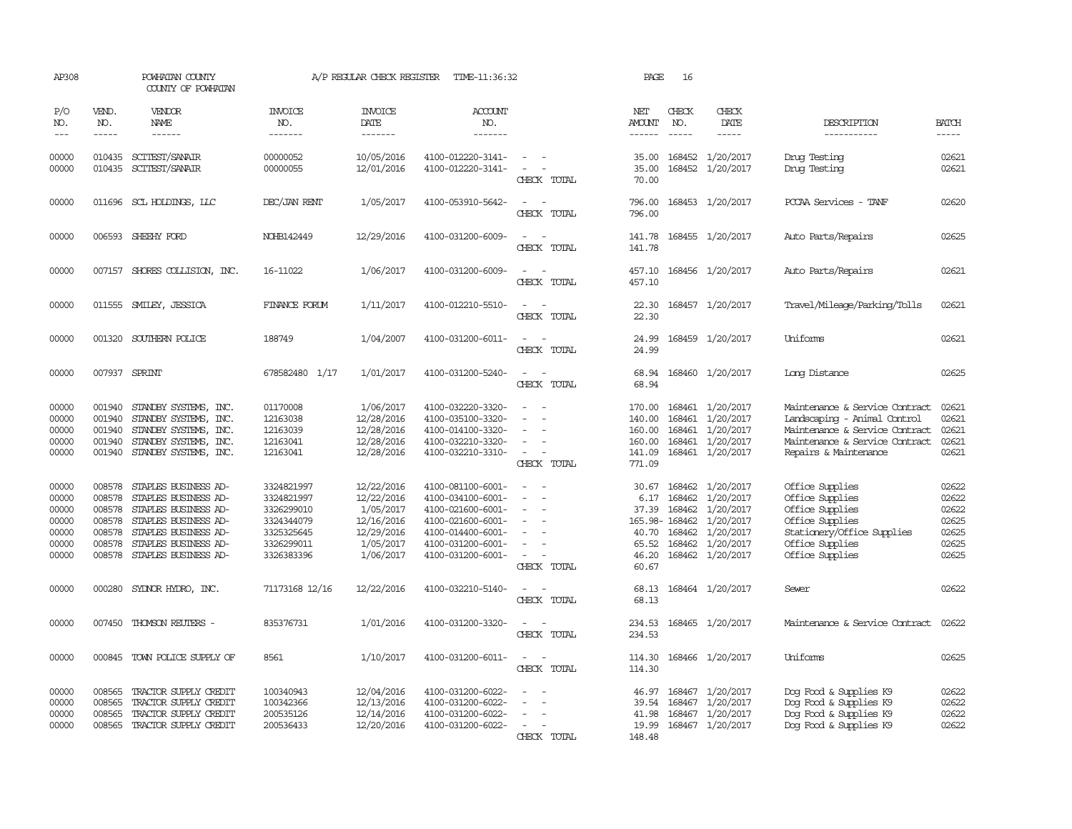| AP308                                                       |                                                                    | POWHATAN COUNTY<br>COUNTY OF POWHATAN                                                                                                                                |                                                                                                | A/P REGULAR CHECK REGISTER                                                                  | TIME-11:36:32                                                                                                                                   |                                                                               | PAGE                                                                        | 16                                   |                                                                                                       |                                                                                                                                                             |                                                             |
|-------------------------------------------------------------|--------------------------------------------------------------------|----------------------------------------------------------------------------------------------------------------------------------------------------------------------|------------------------------------------------------------------------------------------------|---------------------------------------------------------------------------------------------|-------------------------------------------------------------------------------------------------------------------------------------------------|-------------------------------------------------------------------------------|-----------------------------------------------------------------------------|--------------------------------------|-------------------------------------------------------------------------------------------------------|-------------------------------------------------------------------------------------------------------------------------------------------------------------|-------------------------------------------------------------|
| P/O<br>NO.<br>$- - -$                                       | VEND.<br>NO.<br>$- - - - -$                                        | VENDOR<br>NAME<br>------                                                                                                                                             | <b>INVOICE</b><br>NO.<br>-------                                                               | <b>INVOICE</b><br>DATE<br>$- - - - - - -$                                                   | <b>ACCOUNT</b><br>NO.<br>-------                                                                                                                |                                                                               | NET<br>NO.<br>AMOUNT<br>$- - - - - -$                                       | CHECK<br>$- - - - -$                 | CHECK<br>DATE<br>-----                                                                                | DESCRIPTION<br>-----------                                                                                                                                  | <b>BATCH</b><br>$- - - - -$                                 |
| 00000<br>00000                                              | 010435<br>010435                                                   | SCITEST/SANAIR<br>SCITEST/SANAIR                                                                                                                                     | 00000052<br>00000055                                                                           | 10/05/2016<br>12/01/2016                                                                    | 4100-012220-3141-<br>4100-012220-3141-                                                                                                          | $ -$<br>$\overline{\phantom{a}}$<br>CHECK TOTAL                               | 35.00<br>35.00<br>70.00                                                     | 168452                               | 168452 1/20/2017<br>1/20/2017                                                                         | Drug Testing<br>Drug Testing                                                                                                                                | 02621<br>02621                                              |
| 00000                                                       |                                                                    | 011696 SCL HOLDINGS, LLC                                                                                                                                             | DEC/JAN RENT                                                                                   | 1/05/2017                                                                                   | 4100-053910-5642-                                                                                                                               | CHECK TOTAL                                                                   | 796.00<br>796.00                                                            |                                      | 168453 1/20/2017                                                                                      | PCCAA Services - TANF                                                                                                                                       | 02620                                                       |
| 00000                                                       |                                                                    | 006593 SHEEHY FORD                                                                                                                                                   | NOHB142449                                                                                     | 12/29/2016                                                                                  | 4100-031200-6009-                                                                                                                               | CHECK TOTAL                                                                   | 141.78<br>141.78                                                            |                                      | 168455 1/20/2017                                                                                      | Auto Parts/Repairs                                                                                                                                          | 02625                                                       |
| 00000                                                       |                                                                    | 007157 SHORES COLLISION, INC.                                                                                                                                        | 16-11022                                                                                       | 1/06/2017                                                                                   | 4100-031200-6009-                                                                                                                               | CHECK TOTAL                                                                   | 457.10<br>457.10                                                            |                                      | 168456 1/20/2017                                                                                      | Auto Parts/Repairs                                                                                                                                          | 02621                                                       |
| 00000                                                       |                                                                    | 011555 SMILEY, JESSICA                                                                                                                                               | FINANCE FORUM                                                                                  | 1/11/2017                                                                                   | 4100-012210-5510-                                                                                                                               | CHECK TOTAL                                                                   | 22.30<br>22.30                                                              |                                      | 168457 1/20/2017                                                                                      | Travel/Mileage/Parking/Tolls                                                                                                                                | 02621                                                       |
| 00000                                                       | 001320                                                             | SOUTHERN POLICE                                                                                                                                                      | 188749                                                                                         | 1/04/2007                                                                                   | 4100-031200-6011-                                                                                                                               | CHECK TOTAL                                                                   | 24.99<br>24.99                                                              |                                      | 168459 1/20/2017                                                                                      | Uniforms                                                                                                                                                    | 02621                                                       |
| 00000                                                       |                                                                    | 007937 SPRINT                                                                                                                                                        | 678582480 1/17                                                                                 | 1/01/2017                                                                                   | 4100-031200-5240-                                                                                                                               | $\overline{\phantom{a}}$<br>CHECK TOTAL                                       | 68.94<br>68.94                                                              |                                      | 168460 1/20/2017                                                                                      | Long Distance                                                                                                                                               | 02625                                                       |
| 00000<br>00000<br>00000<br>00000<br>00000                   | 001940<br>001940<br>001940<br>001940<br>001940                     | STANDBY SYSTEMS, INC.<br>STANDBY SYSTEMS, INC.<br>STANDBY SYSTEMS, INC.<br>STANDBY SYSTEMS, INC.<br>STANDBY SYSTEMS, INC.                                            | 01170008<br>12163038<br>12163039<br>12163041<br>12163041                                       | 1/06/2017<br>12/28/2016<br>12/28/2016<br>12/28/2016<br>12/28/2016                           | 4100-032220-3320-<br>4100-035100-3320-<br>4100-014100-3320-<br>4100-032210-3320-<br>4100-032210-3310-                                           | $\overline{\phantom{a}}$<br>$\sim$<br>$\overline{\phantom{a}}$<br>CHECK TOTAL | 170.00<br>140.00<br>160.00<br>160.00<br>141.09<br>771.09                    | 168461                               | 168461 1/20/2017<br>1/20/2017<br>168461 1/20/2017<br>168461 1/20/2017<br>168461 1/20/2017             | Maintenance & Service Contract<br>Landscaping - Animal Control<br>Maintenance & Service Contract<br>Maintenance & Service Contract<br>Repairs & Maintenance | 02621<br>02621<br>02621<br>02621<br>02621                   |
| 00000<br>00000<br>00000<br>00000<br>00000<br>00000<br>00000 | 008578<br>008578<br>008578<br>008578<br>008578<br>008578<br>008578 | STAPLES BUSINESS AD-<br>STAPLES BUSINESS AD-<br>STAPLES BUSINESS AD-<br>STAPLES BUSINESS AD-<br>STAPLES BUSINESS AD-<br>STAPLES BUSINESS AD-<br>STAPLES BUSINESS AD- | 3324821997<br>3324821997<br>3326299010<br>3324344079<br>3325325645<br>3326299011<br>3326383396 | 12/22/2016<br>12/22/2016<br>1/05/2017<br>12/16/2016<br>12/29/2016<br>1/05/2017<br>1/06/2017 | 4100-081100-6001-<br>4100-034100-6001-<br>4100-021600-6001-<br>4100-021600-6001-<br>4100-014400-6001-<br>4100-031200-6001-<br>4100-031200-6001- | $\overline{\phantom{a}}$<br>CHECK TOTAL                                       | 30.67<br>6.17<br>37.39<br>165.98-168462<br>40.70<br>65.52<br>46.20<br>60.67 | 168462<br>168462<br>168462<br>168462 | 168462 1/20/2017<br>1/20/2017<br>1/20/2017<br>1/20/2017<br>1/20/2017<br>1/20/2017<br>168462 1/20/2017 | Office Supplies<br>Office Supplies<br>Office Supplies<br>Office Supplies<br>Stationery/Office Supplies<br>Office Supplies<br>Office Supplies                | 02622<br>02622<br>02622<br>02625<br>02625<br>02625<br>02625 |
| 00000                                                       | 000280                                                             | SYLNOR HYDRO, INC.                                                                                                                                                   | 71173168 12/16                                                                                 | 12/22/2016                                                                                  | 4100-032210-5140-                                                                                                                               | CHECK TOTAL                                                                   | 68.13<br>68.13                                                              |                                      | 168464 1/20/2017                                                                                      | Sewer                                                                                                                                                       | 02622                                                       |
| 00000                                                       | 007450                                                             | THOMSON REUTERS -                                                                                                                                                    | 835376731                                                                                      | 1/01/2016                                                                                   | 4100-031200-3320-                                                                                                                               | CHECK TOTAL                                                                   | 234.53<br>234.53                                                            |                                      | 168465 1/20/2017                                                                                      | Maintenance & Service Contract                                                                                                                              | 02622                                                       |
| 00000                                                       |                                                                    | 000845 TOWN POLICE SUPPLY OF                                                                                                                                         | 8561                                                                                           | 1/10/2017                                                                                   | 4100-031200-6011-                                                                                                                               | $\sim$<br>CHECK TOTAL                                                         | 114.30<br>114.30                                                            |                                      | 168466 1/20/2017                                                                                      | Uniforms                                                                                                                                                    | 02625                                                       |
| 00000<br>00000<br>00000<br>00000                            | 008565<br>008565<br>008565<br>008565                               | TRACTOR SUPPLY CREDIT<br>TRACTOR SUPPLY CREDIT<br>TRACTOR SUPPLY CREDIT<br>TRACTOR SUPPLY CREDIT                                                                     | 100340943<br>100342366<br>200535126<br>200536433                                               | 12/04/2016<br>12/13/2016<br>12/14/2016<br>12/20/2016                                        | 4100-031200-6022-<br>4100-031200-6022-<br>4100-031200-6022-<br>4100-031200-6022-                                                                | CHECK TOTAL                                                                   | 46.97<br>39.54<br>41.98<br>19.99<br>148.48                                  | 168467<br>168467                     | 168467 1/20/2017<br>1/20/2017<br>1/20/2017<br>168467 1/20/2017                                        | Dog Food & Supplies K9<br>Dog Food & Supplies K9<br>Dog Food & Supplies K9<br>Dog Food & Supplies K9                                                        | 02622<br>02622<br>02622<br>02622                            |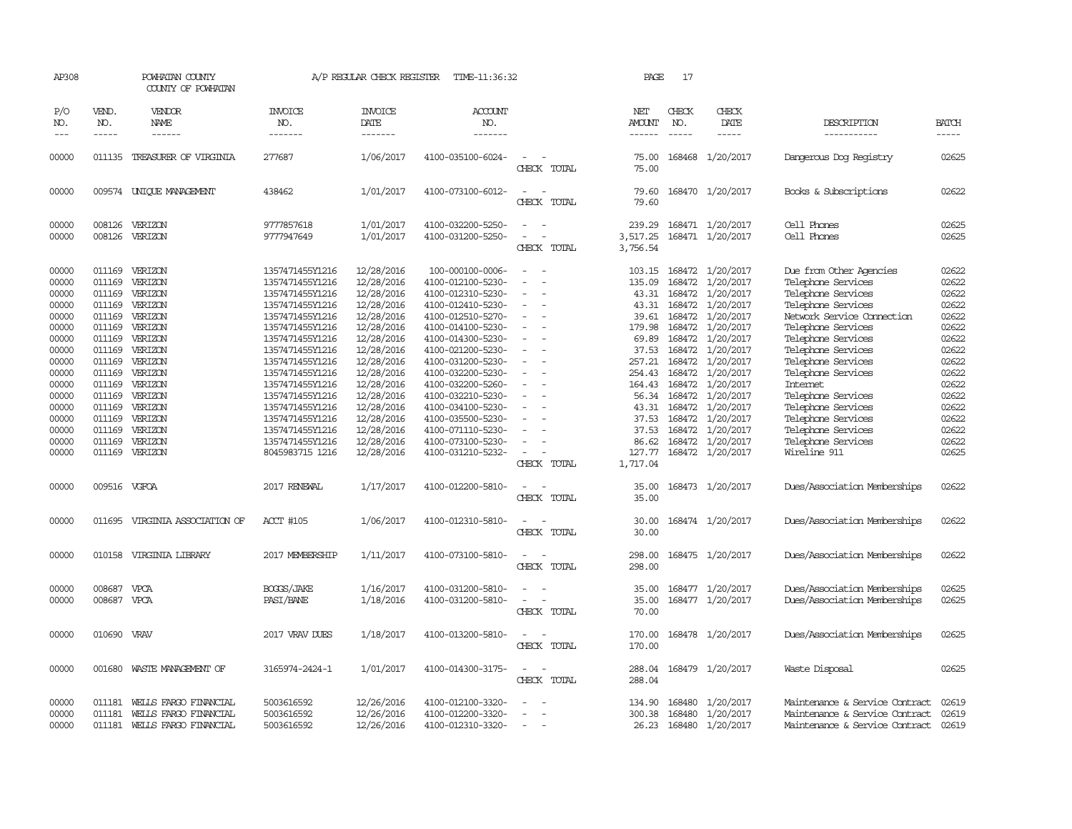| AP308                                                                                                                                                 |                                                                                                                                                                        | POWHATAN COUNTY<br>COUNTY OF POWHATAN                                                                                                                                                   |                                                                                                                                                                                                                                                                                                                                 | A/P REGULAR CHECK REGISTER                                                                                                                                                                                                                 | TIME-11:36:32                                                                                                                                                                                                                                                                                                                                                    |                                                           | PAGE                                                                                                                                                            | 17                            |                                                                                                                                                                                                                                                                                                                                   |                                                                                                                                                                                                                                                                                                                                                                                 |                                                                                                                                                       |
|-------------------------------------------------------------------------------------------------------------------------------------------------------|------------------------------------------------------------------------------------------------------------------------------------------------------------------------|-----------------------------------------------------------------------------------------------------------------------------------------------------------------------------------------|---------------------------------------------------------------------------------------------------------------------------------------------------------------------------------------------------------------------------------------------------------------------------------------------------------------------------------|--------------------------------------------------------------------------------------------------------------------------------------------------------------------------------------------------------------------------------------------|------------------------------------------------------------------------------------------------------------------------------------------------------------------------------------------------------------------------------------------------------------------------------------------------------------------------------------------------------------------|-----------------------------------------------------------|-----------------------------------------------------------------------------------------------------------------------------------------------------------------|-------------------------------|-----------------------------------------------------------------------------------------------------------------------------------------------------------------------------------------------------------------------------------------------------------------------------------------------------------------------------------|---------------------------------------------------------------------------------------------------------------------------------------------------------------------------------------------------------------------------------------------------------------------------------------------------------------------------------------------------------------------------------|-------------------------------------------------------------------------------------------------------------------------------------------------------|
| P/O<br>NO.<br>$- - -$                                                                                                                                 | VEND.<br>NO.<br>$\frac{1}{2}$                                                                                                                                          | VENDOR<br>NAME<br>------                                                                                                                                                                | <b>INVOICE</b><br>NO.<br>-------                                                                                                                                                                                                                                                                                                | <b>INVOICE</b><br>DATE<br>--------                                                                                                                                                                                                         | ACCOUNT<br>NO.<br>-------                                                                                                                                                                                                                                                                                                                                        |                                                           | NET<br>AMOUNT<br>$- - - - - -$                                                                                                                                  | CHECK<br>NO.<br>$\frac{1}{2}$ | CHECK<br>DATE<br>$- - - - -$                                                                                                                                                                                                                                                                                                      | DESCRIPTION<br>-----------                                                                                                                                                                                                                                                                                                                                                      | <b>BATCH</b><br>$- - - - -$                                                                                                                           |
| 00000                                                                                                                                                 |                                                                                                                                                                        | 011135 TREASURER OF VIRGINIA                                                                                                                                                            | 277687                                                                                                                                                                                                                                                                                                                          | 1/06/2017                                                                                                                                                                                                                                  | 4100-035100-6024-                                                                                                                                                                                                                                                                                                                                                | $\equiv$<br>CHECK TOTAL                                   | 75.00<br>75.00                                                                                                                                                  |                               | 168468 1/20/2017                                                                                                                                                                                                                                                                                                                  | Dangerous Dog Registry                                                                                                                                                                                                                                                                                                                                                          | 02625                                                                                                                                                 |
| 00000                                                                                                                                                 |                                                                                                                                                                        | 009574 UNIOUE MANAGEMENT                                                                                                                                                                | 438462                                                                                                                                                                                                                                                                                                                          | 1/01/2017                                                                                                                                                                                                                                  | 4100-073100-6012-                                                                                                                                                                                                                                                                                                                                                | $\sim$<br>CHECK TOTAL                                     | 79.60<br>79.60                                                                                                                                                  |                               | 168470 1/20/2017                                                                                                                                                                                                                                                                                                                  | Books & Subscriptions                                                                                                                                                                                                                                                                                                                                                           | 02622                                                                                                                                                 |
| 00000<br>00000                                                                                                                                        | 008126<br>008126                                                                                                                                                       | VERIZON<br>VERIZON                                                                                                                                                                      | 9777857618<br>9777947649                                                                                                                                                                                                                                                                                                        | 1/01/2017<br>1/01/2017                                                                                                                                                                                                                     | 4100-032200-5250-<br>4100-031200-5250-                                                                                                                                                                                                                                                                                                                           | CHECK TOTAL                                               | 239.29<br>3,517.25<br>3,756.54                                                                                                                                  |                               | 168471 1/20/2017<br>168471 1/20/2017                                                                                                                                                                                                                                                                                              | Cell Phones<br>Cell Phones                                                                                                                                                                                                                                                                                                                                                      | 02625<br>02625                                                                                                                                        |
| 00000<br>00000<br>00000<br>00000<br>00000<br>00000<br>00000<br>00000<br>00000<br>00000<br>00000<br>00000<br>00000<br>00000<br>00000<br>00000<br>00000 | 011169<br>011169<br>011169<br>011169<br>011169<br>011169<br>011169<br>011169<br>011169<br>011169<br>011169<br>011169<br>011169<br>011169<br>011169<br>011169<br>011169 | VERIZON<br>VERIZON<br>VERIZON<br>VERIZON<br>VERIZON<br>VERIZON<br>VERIZON<br>VERIZON<br>VERIZON<br>VERIZON<br>VERIZON<br>VERIZON<br>VERIZON<br>VERIZON<br>VERIZON<br>VERIZON<br>VERIZON | 1357471455Y1216<br>1357471455Y1216<br>1357471455Y1216<br>1357471455Y1216<br>1357471455Y1216<br>1357471455Y1216<br>1357471455Y1216<br>1357471455Y1216<br>1357471455Y1216<br>1357471455Y1216<br>1357471455Y1216<br>1357471455Y1216<br>1357471455Y1216<br>1357471455Y1216<br>1357471455Y1216<br>1357471455Y1216<br>8045983715 1216 | 12/28/2016<br>12/28/2016<br>12/28/2016<br>12/28/2016<br>12/28/2016<br>12/28/2016<br>12/28/2016<br>12/28/2016<br>12/28/2016<br>12/28/2016<br>12/28/2016<br>12/28/2016<br>12/28/2016<br>12/28/2016<br>12/28/2016<br>12/28/2016<br>12/28/2016 | 100-000100-0006-<br>4100-012100-5230-<br>4100-012310-5230-<br>4100-012410-5230-<br>4100-012510-5270-<br>4100-014100-5230-<br>4100-014300-5230-<br>4100-021200-5230-<br>4100-031200-5230-<br>4100-032200-5230-<br>4100-032200-5260-<br>4100-032210-5230-<br>4100-034100-5230-<br>4100-035500-5230-<br>4100-071110-5230-<br>4100-073100-5230-<br>4100-031210-5232- | $\sim$<br>$\equiv$<br>$\equiv$<br>$\equiv$<br>CHECK TOTAL | 103.15<br>135.09<br>43.31<br>39.61<br>179.98<br>69.89<br>37.53<br>257.21<br>254.43<br>164.43<br>56.34<br>43.31<br>37.53<br>37.53<br>86.62<br>127.77<br>1,717.04 | 168472<br>168472<br>168472    | 168472 1/20/2017<br>1/20/2017<br>168472 1/20/2017<br>43.31 168472 1/20/2017<br>168472 1/20/2017<br>168472 1/20/2017<br>168472 1/20/2017<br>1/20/2017<br>1/20/2017<br>168472 1/20/2017<br>168472 1/20/2017<br>168472 1/20/2017<br>168472 1/20/2017<br>168472 1/20/2017<br>168472 1/20/2017<br>168472 1/20/2017<br>168472 1/20/2017 | Due from Other Agencies<br>Telephone Services<br>Telephone Services<br>Telephone Services<br>Network Service Connection<br>Telephone Services<br>Telephone Services<br>Telephone Services<br>Telephone Services<br>Telephone Services<br>Internet<br>Telephone Services<br>Telephone Services<br>Telephone Services<br>Telephone Services<br>Telephone Services<br>Wireline 911 | 02622<br>02622<br>02622<br>02622<br>02622<br>02622<br>02622<br>02622<br>02622<br>02622<br>02622<br>02622<br>02622<br>02622<br>02622<br>02622<br>02625 |
| 00000                                                                                                                                                 | 009516 VGFOA                                                                                                                                                           |                                                                                                                                                                                         | 2017 RENEWAL                                                                                                                                                                                                                                                                                                                    | 1/17/2017                                                                                                                                                                                                                                  | 4100-012200-5810-                                                                                                                                                                                                                                                                                                                                                | CHECK TOTAL                                               | 35.00<br>35.00                                                                                                                                                  |                               | 168473 1/20/2017                                                                                                                                                                                                                                                                                                                  | Dues/Association Memberships                                                                                                                                                                                                                                                                                                                                                    | 02622                                                                                                                                                 |
| 00000                                                                                                                                                 | 011695                                                                                                                                                                 | VIRGINIA ASSOCIATION OF                                                                                                                                                                 | <b>ACCT #105</b>                                                                                                                                                                                                                                                                                                                | 1/06/2017                                                                                                                                                                                                                                  | 4100-012310-5810-                                                                                                                                                                                                                                                                                                                                                | CHECK TOTAL                                               | 30.00<br>30.00                                                                                                                                                  |                               | 168474 1/20/2017                                                                                                                                                                                                                                                                                                                  | Dues/Association Memberships                                                                                                                                                                                                                                                                                                                                                    | 02622                                                                                                                                                 |
| 00000                                                                                                                                                 | 010158                                                                                                                                                                 | <b>VIRGINIA LIBRARY</b>                                                                                                                                                                 | 2017 MEMBERSHIP                                                                                                                                                                                                                                                                                                                 | 1/11/2017                                                                                                                                                                                                                                  | 4100-073100-5810-                                                                                                                                                                                                                                                                                                                                                | $\overline{\phantom{a}}$<br>CHECK TOTAL                   | 298.00<br>298.00                                                                                                                                                |                               | 168475 1/20/2017                                                                                                                                                                                                                                                                                                                  | Dues/Association Memberships                                                                                                                                                                                                                                                                                                                                                    | 02622                                                                                                                                                 |
| 00000<br>00000                                                                                                                                        | 008687<br>008687                                                                                                                                                       | VPCA<br>VPCA                                                                                                                                                                            | BOGGS/JAKE<br>PASI/BANE                                                                                                                                                                                                                                                                                                         | 1/16/2017<br>1/18/2016                                                                                                                                                                                                                     | 4100-031200-5810-<br>4100-031200-5810-                                                                                                                                                                                                                                                                                                                           | CHECK TOTAL                                               | 35.00<br>35.00<br>70.00                                                                                                                                         |                               | 168477 1/20/2017<br>168477 1/20/2017                                                                                                                                                                                                                                                                                              | Dues/Association Memberships<br>Dues/Association Memberships                                                                                                                                                                                                                                                                                                                    | 02625<br>02625                                                                                                                                        |
| 00000                                                                                                                                                 | 010690                                                                                                                                                                 | VRAV                                                                                                                                                                                    | 2017 VRAV DUES                                                                                                                                                                                                                                                                                                                  | 1/18/2017                                                                                                                                                                                                                                  | 4100-013200-5810-                                                                                                                                                                                                                                                                                                                                                | CHECK TOTAL                                               | 170.00<br>170.00                                                                                                                                                |                               | 168478 1/20/2017                                                                                                                                                                                                                                                                                                                  | Dues/Association Memberships                                                                                                                                                                                                                                                                                                                                                    | 02625                                                                                                                                                 |
| 00000                                                                                                                                                 | 001680                                                                                                                                                                 | WASTE MANAGEMENT OF                                                                                                                                                                     | 3165974-2424-1                                                                                                                                                                                                                                                                                                                  | 1/01/2017                                                                                                                                                                                                                                  | 4100-014300-3175-                                                                                                                                                                                                                                                                                                                                                | CHECK TOTAL                                               | 288.04<br>288.04                                                                                                                                                |                               | 168479 1/20/2017                                                                                                                                                                                                                                                                                                                  | Waste Disposal                                                                                                                                                                                                                                                                                                                                                                  | 02625                                                                                                                                                 |
| 00000<br>00000<br>00000                                                                                                                               | 011181<br>011181<br>011181                                                                                                                                             | WELLS FARGO FINANCIAL<br>WELLS FARGO FINANCIAL<br>WEILS FARGO FINANCIAL                                                                                                                 | 5003616592<br>5003616592<br>5003616592                                                                                                                                                                                                                                                                                          | 12/26/2016<br>12/26/2016<br>12/26/2016                                                                                                                                                                                                     | 4100-012100-3320-<br>4100-012200-3320-<br>4100-012310-3320-                                                                                                                                                                                                                                                                                                      |                                                           | 134.90<br>300.38<br>26.23                                                                                                                                       | 168480<br>168480              | 1/20/2017<br>1/20/2017<br>168480 1/20/2017                                                                                                                                                                                                                                                                                        | Maintenance & Service Contract<br>Maintenance & Service Contract<br>Maintenance & Service Contract                                                                                                                                                                                                                                                                              | 02619<br>02619<br>02619                                                                                                                               |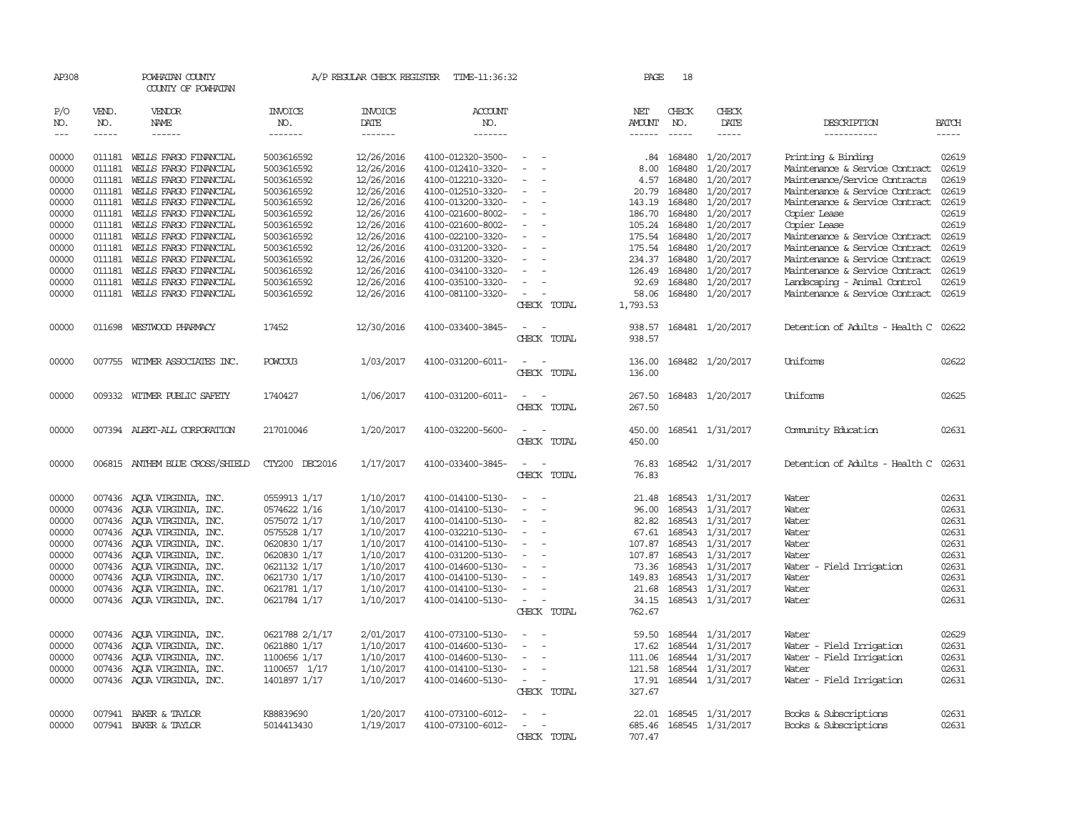| AP308         |              | POWHATAN COUNTY<br>COUNTY OF POWHATAN |                |                        | A/P REGULAR CHECK REGISTER TIME-11:36:32 |                                                      | PAGE                 | 18            |                         |                                      |              |
|---------------|--------------|---------------------------------------|----------------|------------------------|------------------------------------------|------------------------------------------------------|----------------------|---------------|-------------------------|--------------------------------------|--------------|
| P/O<br>NO.    | VEND.<br>NO. | VENDOR<br>NAME                        | INVOICE<br>NO. | <b>INVOICE</b><br>DATE | <b>ACCOUNT</b><br>NO.                    |                                                      | NET<br><b>AMOUNT</b> | CHECK<br>NO.  | CHECK<br>DATE           | DESCRIPTION                          | <b>BATCH</b> |
| $\frac{1}{2}$ | $- - - - -$  | ------                                | -------        | -------                | -------                                  |                                                      |                      | $\frac{1}{2}$ | $- - - - -$             | -----------                          | $- - - - -$  |
|               |              |                                       |                |                        |                                          | $\hspace{0.1mm}-\hspace{0.1mm}$                      |                      |               |                         |                                      |              |
| 00000         |              | 011181 WELLS FARGO FINANCIAL          | 5003616592     | 12/26/2016             | 4100-012320-3500-                        |                                                      | .84                  | 168480        | 1/20/2017               | Printing & Binding                   | 02619        |
| 00000         | 011181       | WELLS FARGO FINANCIAL                 | 5003616592     | 12/26/2016             | 4100-012410-3320-                        | $\overline{\phantom{a}}$<br>$\overline{\phantom{a}}$ | 8.00                 | 168480        | 1/20/2017               | Maintenance & Service Contract       | 02619        |
| 00000         | 011181       | WELLS FARGO FINANCIAL                 | 5003616592     | 12/26/2016             | 4100-012210-3320-                        | $\overline{\phantom{a}}$                             | 4.57                 | 168480        | 1/20/2017               | Maintenance/Service Contracts        | 02619        |
| 00000         | 011181       | WELLS FARGO FINANCIAL                 | 5003616592     | 12/26/2016             | 4100-012510-3320-                        |                                                      | 20.79                | 168480        | 1/20/2017               | Maintenance & Service Contract       | 02619        |
| 00000         | 011181       | WELLS FARGO FINANCIAL                 | 5003616592     | 12/26/2016             | 4100-013200-3320-                        | $\overline{\phantom{a}}$                             | 143.19               | 168480        | 1/20/2017               | Maintenance & Service Contract       | 02619        |
| 00000         | 011181       | WEILS FARGO FINANCIAL                 | 5003616592     | 12/26/2016             | 4100-021600-8002-                        | $\sim$                                               | 186.70               | 168480        | 1/20/2017               | Copier Lease                         | 02619        |
| 00000         | 011181       | WELLS FARGO FINANCIAL                 | 5003616592     | 12/26/2016             | 4100-021600-8002-                        | $\overline{\phantom{a}}$                             | 105.24               | 168480        | 1/20/2017               | Copier Lease                         | 02619        |
| 00000         | 011181       | WELLS FARGO FINANCIAL                 | 5003616592     | 12/26/2016             | 4100-022100-3320-                        | $\overline{\phantom{a}}$                             | 175.54               | 168480        | 1/20/2017               | Maintenance & Service Contract       | 02619        |
| 00000         | 011181       | WELLS FARGO FINANCIAL                 | 5003616592     | 12/26/2016             | 4100-031200-3320-                        | $\sim$                                               | 175.54 168480        |               | 1/20/2017               | Maintenance & Service Contract       | 02619        |
| 00000         | 011181       | WELLS FARGO FINANCIAL                 | 5003616592     | 12/26/2016             | 4100-031200-3320-                        | $\overline{\phantom{a}}$                             | 234.37               | 168480        | 1/20/2017               | Maintenance & Service Contract       | 02619        |
| 00000         | 011181       | WELLS FARGO FINANCIAL                 | 5003616592     | 12/26/2016             | 4100-034100-3320-                        |                                                      | 126.49               | 168480        | 1/20/2017               | Maintenance & Service Contract       | 02619        |
| 00000         | 011181       | WELLS FARGO FINANCIAL                 | 5003616592     | 12/26/2016             | 4100-035100-3320-                        | $\overline{\phantom{a}}$                             | 92.69                | 168480        | 1/20/2017               | Landscaping - Animal Control         | 02619        |
| 00000         | 011181       | WELLS FARGO FINANCIAL                 | 5003616592     | 12/26/2016             | 4100-081100-3320-                        | $\overline{\phantom{a}}$                             | 58.06                | 168480        | 1/20/2017               | Maintenance & Service Contract       | 02619        |
|               |              |                                       |                |                        |                                          | CHECK TOTAL                                          | 1,793.53             |               |                         |                                      |              |
| 00000         |              | 011698 WESTWOOD PHARMACY              | 17452          | 12/30/2016             | 4100-033400-3845-                        |                                                      | 938.57               |               | 168481 1/20/2017        | Detention of Adults - Health C 02622 |              |
|               |              |                                       |                |                        |                                          | CHECK TOTAL                                          | 938.57               |               |                         |                                      |              |
|               |              |                                       |                |                        |                                          |                                                      |                      |               |                         |                                      |              |
| 00000         |              | 007755 WITMER ASSOCIATES INC.         | POWCOU3        | 1/03/2017              | 4100-031200-6011-                        | $\sim$ $  -$                                         | 136.00               |               | 168482 1/20/2017        | Uniforms                             | 02622        |
|               |              |                                       |                |                        |                                          | CHECK TOTAL                                          | 136.00               |               |                         |                                      |              |
| 00000         |              | 009332 WITMER PUBLIC SAFETY           | 1740427        | 1/06/2017              | 4100-031200-6011-                        | $\sim$<br>$\overline{\phantom{a}}$                   | 267.50               |               | 168483 1/20/2017        | Uniforms                             | 02625        |
|               |              |                                       |                |                        |                                          | CHECK TOTAL                                          | 267.50               |               |                         |                                      |              |
|               |              |                                       |                |                        |                                          |                                                      |                      |               |                         |                                      |              |
| 00000         |              | 007394 ALERT-ALL CORPORATION          | 217010046      | 1/20/2017              | 4100-032200-5600-                        |                                                      | 450.00               |               | 168541 1/31/2017        | Comunity Education                   | 02631        |
|               |              |                                       |                |                        |                                          | CHECK TOTAL                                          | 450.00               |               |                         |                                      |              |
| 00000         |              | 006815 ANTHEM BLUE CROSS/SHIELD       | CTY200 DEC2016 | 1/17/2017              | 4100-033400-3845-                        | $\overline{\phantom{a}}$<br>. —                      | 76.83                |               | 168542 1/31/2017        | Detention of Adults - Health C       | 02631        |
|               |              |                                       |                |                        |                                          | CHECK TOTAL                                          | 76.83                |               |                         |                                      |              |
|               |              |                                       |                |                        |                                          |                                                      |                      |               |                         |                                      |              |
| 00000         |              | 007436 AQUA VIRGINIA, INC.            | 0559913 1/17   | 1/10/2017              | 4100-014100-5130-                        | $\overline{\phantom{a}}$<br>$\sim$                   |                      |               | 21.48 168543 1/31/2017  | Water                                | 02631        |
| 00000         |              | 007436 AQUA VIRGINIA, INC.            | 0574622 1/16   | 1/10/2017              | 4100-014100-5130-                        | $\overline{\phantom{a}}$                             | 96.00                | 168543        | 1/31/2017               | Water                                | 02631        |
| 00000         |              | 007436 AQUA VIRGINIA, INC.            | 0575072 1/17   | 1/10/2017              | 4100-014100-5130-                        | $\overline{\phantom{a}}$                             | 82.82                | 168543        | 1/31/2017               | Water                                | 02631        |
| 00000         |              | 007436 AQUA VIRGINIA, INC.            | 0575528 1/17   | 1/10/2017              | 4100-032210-5130-                        | $\sim$                                               | 67.61                | 168543        | 1/31/2017               | Water                                | 02631        |
| 00000         |              | 007436 AQUA VIRGINIA, INC.            | 0620830 1/17   | 1/10/2017              | 4100-014100-5130-                        | $\overline{\phantom{a}}$                             | 107.87 168543        |               | 1/31/2017               | Water                                | 02631        |
| 00000         |              | 007436 AQUA VIRGINIA, INC.            | 0620830 1/17   | 1/10/2017              | 4100-031200-5130-                        | $\sim$                                               | 107.87               | 168543        | 1/31/2017               | Water                                | 02631        |
| 00000         |              | 007436 AQUA VIRGINIA, INC.            | 0621132 1/17   | 1/10/2017              | 4100-014600-5130-                        | $\overline{\phantom{a}}$                             | 73.36                | 168543        | 1/31/2017               | Water - Field Irrigation             | 02631        |
| 00000         |              | 007436 AOUA VIRGINIA, INC.            | 0621730 1/17   | 1/10/2017              | 4100-014100-5130-                        | $\sim$                                               | 149.83               | 168543        | 1/31/2017               | Water                                | 02631        |
| 00000         |              | 007436 AQUA VIRGINIA, INC.            | 0621781 1/17   | 1/10/2017              | 4100-014100-5130-                        | $\sim$                                               | 21.68                | 168543        | 1/31/2017               | Water                                | 02631        |
| 00000         |              | 007436 AQUA VIRGINIA, INC.            | 0621784 1/17   | 1/10/2017              | 4100-014100-5130-                        | $\sim$<br>$\sim$                                     |                      |               | 34.15 168543 1/31/2017  | Water                                | 02631        |
|               |              |                                       |                |                        |                                          | CHECK TOTAL                                          | 762.67               |               |                         |                                      |              |
| 00000         |              | 007436 AQUA VIRGINIA, INC.            | 0621788 2/1/17 | 2/01/2017              | 4100-073100-5130-                        | $\overline{\phantom{a}}$                             | 59.50                | 168544        | 1/31/2017               | Water                                | 02629        |
| 00000         |              | 007436 AQUA VIRGINIA, INC.            | 0621880 1/17   | 1/10/2017              | 4100-014600-5130-                        | $\sim$                                               | 17.62                | 168544        | 1/31/2017               | Water - Field Irrigation             | 02631        |
| 00000         |              | 007436 AQUA VIRGINIA, INC.            | 1100656 1/17   | 1/10/2017              | 4100-014600-5130-                        | $\overline{\phantom{a}}$                             | 111.06               |               | 168544 1/31/2017        | Water - Field Irrigation             | 02631        |
| 00000         |              | 007436 AQUA VIRGINIA, INC.            | 1100657 1/17   | 1/10/2017              | 4100-014100-5130-                        | $\sim$                                               |                      |               | 121.58 168544 1/31/2017 | Water                                | 02631        |
| 00000         |              | 007436 AQUA VIRGINIA, INC.            | 1401897 1/17   | 1/10/2017              | 4100-014600-5130-                        | $\sim$<br>$\overline{\phantom{a}}$                   | 17.91                |               | 168544 1/31/2017        | Water - Field Irrigation             | 02631        |
|               |              |                                       |                |                        |                                          | CHECK TOTAL                                          | 327.67               |               |                         |                                      |              |
|               |              |                                       |                |                        |                                          |                                                      |                      |               |                         |                                      |              |
| 00000         |              | 007941 BAKER & TAYLOR                 | K88839690      | 1/20/2017              | 4100-073100-6012-                        |                                                      | 22.01                |               | 168545 1/31/2017        | Books & Subscriptions                | 02631        |
| 00000         |              | 007941 BAKER & TAYLOR                 | 5014413430     | 1/19/2017              | 4100-073100-6012-                        | $\sim$<br>$\sim$                                     |                      |               | 685.46 168545 1/31/2017 | Books & Subscriptions                | 02631        |
|               |              |                                       |                |                        |                                          | CHECK TOTAL                                          | 707.47               |               |                         |                                      |              |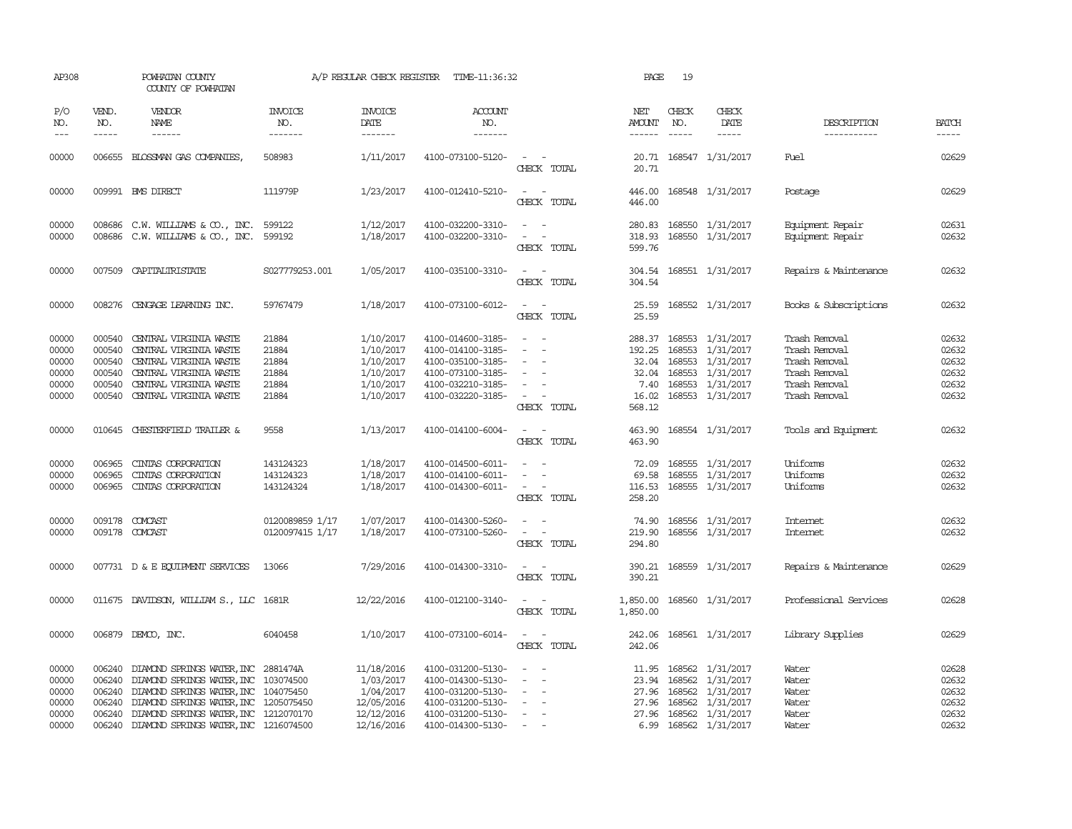|                                                          | POWHATAN COUNTY<br>COUNTY OF POWHATAN                                                                                                                    |                                                                                                                                                                                                                                                                          |                                                                                                                                                                                                                                                                                                                                         | TIME-11:36:32                                                                                                              |                                                            | PAGE                                                          | 19                            |               |                                                                                                                                                                                                                                                                                                                                                                                                                                                                                                                                                                                  |                                                    |
|----------------------------------------------------------|----------------------------------------------------------------------------------------------------------------------------------------------------------|--------------------------------------------------------------------------------------------------------------------------------------------------------------------------------------------------------------------------------------------------------------------------|-----------------------------------------------------------------------------------------------------------------------------------------------------------------------------------------------------------------------------------------------------------------------------------------------------------------------------------------|----------------------------------------------------------------------------------------------------------------------------|------------------------------------------------------------|---------------------------------------------------------------|-------------------------------|---------------|----------------------------------------------------------------------------------------------------------------------------------------------------------------------------------------------------------------------------------------------------------------------------------------------------------------------------------------------------------------------------------------------------------------------------------------------------------------------------------------------------------------------------------------------------------------------------------|----------------------------------------------------|
| VEND.<br>NO.                                             | VENDOR<br>NAME                                                                                                                                           | <b>INVOICE</b><br>NO.                                                                                                                                                                                                                                                    | <b>INVOICE</b><br>DATE                                                                                                                                                                                                                                                                                                                  | <b>ACCOUNT</b><br>NO.                                                                                                      |                                                            | NET<br>AMOUNT                                                 | CHECK<br>NO.<br>$\frac{1}{2}$ | CHECK<br>DATE | DESCRIPTION                                                                                                                                                                                                                                                                                                                                                                                                                                                                                                                                                                      | <b>BATCH</b><br>-----                              |
|                                                          |                                                                                                                                                          | 508983                                                                                                                                                                                                                                                                   | 1/11/2017                                                                                                                                                                                                                                                                                                                               | 4100-073100-5120-                                                                                                          | $\equiv$<br>CHECK TOTAL                                    | 20.71                                                         |                               |               | <b>Fuel</b>                                                                                                                                                                                                                                                                                                                                                                                                                                                                                                                                                                      | 02629                                              |
|                                                          |                                                                                                                                                          | 111979P                                                                                                                                                                                                                                                                  | 1/23/2017                                                                                                                                                                                                                                                                                                                               | 4100-012410-5210-                                                                                                          | $\sim$ 100 $\sim$ 100 $\sim$<br>CHECK TOTAL                | 446.00<br>446.00                                              |                               |               | Postage                                                                                                                                                                                                                                                                                                                                                                                                                                                                                                                                                                          | 02629                                              |
| 008686                                                   | C.W. WILLIAMS & CO., INC.                                                                                                                                | 599122<br>599192                                                                                                                                                                                                                                                         | 1/12/2017<br>1/18/2017                                                                                                                                                                                                                                                                                                                  | 4100-032200-3310-<br>4100-032200-3310-                                                                                     | $\overline{\phantom{a}}$<br>$\equiv$<br>CHECK TOTAL        | 280.83<br>318.93<br>599.76                                    |                               |               | Equipment Repair<br>Equipment Repair                                                                                                                                                                                                                                                                                                                                                                                                                                                                                                                                             | 02631<br>02632                                     |
|                                                          |                                                                                                                                                          | S027779253.001                                                                                                                                                                                                                                                           | 1/05/2017                                                                                                                                                                                                                                                                                                                               | 4100-035100-3310-                                                                                                          | $\sim$ 10 $\sim$ 10 $\sim$<br>CHECK TOTAL                  | 304.54<br>304.54                                              |                               |               | Repairs & Maintenance                                                                                                                                                                                                                                                                                                                                                                                                                                                                                                                                                            | 02632                                              |
|                                                          |                                                                                                                                                          | 59767479                                                                                                                                                                                                                                                                 | 1/18/2017                                                                                                                                                                                                                                                                                                                               | 4100-073100-6012-                                                                                                          | CHECK TOTAL                                                | 25.59                                                         |                               |               | Books & Subscriptions                                                                                                                                                                                                                                                                                                                                                                                                                                                                                                                                                            | 02632                                              |
| 000540<br>000540<br>000540<br>000540<br>000540<br>000540 | CENTRAL VIRGINIA WASTE<br>CENTRAL VIRGINIA WASTE<br>CENTRAL VIRGINIA WASTE<br>CENTRAL VIRGINIA WASTE<br>CENTRAL VIRGINIA WASTE<br>CENTRAL VIRGINIA WASTE | 21884<br>21884<br>21884<br>21884<br>21884<br>21884                                                                                                                                                                                                                       | 1/10/2017<br>1/10/2017<br>1/10/2017<br>1/10/2017<br>1/10/2017<br>1/10/2017                                                                                                                                                                                                                                                              | 4100-014600-3185-<br>4100-014100-3185-<br>4100-035100-3185-<br>4100-073100-3185-<br>4100-032210-3185-<br>4100-032220-3185- | $\equiv$<br>$\sim$<br>$\sim$ $-$<br>CHECK TOTAL            | 288.37<br>192.25<br>32.04<br>32.04<br>7.40<br>16.02<br>568.12 |                               |               | Trash Removal<br>Trash Removal<br>Trash Removal<br>Trash Removal<br>Trash Removal<br>Trash Removal                                                                                                                                                                                                                                                                                                                                                                                                                                                                               | 02632<br>02632<br>02632<br>02632<br>02632<br>02632 |
|                                                          |                                                                                                                                                          | 9558                                                                                                                                                                                                                                                                     | 1/13/2017                                                                                                                                                                                                                                                                                                                               | 4100-014100-6004-                                                                                                          | $\overline{\phantom{a}}$<br>$\sim$<br>CHECK TOTAL          | 463.90<br>463.90                                              |                               |               | Tools and Equipment                                                                                                                                                                                                                                                                                                                                                                                                                                                                                                                                                              | 02632                                              |
| 006965<br>006965                                         | CINIAS CORPORATION<br>CINIAS CORPORATION                                                                                                                 | 143124323<br>143124323<br>143124324                                                                                                                                                                                                                                      | 1/18/2017<br>1/18/2017<br>1/18/2017                                                                                                                                                                                                                                                                                                     | 4100-014500-6011-<br>4100-014100-6011-<br>4100-014300-6011-                                                                | $\equiv$<br>$\sim$ $ \sim$<br>CHECK TOTAL                  | 72.09<br>69.58<br>258.20                                      |                               |               | Uniforms<br>Uniforms<br>Uniforms                                                                                                                                                                                                                                                                                                                                                                                                                                                                                                                                                 | 02632<br>02632<br>02632                            |
|                                                          |                                                                                                                                                          | 0120089859 1/17<br>0120097415 1/17                                                                                                                                                                                                                                       | 1/07/2017<br>1/18/2017                                                                                                                                                                                                                                                                                                                  | 4100-014300-5260-<br>4100-073100-5260-                                                                                     | CHECK TOTAL                                                | 219.90<br>294.80                                              |                               |               | Internet<br><b>Intemet</b>                                                                                                                                                                                                                                                                                                                                                                                                                                                                                                                                                       | 02632<br>02632                                     |
|                                                          |                                                                                                                                                          | 13066                                                                                                                                                                                                                                                                    | 7/29/2016                                                                                                                                                                                                                                                                                                                               | 4100-014300-3310-                                                                                                          | CHECK TOTAL                                                | 390.21<br>390.21                                              |                               |               | Repairs & Maintenance                                                                                                                                                                                                                                                                                                                                                                                                                                                                                                                                                            | 02629                                              |
|                                                          |                                                                                                                                                          |                                                                                                                                                                                                                                                                          | 12/22/2016                                                                                                                                                                                                                                                                                                                              | 4100-012100-3140-                                                                                                          | $\overline{\phantom{a}}$<br>CHECK TOTAL                    | 1,850.00<br>1,850.00                                          |                               |               | Professional Services                                                                                                                                                                                                                                                                                                                                                                                                                                                                                                                                                            | 02628                                              |
|                                                          |                                                                                                                                                          | 6040458                                                                                                                                                                                                                                                                  | 1/10/2017                                                                                                                                                                                                                                                                                                                               | 4100-073100-6014-                                                                                                          | CHECK TOTAL                                                | 242.06<br>242.06                                              |                               |               | Library Supplies                                                                                                                                                                                                                                                                                                                                                                                                                                                                                                                                                                 | 02629                                              |
| 006240<br>006240<br>006240<br>006240<br>006240           |                                                                                                                                                          |                                                                                                                                                                                                                                                                          | 11/18/2016<br>1/03/2017<br>1/04/2017<br>12/05/2016<br>12/12/2016                                                                                                                                                                                                                                                                        | 4100-031200-5130-<br>4100-014300-5130-<br>4100-031200-5130-<br>4100-031200-5130-<br>4100-031200-5130-                      | $\sim$<br>$\sim$                                           | 11.95<br>27.96<br>27.96<br>27.96                              |                               |               | Water<br>Water<br>Water<br>Water<br>Water                                                                                                                                                                                                                                                                                                                                                                                                                                                                                                                                        | 02628<br>02632<br>02632<br>02632<br>02632<br>02632 |
|                                                          | -----<br>006240                                                                                                                                          | 006655 BLOSSMAN GAS COMPANIES,<br>009991 BMS DIRECT<br>007509 CAPITALIRISTATE<br>008276 CENGAGE LEARNING INC.<br>010645 CHESTERFIELD TRAILER &<br>006965 CINIAS CORPORATION<br>009178 COMCAST<br>009178 COMCAST<br>007731 D & E EQUIPMENT SERVICES<br>006879 DEMCO, INC. | -------<br>008686 C.W. WILLIAMS & CO., INC.<br>011675 DAVIDSON, WILLIAM S., LLC 1681R<br>DIAMOND SPRINGS WATER, INC 2881474A<br>DIAMOND SPRINGS WATER, INC 103074500<br>DIAMOND SPRINGS WATER, INC 104075450<br>DIAMOND SPRINGS WATER, INC 1205075450<br>DIAMOND SPRINGS WATER, INC 1212070170<br>DIAMOND SPRINGS WATER, INC 1216074500 | -------<br>12/16/2016                                                                                                      | A/P REGULAR CHECK REGISTER<br>-------<br>4100-014300-5130- |                                                               | ------<br>6.99                | 168562        | 20.71 168547 1/31/2017<br>168548 1/31/2017<br>168550 1/31/2017<br>168550 1/31/2017<br>168551 1/31/2017<br>25.59 168552 1/31/2017<br>168553 1/31/2017<br>168553 1/31/2017<br>168553 1/31/2017<br>168553 1/31/2017<br>168553 1/31/2017<br>168553 1/31/2017<br>168554 1/31/2017<br>168555 1/31/2017<br>168555 1/31/2017<br>116.53 168555 1/31/2017<br>74.90 168556 1/31/2017<br>168556 1/31/2017<br>168559 1/31/2017<br>168560 1/31/2017<br>168561 1/31/2017<br>168562 1/31/2017<br>23.94 168562 1/31/2017<br>168562 1/31/2017<br>1/31/2017<br>168562 1/31/2017<br>168562 1/31/2017 | -----------<br>Water                               |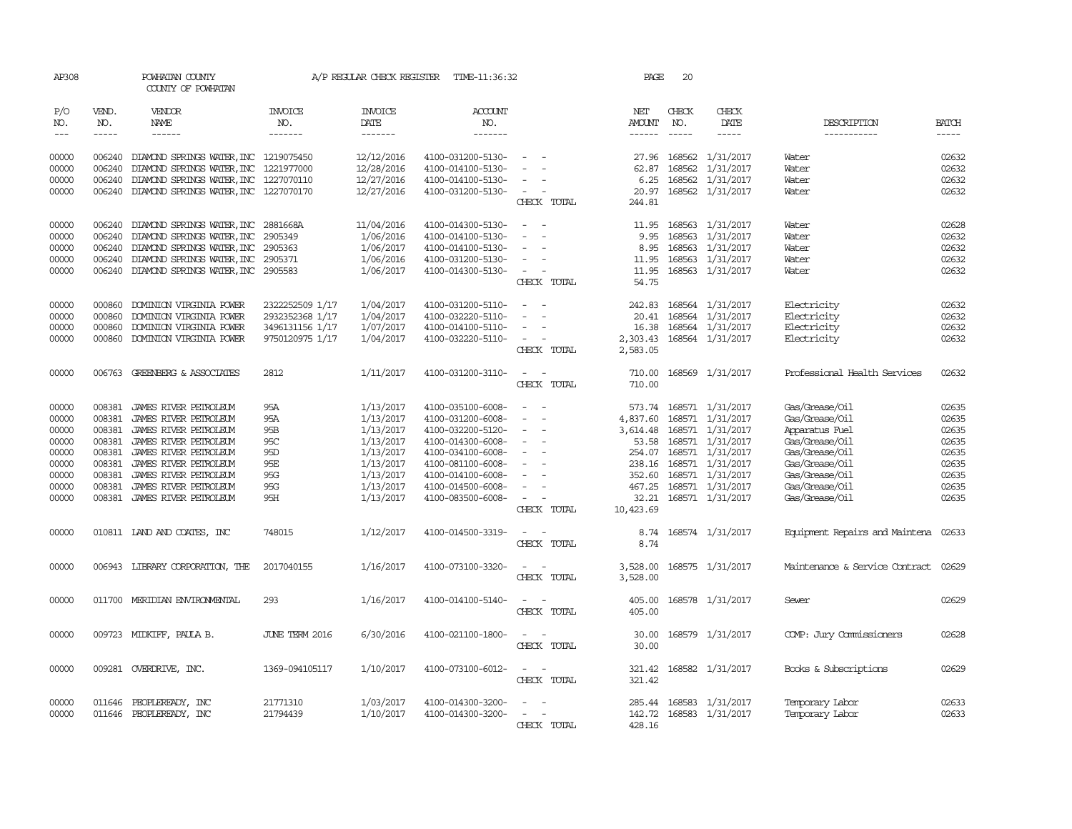| AP308          |                  | POWHATAN COUNTY<br>COUNTY OF POWHATAN                                      |                      | A/P REGULAR CHECK REGISTER | TIME-11:36:32                          |                                    | PAGE                       | 20               |                                      |                                    |                |
|----------------|------------------|----------------------------------------------------------------------------|----------------------|----------------------------|----------------------------------------|------------------------------------|----------------------------|------------------|--------------------------------------|------------------------------------|----------------|
| P/O<br>NO.     | VEND.<br>NO.     | <b>VENDOR</b><br>NAME                                                      | INVOICE<br>NO.       | <b>INVOICE</b><br>DATE     | <b>ACCOUNT</b><br>NO.                  |                                    | NET<br><b>AMOUNT</b>       | CHECK<br>NO.     | CHECK<br>DATE                        | DESCRIPTION                        | <b>BATCH</b>   |
| $- - -$        | $- - - - -$      | $- - - - - -$                                                              | -------              | -------                    | -------                                |                                    | $- - - - - -$              | $- - - - -$      | $- - - - -$                          | -----------                        | -----          |
| 00000<br>00000 | 006240           | 006240 DIAMOND SPRINGS WATER, INC 1219075450<br>DIAMOND SPRINGS WATER, INC | 1221977000           | 12/12/2016<br>12/28/2016   | 4100-031200-5130-<br>4100-014100-5130- | $\sim$                             | 27.96<br>62.87             | 168562<br>168562 | 1/31/2017<br>1/31/2017               | Water<br>Water                     | 02632<br>02632 |
| 00000          | 006240           | DIAMOND SPRINGS WATER, INC 1227070110                                      |                      | 12/27/2016                 | 4100-014100-5130-                      |                                    | 6.25                       |                  | 168562 1/31/2017                     | Water                              | 02632          |
| 00000          |                  | 006240 DIAMOND SPRINGS WATER, INC 1227070170                               |                      | 12/27/2016                 | 4100-031200-5130-                      | $\overline{\phantom{a}}$           | 20.97                      |                  | 168562 1/31/2017                     | Water                              | 02632          |
|                |                  |                                                                            |                      |                            |                                        | CHECK TOTAL                        | 244.81                     |                  |                                      |                                    |                |
| 00000          | 006240           | DIAMOND SPRINGS WATER, INC                                                 | 2881668A             | 11/04/2016                 | 4100-014300-5130-                      |                                    | 11.95                      |                  | 168563 1/31/2017                     | Water                              | 02628          |
| 00000<br>00000 | 006240<br>006240 | DIAMOND SPRINGS WATER, INC<br>DIAMOND SPRINGS WATER, INC                   | 2905349<br>2905363   | 1/06/2016<br>1/06/2017     | 4100-014100-5130-<br>4100-014100-5130- | $\sim$<br>$\overline{\phantom{a}}$ | 9.95<br>8.95               |                  | 168563 1/31/2017<br>168563 1/31/2017 | Water<br>Water                     | 02632<br>02632 |
| 00000          |                  | 006240 DIAMOND SPRINGS WATER, INC                                          | 2905371              | 1/06/2016                  | 4100-031200-5130-                      |                                    | 11.95                      |                  | 168563 1/31/2017                     | Water                              | 02632          |
| 00000          |                  | 006240 DIAMOND SPRINGS WATER, INC 2905583                                  |                      | 1/06/2017                  | 4100-014300-5130-                      | $\sim$                             | 11.95                      |                  | 168563 1/31/2017                     | Water                              | 02632          |
|                |                  |                                                                            |                      |                            |                                        | CHECK TOTAL                        | 54.75                      |                  |                                      |                                    |                |
| 00000          | 000860           | DOMINION VIRGINIA POWER                                                    | 2322252509 1/17      | 1/04/2017                  | 4100-031200-5110-                      |                                    | 242.83                     |                  | 168564 1/31/2017                     | Electricity                        | 02632          |
| 00000          | 000860           | DOMINION VIRGINIA POWER                                                    | 2932352368 1/17      | 1/04/2017                  | 4100-032220-5110-                      | $\sim$                             | 20.41                      |                  | 168564 1/31/2017                     | Electricity                        | 02632          |
| 00000          | 000860           | DOMINION VIRGINIA POWER                                                    | 3496131156 1/17      | 1/07/2017                  | 4100-014100-5110-                      |                                    | 16.38                      |                  | 168564 1/31/2017                     | Electricity                        | 02632          |
| 00000          | 000860           | DOMINION VIRGINIA POWER                                                    | 9750120975 1/17      | 1/04/2017                  | 4100-032220-5110-                      | CHECK TOTAL                        | 2,303.43<br>2,583.05       |                  | 168564 1/31/2017                     | Electricity                        | 02632          |
| 00000          |                  | 006763 GREENBERG & ASSOCIATES                                              | 2812                 | 1/11/2017                  | 4100-031200-3110-                      | $\sim$                             | 710.00                     |                  | 168569 1/31/2017                     | Professional Health Services       | 02632          |
|                |                  |                                                                            |                      |                            |                                        | CHECK TOTAL                        | 710.00                     |                  |                                      |                                    |                |
| 00000          | 008381           | JAMES RIVER PEIROLEUM                                                      | 95A                  | 1/13/2017                  | 4100-035100-6008-                      |                                    | 573.74                     |                  | 168571 1/31/2017                     | Gas/Grease/Oil                     | 02635          |
| 00000          | 008381           | JAMES RIVER PETROLEUM                                                      | 95A                  | 1/13/2017                  | 4100-031200-6008-                      | $\sim$                             | 4,837.60                   |                  | 168571 1/31/2017                     | Gas/Grease/Oil                     | 02635          |
| 00000          | 008381           | JAMES RIVER PETROLEUM                                                      | 95B                  | 1/13/2017                  | 4100-032200-5120-                      | $\overline{\phantom{a}}$           | 3,614.48                   |                  | 168571 1/31/2017<br>168571 1/31/2017 | Apparatus Fuel<br>Gas/Grease/Oil   | 02635          |
| 00000<br>00000 | 008381<br>008381 | JAMES RIVER PETROLEUM<br>JAMES RIVER PETROLEUM                             | 95C<br>95D           | 1/13/2017<br>1/13/2017     | 4100-014300-6008-<br>4100-034100-6008- |                                    | 53.58<br>254.07            |                  | 168571 1/31/2017                     | Gas/Grease/Oil                     | 02635<br>02635 |
| 00000          | 008381           | JAMES RIVER PETROLEUM                                                      | 95E                  | 1/13/2017                  | 4100-081100-6008-                      |                                    | 238.16                     |                  | 168571 1/31/2017                     | Gas/Grease/Oil                     | 02635          |
| 00000          | 008381           | JAMES RIVER PETROLEUM                                                      | 95G                  | 1/13/2017                  | 4100-014100-6008-                      |                                    | 352.60                     |                  | 168571 1/31/2017                     | Gas/Grease/Oil                     | 02635          |
| 00000          | 008381           | JAMES RIVER PETROLEUM                                                      | 95G                  | 1/13/2017                  | 4100-014500-6008-                      |                                    | 467.25                     |                  | 168571 1/31/2017                     | Gas/Grease/Oil                     | 02635          |
| 00000          | 008381           | JAMES RIVER PEIROLEUM                                                      | 95H                  | 1/13/2017                  | 4100-083500-6008-                      |                                    | 32.21                      |                  | 168571 1/31/2017                     | Gas/Grease/Oil                     | 02635          |
|                |                  |                                                                            |                      |                            |                                        | CHECK TOTAL                        | 10,423.69                  |                  |                                      |                                    |                |
| 00000          |                  | 010811 IAND AND COATES, INC                                                | 748015               | 1/12/2017                  | 4100-014500-3319-                      | CHECK TOTAL                        | 8.74<br>8.74               |                  | 168574 1/31/2017                     | Equipment Repairs and Maintena     | 02633          |
| 00000          |                  | 006943 LIBRARY CORPORATION, THE                                            | 2017040155           | 1/16/2017                  | 4100-073100-3320-                      | CHECK TOTAL                        | 3,528.00<br>3,528.00       |                  | 168575 1/31/2017                     | Maintenance & Service Contract     | 02629          |
| 00000          | 011700           | MERIDIAN ENVIRONMENTAL                                                     | 293                  | 1/16/2017                  | 4100-014100-5140-                      | CHECK TOTAL                        | 405.00<br>405.00           |                  | 168578 1/31/2017                     | Sewer                              | 02629          |
| 00000          | 009723           | MIDKIFF, PAULA B.                                                          | JUNE TERM 2016       | 6/30/2016                  | 4100-021100-1800-                      | CHECK TOTAL                        | 30.00<br>30.00             |                  | 168579 1/31/2017                     | COMP: Jury Commissioners           | 02628          |
| 00000          | 009281           | OVERDRIVE, INC.                                                            | 1369-094105117       | 1/10/2017                  | 4100-073100-6012-                      | $\sim$<br>CHECK TOTAL              | 321.42<br>321.42           |                  | 168582 1/31/2017                     | Books & Subscriptions              | 02629          |
| 00000<br>00000 | 011646           | PEOPLEREADY, INC<br>011646 PEOPLEREADY, INC                                | 21771310<br>21794439 | 1/03/2017<br>1/10/2017     | 4100-014300-3200-<br>4100-014300-3200- | CHECK TOTAL                        | 285.44<br>142.72<br>428.16 |                  | 168583 1/31/2017<br>168583 1/31/2017 | Temporary Labor<br>Temporary Labor | 02633<br>02633 |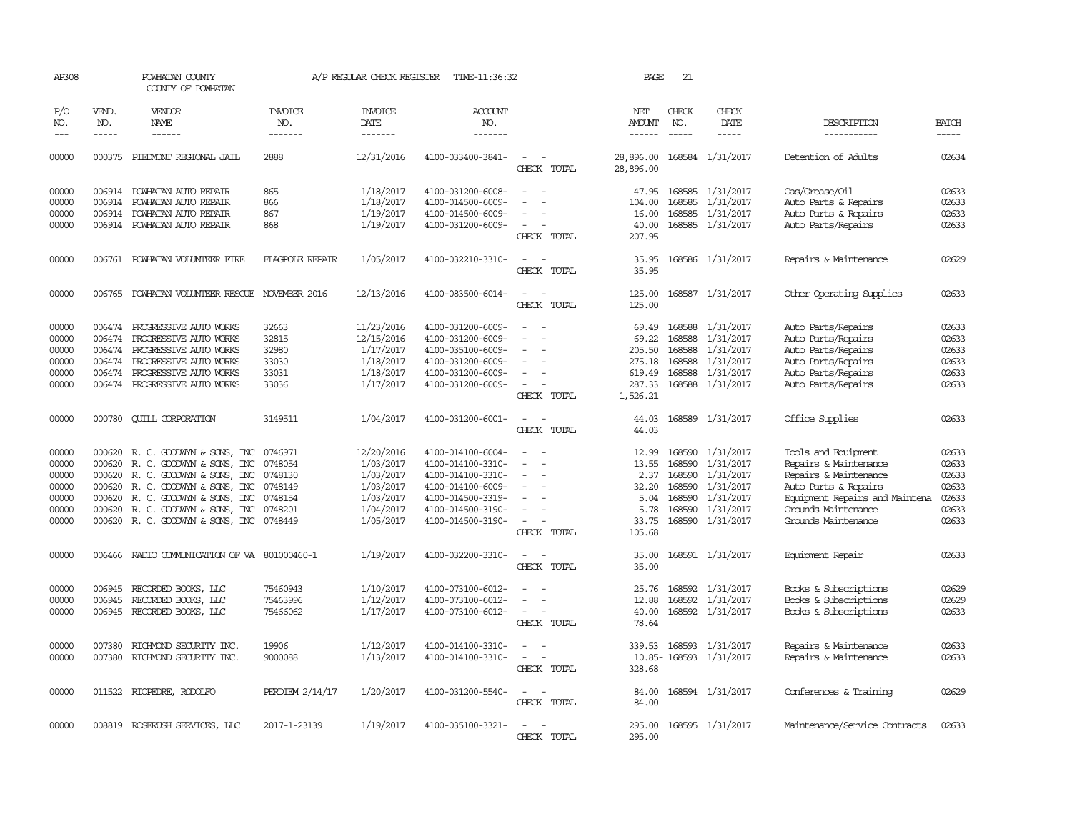| AP308               |                             | POWHATAN COUNTY<br>COUNTY OF POWHATAN  |                           | A/P REGULAR CHECK REGISTER        | TIME-11:36:32             |                                         | PAGE                           | 21                          |                        |                                |                       |
|---------------------|-----------------------------|----------------------------------------|---------------------------|-----------------------------------|---------------------------|-----------------------------------------|--------------------------------|-----------------------------|------------------------|--------------------------------|-----------------------|
| P/O<br>NO.<br>$---$ | VEND.<br>NO.<br>$- - - - -$ | VENDOR<br><b>NAME</b><br>$- - - - - -$ | INVOICE<br>NO.<br>------- | <b>INVOICE</b><br>DATE<br>------- | ACCOUNT<br>NO.<br>------- |                                         | NET<br>AMOUNT<br>$- - - - - -$ | CHECK<br>NO.<br>$- - - - -$ | CHECK<br>DATE<br>----- | DESCRIPTION<br>-----------     | <b>BATCH</b><br>----- |
|                     |                             |                                        |                           |                                   |                           |                                         |                                |                             |                        |                                |                       |
| 00000               |                             | 000375 PIEDMONT REGIONAL JAIL          | 2888                      | 12/31/2016                        | 4100-033400-3841-         | $\sim$<br>CHECK TOTAL                   | 28,896.00<br>28,896.00         |                             | 168584 1/31/2017       | Detention of Adults            | 02634                 |
| 00000               | 006914                      | POWHATAN AUTO REPAIR                   | 865                       | 1/18/2017                         | 4100-031200-6008-         |                                         | 47.95                          |                             | 168585 1/31/2017       | Gas/Grease/Oil                 | 02633                 |
| 00000               | 006914                      | POWHATAN AUTO REPAIR                   | 866                       | 1/18/2017                         | 4100-014500-6009-         |                                         | 104.00                         | 168585                      | 1/31/2017              | Auto Parts & Repairs           | 02633                 |
| 00000               | 006914                      | POWHATAN AUTO REPAIR                   | 867                       | 1/19/2017                         | 4100-014500-6009-         |                                         | 16.00                          | 168585                      | 1/31/2017              | Auto Parts & Repairs           | 02633                 |
| 00000               |                             | 006914 POWHATAN AUTO REPAIR            | 868                       | 1/19/2017                         | 4100-031200-6009-         | CHECK TOTAL                             | 40.00<br>207.95                |                             | 168585 1/31/2017       | Auto Parts/Repairs             | 02633                 |
| 00000               |                             | 006761 POWHATAN VOLUNTEER FIRE         | <b>FLAGPOLE REPAIR</b>    | 1/05/2017                         | 4100-032210-3310-         | CHECK TOTAL                             | 35.95<br>35.95                 |                             | 168586 1/31/2017       | Repairs & Maintenance          | 02629                 |
| 00000               | 006765                      | POWHATAN VOLUNTEER RESCUE              | NOVEMBER 2016             | 12/13/2016                        | 4100-083500-6014-         | $\overline{a}$                          | 125.00                         |                             | 168587 1/31/2017       | Other Operating Supplies       | 02633                 |
|                     |                             |                                        |                           |                                   |                           | CHECK TOTAL                             | 125.00                         |                             |                        |                                |                       |
| 00000               | 006474                      | PROGRESSIVE AUTO WORKS                 | 32663                     | 11/23/2016                        | 4100-031200-6009-         |                                         | 69.49                          | 168588                      | 1/31/2017              | Auto Parts/Repairs             | 02633                 |
| 00000               | 006474                      | PROGRESSIVE AUTO WORKS                 | 32815                     | 12/15/2016                        | 4100-031200-6009-         |                                         | 69.22                          | 168588                      | 1/31/2017              | Auto Parts/Repairs             | 02633                 |
| 00000               | 006474                      | PROGRESSIVE AUTO WORKS                 | 32980                     | 1/17/2017                         | 4100-035100-6009-         |                                         | 205.50                         | 168588                      | 1/31/2017              | Auto Parts/Repairs             | 02633                 |
| 00000               | 006474                      | PROGRESSIVE AUTO WORKS                 | 33030                     | 1/18/2017                         | 4100-031200-6009-         |                                         | 275.18                         | 168588                      | 1/31/2017              | Auto Parts/Repairs             | 02633                 |
| 00000               |                             | 006474 PROGRESSIVE AUTO WORKS          | 33031                     | 1/18/2017                         | 4100-031200-6009-         |                                         | 619.49                         | 168588                      | 1/31/2017              | Auto Parts/Repairs             | 02633                 |
| 00000               |                             | 006474 PROGRESSIVE AUTO WORKS          | 33036                     | 1/17/2017                         | 4100-031200-6009-         | $\overline{\phantom{a}}$                | 287.33                         |                             | 168588 1/31/2017       | Auto Parts/Repairs             | 02633                 |
|                     |                             |                                        |                           |                                   |                           | CHECK TOTAL                             | 1,526.21                       |                             |                        |                                |                       |
| 00000               | 000780                      | <b>CUILL CORPORATION</b>               | 3149511                   | 1/04/2017                         | 4100-031200-6001-         | CHECK TOTAL                             | 44.03<br>44.03                 |                             | 168589 1/31/2017       | Office Supplies                | 02633                 |
| 00000               | 000620                      | R. C. GOODWYN & SONS, INC              | 0746971                   | 12/20/2016                        | 4100-014100-6004-         |                                         | 12.99                          | 168590                      | 1/31/2017              | Tools and Equipment            | 02633                 |
| 00000               | 000620                      | R. C. GOODWYN & SONS, INC              | 0748054                   | 1/03/2017                         | 4100-014100-3310-         |                                         | 13.55                          | 168590                      | 1/31/2017              | Repairs & Maintenance          | 02633                 |
| 00000               | 000620                      | R. C. GOODWYN & SONS, INC              | 0748130                   | 1/03/2017                         | 4100-014100-3310-         |                                         | 2.37                           | 168590                      | 1/31/2017              | Repairs & Maintenance          | 02633                 |
| 00000               |                             | 000620 R. C. GOODWYN & SONS, INC       | 0748149                   | 1/03/2017                         | 4100-014100-6009-         |                                         | 32.20                          | 168590                      | 1/31/2017              | Auto Parts & Repairs           | 02633                 |
| 00000               | 000620                      | R. C. GOODWYN & SONS, INC              | 0748154                   | 1/03/2017                         | 4100-014500-3319-         |                                         | 5.04                           | 168590                      | 1/31/2017              | Equipment Repairs and Maintena | 02633                 |
| 00000               |                             | 000620 R. C. GOODWYN & SONS, INC       | 0748201                   | 1/04/2017                         | 4100-014500-3190-         |                                         | 5.78                           | 168590                      | 1/31/2017              | Grounds Maintenance            | 02633                 |
| 00000               |                             | 000620 R. C. GOODWYN & SONS, INC       | 0748449                   | 1/05/2017                         | 4100-014500-3190-         |                                         | 33.75                          |                             | 168590 1/31/2017       | Grounds Maintenance            | 02633                 |
|                     |                             |                                        |                           |                                   |                           | CHECK TOTAL                             | 105.68                         |                             |                        |                                |                       |
| 00000               | 006466                      | RADIO COMMUNICATION OF VA 801000460-1  |                           | 1/19/2017                         | 4100-032200-3310-         | CHECK TOTAL                             | 35.00<br>35.00                 |                             | 168591 1/31/2017       | Equipment Repair               | 02633                 |
| 00000               | 006945                      | RECORDED BOOKS, LLC                    | 75460943                  | 1/10/2017                         | 4100-073100-6012-         |                                         | 25.76                          |                             | 168592 1/31/2017       | Books & Subscriptions          | 02629                 |
| 00000               | 006945                      | RECORDED BOOKS, LLC                    | 75463996                  | 1/12/2017                         | 4100-073100-6012-         |                                         | 12.88                          | 168592                      | 1/31/2017              | Books & Subscriptions          | 02629                 |
| 00000               |                             | 006945 RECORDED BOOKS, LLC             | 75466062                  | 1/17/2017                         | 4100-073100-6012-         | $\overline{\phantom{a}}$<br>CHECK TOTAL | 40.00<br>78.64                 |                             | 168592 1/31/2017       | Books & Subscriptions          | 02633                 |
|                     |                             |                                        |                           |                                   |                           |                                         |                                |                             |                        |                                | 02633                 |
| 00000               | 007380                      | RICHMOND SECURITY INC.                 | 19906                     | 1/12/2017                         | 4100-014100-3310-         |                                         | 339.53                         | 168593                      | 1/31/2017              | Repairs & Maintenance          |                       |
| 00000               |                             | 007380 RICHMOND SECURITY INC.          | 9000088                   | 1/13/2017                         | 4100-014100-3310-         | $\sim$<br>CHECK TOTAL                   | 328.68                         |                             | 10.85-168593 1/31/2017 | Repairs & Maintenance          | 02633                 |
| 00000               |                             | 011522 RIOPEDRE, RODOLFO               | PERDIEM 2/14/17           | 1/20/2017                         | 4100-031200-5540-         |                                         | 84.00                          |                             | 168594 1/31/2017       | Conferences & Training         | 02629                 |
|                     |                             |                                        |                           |                                   |                           | CHECK TOTAL                             | 84.00                          |                             |                        |                                |                       |
| 00000               |                             | 008819 ROSERUSH SERVICES, LLC          | 2017-1-23139              | 1/19/2017                         | 4100-035100-3321-         |                                         | 295.00                         |                             | 168595 1/31/2017       | Maintenance/Service Contracts  | 02633                 |
|                     |                             |                                        |                           |                                   |                           | CHECK<br>TOTAL                          | 295.00                         |                             |                        |                                |                       |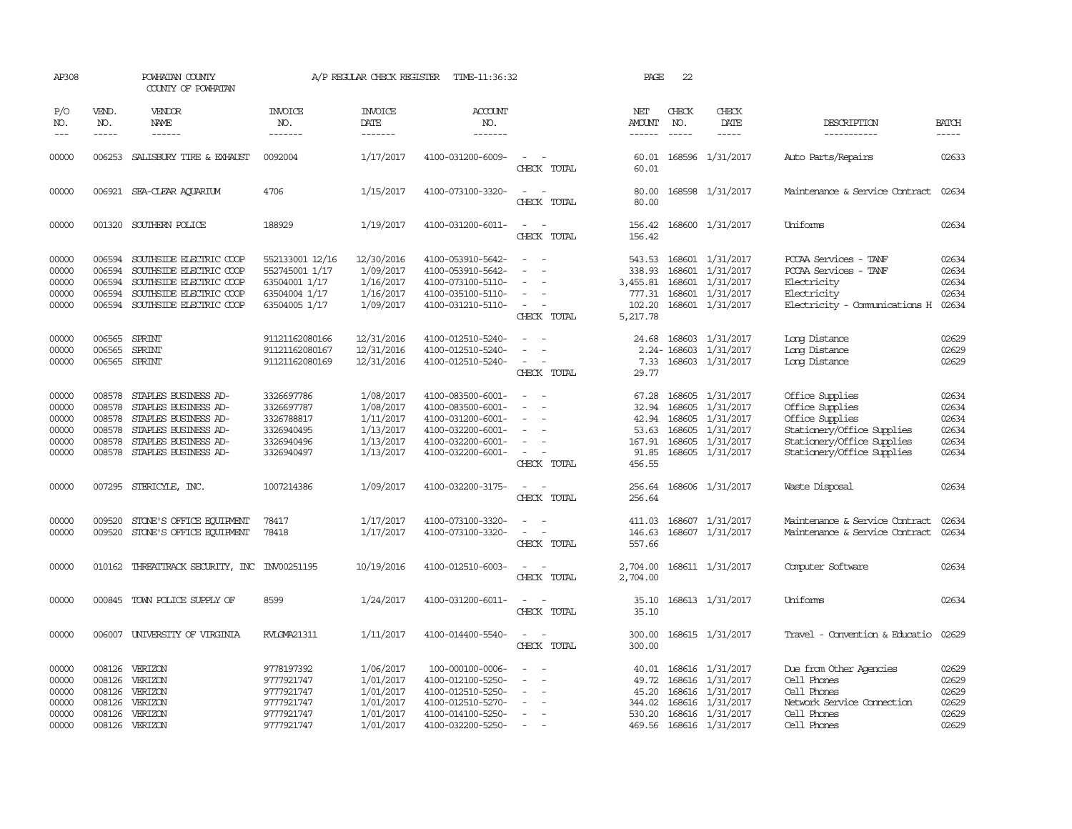| AP308                                              |                                                          | POWHATAN COUNTY<br>COUNTY OF POWHATAN                                                                                                        |                                                                                      | A/P REGULAR CHECK REGISTER                                                 | TIME-11:36:32                                                                                                              |                                                                     | PAGE                                                          | 22                                             |                                                                                                               |                                                                                                                                                 |                                                    |
|----------------------------------------------------|----------------------------------------------------------|----------------------------------------------------------------------------------------------------------------------------------------------|--------------------------------------------------------------------------------------|----------------------------------------------------------------------------|----------------------------------------------------------------------------------------------------------------------------|---------------------------------------------------------------------|---------------------------------------------------------------|------------------------------------------------|---------------------------------------------------------------------------------------------------------------|-------------------------------------------------------------------------------------------------------------------------------------------------|----------------------------------------------------|
| P/O<br>NO.                                         | VEND.<br>NO.                                             | VENDOR<br><b>NAME</b>                                                                                                                        | <b>INVOICE</b><br>NO.                                                                | <b>INVOICE</b><br>DATE                                                     | <b>ACCOUNT</b><br>NO.                                                                                                      |                                                                     | NET<br>AMOUNT                                                 | CHECK<br>NO.                                   | CHECK<br>DATE                                                                                                 | DESCRIPTION                                                                                                                                     | <b>BATCH</b>                                       |
| $---$                                              | $- - - - -$                                              | ------                                                                                                                                       | -------                                                                              | -------                                                                    | -------                                                                                                                    |                                                                     |                                                               | $\frac{1}{2}$                                  |                                                                                                               | -----------                                                                                                                                     | -----                                              |
| 00000                                              | 006253                                                   | SALISBURY TIRE & EXHAUST                                                                                                                     | 0092004                                                                              | 1/17/2017                                                                  | 4100-031200-6009-                                                                                                          | CHECK TOTAL                                                         | 60.01<br>60.01                                                |                                                | 168596 1/31/2017                                                                                              | Auto Parts/Repairs                                                                                                                              | 02633                                              |
| 00000                                              |                                                          | 006921 SEA-CLEAR AOUARIUM                                                                                                                    | 4706                                                                                 | 1/15/2017                                                                  | 4100-073100-3320-                                                                                                          | $\equiv$<br>CHECK TOTAL                                             | 80.00<br>80.00                                                |                                                | 168598 1/31/2017                                                                                              | Maintenance & Service Contract                                                                                                                  | 02634                                              |
| 00000                                              |                                                          | 001320 SOUTHERN POLICE                                                                                                                       | 188929                                                                               | 1/19/2017                                                                  | 4100-031200-6011-                                                                                                          | $\equiv$<br>$\overline{\phantom{a}}$<br>CHECK TOTAL                 | 156.42<br>156.42                                              |                                                | 168600 1/31/2017                                                                                              | Uniforms                                                                                                                                        | 02634                                              |
| 00000<br>00000<br>00000<br>00000<br>00000          | 006594<br>006594<br>006594<br>006594<br>006594           | SOUTHSIDE ELECTRIC COOP<br>SOUTHSIDE ELECTRIC COOP<br>SOUTHSIDE ELECTRIC COOP<br>SOUTHSIDE ELECTRIC COOP<br>SOUTHSIDE ELECTRIC COOP          | 552133001 12/16<br>552745001 1/17<br>63504001 1/17<br>63504004 1/17<br>63504005 1/17 | 12/30/2016<br>1/09/2017<br>1/16/2017<br>1/16/2017<br>1/09/2017             | 4100-053910-5642-<br>4100-053910-5642-<br>4100-073100-5110-<br>4100-035100-5110-<br>4100-031210-5110-                      | $\equiv$<br>$\overline{\phantom{a}}$<br>CHECK TOTAL                 | 543.53<br>338.93<br>3,455.81<br>777.31<br>102.20<br>5,217.78  | 168601                                         | 168601 1/31/2017<br>168601 1/31/2017<br>1/31/2017<br>168601 1/31/2017<br>168601 1/31/2017                     | PCCAA Services - TANF<br>PCCAA Services - TANF<br>Electricity<br>Electricity<br>Electricity - Comunications H                                   | 02634<br>02634<br>02634<br>02634<br>02634          |
| 00000<br>00000<br>00000                            | 006565<br>006565<br>006565                               | SPRINT<br>SPRINT<br>SPRINT                                                                                                                   | 91121162080166<br>91121162080167<br>91121162080169                                   | 12/31/2016<br>12/31/2016<br>12/31/2016                                     | 4100-012510-5240-<br>4100-012510-5240-<br>4100-012510-5240-                                                                | $\overline{\phantom{a}}$<br>$\overline{\phantom{a}}$<br>CHECK TOTAL | 24.68<br>7.33<br>29.77                                        | 168603<br>2.24-168603                          | 1/31/2017<br>1/31/2017<br>168603 1/31/2017                                                                    | Long Distance<br>Long Distance<br>Long Distance                                                                                                 | 02629<br>02629<br>02629                            |
| 00000<br>00000<br>00000<br>00000<br>00000<br>00000 | 008578<br>008578<br>008578<br>008578<br>008578<br>008578 | STAPLES BUSINESS AD-<br>STAPLES BUSINESS AD-<br>STAPLES BUSINESS AD-<br>STAPLES BUSINESS AD-<br>STAPLES BUSINESS AD-<br>STAPLES BUSINESS AD- | 3326697786<br>3326697787<br>3326788817<br>3326940495<br>3326940496<br>3326940497     | 1/08/2017<br>1/08/2017<br>1/11/2017<br>1/13/2017<br>1/13/2017<br>1/13/2017 | 4100-083500-6001-<br>4100-083500-6001-<br>4100-031200-6001-<br>4100-032200-6001-<br>4100-032200-6001-<br>4100-032200-6001- | $\overline{\phantom{a}}$<br>$\overline{\phantom{a}}$<br>CHECK TOTAL | 67.28<br>32.94<br>42.94<br>53.63<br>167.91<br>91.85<br>456.55 | 168605<br>168605<br>168605<br>168605<br>168605 | 1/31/2017<br>1/31/2017<br>1/31/2017<br>1/31/2017<br>1/31/2017<br>168605 1/31/2017                             | Office Supplies<br>Office Supplies<br>Office Supplies<br>Stationery/Office Supplies<br>Stationery/Office Supplies<br>Stationery/Office Supplies | 02634<br>02634<br>02634<br>02634<br>02634<br>02634 |
| 00000                                              |                                                          | 007295 STERICYLE, INC.                                                                                                                       | 1007214386                                                                           | 1/09/2017                                                                  | 4100-032200-3175-                                                                                                          | $\sim$<br>$\sim$<br>CHECK TOTAL                                     | 256.64<br>256.64                                              |                                                | 168606 1/31/2017                                                                                              | Waste Disposal                                                                                                                                  | 02634                                              |
| 00000<br>00000                                     | 009520<br>009520                                         | STONE'S OFFICE EQUIPMENT<br>STONE'S OFFICE EQUIPMENT                                                                                         | 78417<br>78418                                                                       | 1/17/2017<br>1/17/2017                                                     | 4100-073100-3320-<br>4100-073100-3320-                                                                                     | CHECK TOTAL                                                         | 411.03<br>146.63<br>557.66                                    |                                                | 168607 1/31/2017<br>168607 1/31/2017                                                                          | Maintenance & Service Contract<br>Maintenance & Service Contract                                                                                | 02634<br>02634                                     |
| 00000                                              |                                                          | 010162 THREATTRACK SECURITY, INC INV00251195                                                                                                 |                                                                                      | 10/19/2016                                                                 | 4100-012510-6003-                                                                                                          | CHECK TOTAL                                                         | 2,704.00<br>2,704.00                                          |                                                | 168611 1/31/2017                                                                                              | Computer Software                                                                                                                               | 02634                                              |
| 00000                                              | 000845                                                   | TOWN POLICE SUPPLY OF                                                                                                                        | 8599                                                                                 | 1/24/2017                                                                  | 4100-031200-6011-                                                                                                          | CHECK TOTAL                                                         | 35.10<br>35.10                                                |                                                | 168613 1/31/2017                                                                                              | Uniforms                                                                                                                                        | 02634                                              |
| 00000                                              | 006007                                                   | UNIVERSITY OF VIRGINIA                                                                                                                       | RVLGMA21311                                                                          | 1/11/2017                                                                  | 4100-014400-5540-                                                                                                          | $\sim$<br>CHECK TOTAL                                               | 300.00<br>300.00                                              |                                                | 168615 1/31/2017                                                                                              | Travel - Convention & Educatio                                                                                                                  | 02629                                              |
| 00000<br>00000<br>00000<br>00000<br>00000<br>00000 | 008126<br>008126<br>008126                               | 008126 VERIZON<br>VERIZON<br>VERIZON<br>VERIZON<br>008126 VERIZON<br>008126 VERIZON                                                          | 9778197392<br>9777921747<br>9777921747<br>9777921747<br>9777921747<br>9777921747     | 1/06/2017<br>1/01/2017<br>1/01/2017<br>1/01/2017<br>1/01/2017<br>1/01/2017 | 100-000100-0006-<br>4100-012100-5250-<br>4100-012510-5250-<br>4100-012510-5270-<br>4100-014100-5250-<br>4100-032200-5250-  | $\overline{\phantom{a}}$<br>$\sim$                                  | 40.01<br>49.72<br>45.20<br>344.02<br>530.20<br>469.56         | 168616                                         | 168616 1/31/2017<br>1/31/2017<br>168616 1/31/2017<br>168616 1/31/2017<br>168616 1/31/2017<br>168616 1/31/2017 | Due from Other Agencies<br>Cell Phones<br>Cell Phones<br>Network Service Connection<br>Cell Phones<br>Cell Phones                               | 02629<br>02629<br>02629<br>02629<br>02629<br>02629 |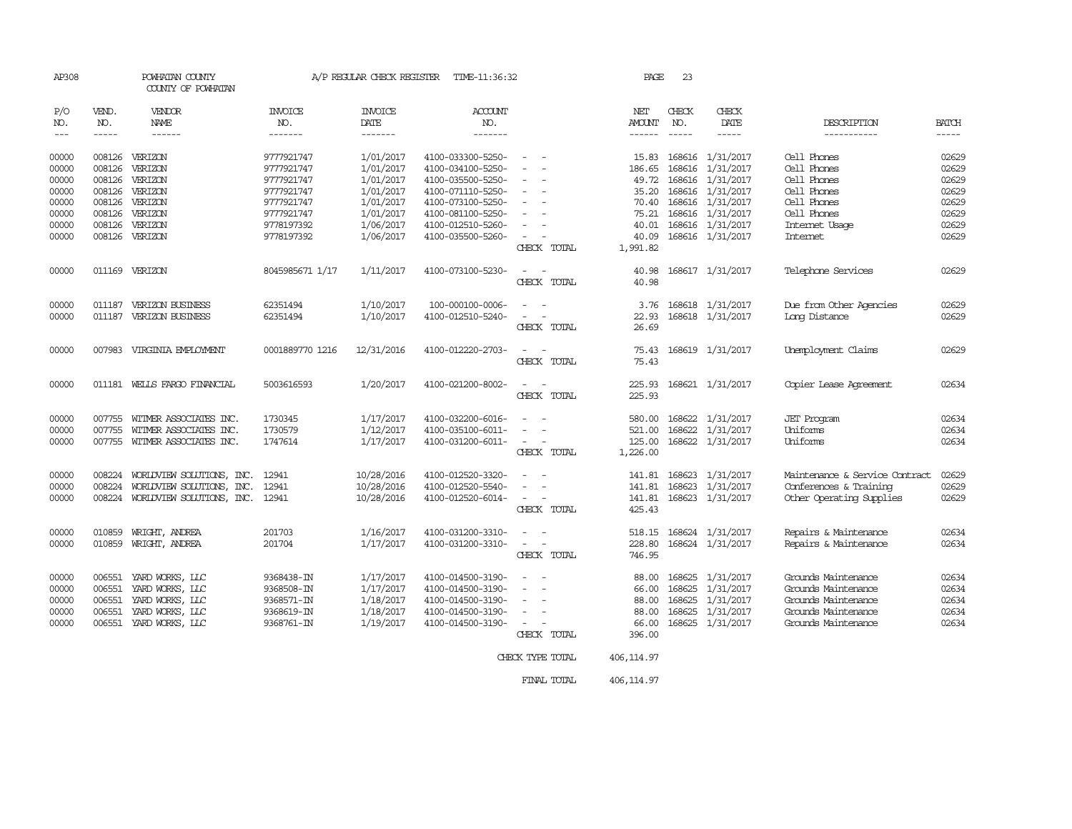| AP308 |                         | POWHATAN COUNTY<br>COUNTY OF POWHATAN |                 | A/P REGULAR CHECK REGISTER | TIME-11:36:32     |                                                      | PAGE          | 23            |                  |                                |              |
|-------|-------------------------|---------------------------------------|-----------------|----------------------------|-------------------|------------------------------------------------------|---------------|---------------|------------------|--------------------------------|--------------|
| P/O   | VEND.                   | VENDOR                                | <b>INVOICE</b>  | <b>INVOICE</b>             | ACCOUNT           |                                                      | NET           | CHECK         | CHECK            |                                |              |
| NO.   | NO.                     | NAME                                  | NO.             | DATE                       | NO.               |                                                      | <b>AMOUNT</b> | NO.           | DATE             | DESCRIPTION                    | <b>BATCH</b> |
| $---$ | $\qquad \qquad - - - -$ | ------                                | -------         | -------                    | -------           |                                                      | $- - - - - -$ | $\frac{1}{2}$ | -----            | -----------                    | $- - - - -$  |
| 00000 | 008126                  | VERIZON                               | 9777921747      | 1/01/2017                  | 4100-033300-5250- | $\overline{\phantom{a}}$                             | 15.83         | 168616        | 1/31/2017        | Cell Phones                    | 02629        |
| 00000 | 008126                  | VERIZON                               | 9777921747      | 1/01/2017                  | 4100-034100-5250- |                                                      | 186.65        | 168616        | 1/31/2017        | Cell Phones                    | 02629        |
| 00000 | 008126                  | VERIZON                               | 9777921747      | 1/01/2017                  | 4100-035500-5250- | $\overline{\phantom{a}}$                             | 49.72         | 168616        | 1/31/2017        | Cell Phones                    | 02629        |
| 00000 |                         | 008126 VERIZON                        | 9777921747      | 1/01/2017                  | 4100-071110-5250- |                                                      | 35.20         |               | 168616 1/31/2017 | Cell Phones                    | 02629        |
| 00000 |                         | 008126 VERIZON                        | 9777921747      | 1/01/2017                  | 4100-073100-5250- | $\overline{\phantom{a}}$<br>$\overline{\phantom{a}}$ | 70.40         |               | 168616 1/31/2017 | Cell Phones                    | 02629        |
| 00000 | 008126                  | VERIZON                               | 9777921747      | 1/01/2017                  | 4100-081100-5250- |                                                      | 75.21         | 168616        | 1/31/2017        | Cell Phones                    | 02629        |
| 00000 | 008126                  | VERIZON                               | 9778197392      | 1/06/2017                  | 4100-012510-5260- | $\overline{a}$                                       | 40.01         |               | 168616 1/31/2017 | Internet Usage                 | 02629        |
| 00000 |                         | 008126 VERIZON                        | 9778197392      | 1/06/2017                  | 4100-035500-5260- | $\sim$<br>$\overline{\phantom{a}}$                   | 40.09         |               | 168616 1/31/2017 | Internet                       | 02629        |
|       |                         |                                       |                 |                            |                   | CHECK TOTAL                                          | 1,991.82      |               |                  |                                |              |
| 00000 |                         | 011169 VERIZON                        | 8045985671 1/17 | 1/11/2017                  | 4100-073100-5230- | $\sim$                                               | 40.98         |               | 168617 1/31/2017 | Telephone Services             | 02629        |
|       |                         |                                       |                 |                            |                   | CHECK TOTAL                                          | 40.98         |               |                  |                                |              |
| 00000 |                         | 011187 VERIZON BUSINESS               | 62351494        | 1/10/2017                  | 100-000100-0006-  | $\overline{\phantom{a}}$                             | 3.76          |               | 168618 1/31/2017 | Due from Other Agencies        | 02629        |
| 00000 |                         | 011187 VERIZON BUSINESS               | 62351494        | 1/10/2017                  | 4100-012510-5240- |                                                      | 22.93         |               | 168618 1/31/2017 | Long Distance                  | 02629        |
|       |                         |                                       |                 |                            |                   | CHECK TOTAL                                          | 26.69         |               |                  |                                |              |
| 00000 |                         | 007983 VIRGINIA EMPLOYMENT            | 0001889770 1216 | 12/31/2016                 | 4100-012220-2703- |                                                      | 75.43         |               | 168619 1/31/2017 | Unemployment Claims            | 02629        |
|       |                         |                                       |                 |                            |                   | CHECK TOTAL                                          | 75.43         |               |                  |                                |              |
| 00000 |                         | 011181 WELLS FARGO FINANCIAL          | 5003616593      | 1/20/2017                  | 4100-021200-8002- | $\sim$                                               | 225.93        |               | 168621 1/31/2017 | Copier Lease Agreement         | 02634        |
|       |                         |                                       |                 |                            |                   | CHRCK TOTAL                                          | 225.93        |               |                  |                                |              |
| 00000 | 007755                  | WITMER ASSOCIATES INC.                | 1730345         | 1/17/2017                  | 4100-032200-6016- |                                                      | 580.00        | 168622        | 1/31/2017        | <b>JET</b> Program             | 02634        |
| 00000 | 007755                  | WITMER ASSOCIATES INC.                | 1730579         | 1/12/2017                  | 4100-035100-6011- |                                                      | 521.00        | 168622        | 1/31/2017        | Uniforms                       | 02634        |
| 00000 |                         | 007755 WITMER ASSOCIATES INC.         | 1747614         | 1/17/2017                  | 4100-031200-6011- | $\sim$                                               | 125.00        |               | 168622 1/31/2017 | Uniforms                       | 02634        |
|       |                         |                                       |                 |                            |                   | CHECK TOTAL                                          | 1,226.00      |               |                  |                                |              |
| 00000 | 008224                  | WORLDVIEW SOLUTIONS, INC.             | 12941           | 10/28/2016                 | 4100-012520-3320- |                                                      | 141.81        | 168623        | 1/31/2017        | Maintenance & Service Contract | 02629        |
| 00000 | 008224                  | WORLDVIEW SOLUTIONS, INC.             | 12941           | 10/28/2016                 | 4100-012520-5540- |                                                      | 141.81        | 168623        | 1/31/2017        | Conferences & Training         | 02629        |
| 00000 | 008224                  | WORLDVIEW SOLUTIONS, INC.             | 12941           | 10/28/2016                 | 4100-012520-6014- | $\overline{\phantom{a}}$                             | 141.81        | 168623        | 1/31/2017        | Other Operating Supplies       | 02629        |
|       |                         |                                       |                 |                            |                   | CHECK TOTAL                                          | 425.43        |               |                  |                                |              |
| 00000 | 010859                  | WRIGHT, ANDREA                        | 201703          | 1/16/2017                  | 4100-031200-3310- |                                                      | 518.15        |               | 168624 1/31/2017 | Repairs & Maintenance          | 02634        |
| 00000 | 010859                  | WRIGHT, ANDREA                        | 201704          | 1/17/2017                  | 4100-031200-3310- | $\sim$                                               | 228.80        |               | 168624 1/31/2017 | Repairs & Maintenance          | 02634        |
|       |                         |                                       |                 |                            |                   | CHECK TOTAL                                          | 746.95        |               |                  |                                |              |
| 00000 | 006551                  | YARD WORKS, LLC                       | 9368438-IN      | 1/17/2017                  | 4100-014500-3190- |                                                      | 88.00         | 168625        | 1/31/2017        | Grounds Maintenance            | 02634        |
| 00000 | 006551                  | YARD WORKS, LLC                       | 9368508-IN      | 1/17/2017                  | 4100-014500-3190- | $\overline{\phantom{a}}$                             | 66.00         | 168625        | 1/31/2017        | Grounds Maintenance            | 02634        |
| 00000 | 006551                  | YARD WORKS, LLC                       | 9368571-IN      | 1/18/2017                  | 4100-014500-3190- | $\sim$                                               | 88.00         | 168625        | 1/31/2017        | Grounds Maintenance            | 02634        |
| 00000 | 006551                  | YARD WORKS, LLC                       | 9368619-IN      | 1/18/2017                  | 4100-014500-3190- | $\overline{\phantom{a}}$                             | 88.00         | 168625        | 1/31/2017        | Grounds Maintenance            | 02634        |
| 00000 | 006551                  | YARD WORKS, LLC                       | 9368761-IN      | 1/19/2017                  | 4100-014500-3190- | $\sim$                                               | 66.00         |               | 168625 1/31/2017 | Grounds Maintenance            | 02634        |
|       |                         |                                       |                 |                            |                   | CHECK TOTAL                                          | 396.00        |               |                  |                                |              |
|       |                         |                                       |                 |                            |                   | CHECK TYPE TOTAL                                     | 406, 114.97   |               |                  |                                |              |

FINAL TOTAL 406,114.97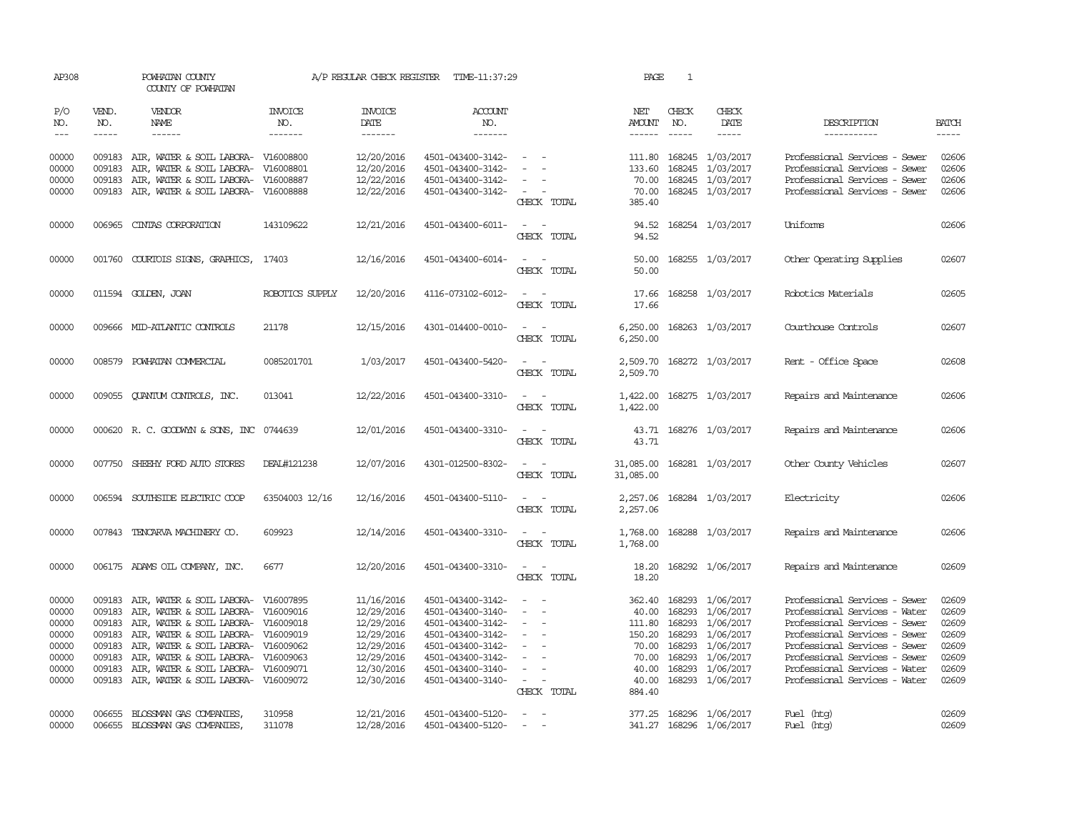| AP308                                                                |                                                                    | POWHATAN COUNTY<br>COUNTY OF POWHATAN                                                                                                                                                                                                                                                                             |                                  | A/P REGULAR CHECK REGISTER                                                                                   | TIME-11:37:29                                                                                                                                                        |                                                                                                                                                | PAGE                                                          | 1                                    |                                                                                                                                                |                                                                                                                                                                                                                                                                      |                                                                      |
|----------------------------------------------------------------------|--------------------------------------------------------------------|-------------------------------------------------------------------------------------------------------------------------------------------------------------------------------------------------------------------------------------------------------------------------------------------------------------------|----------------------------------|--------------------------------------------------------------------------------------------------------------|----------------------------------------------------------------------------------------------------------------------------------------------------------------------|------------------------------------------------------------------------------------------------------------------------------------------------|---------------------------------------------------------------|--------------------------------------|------------------------------------------------------------------------------------------------------------------------------------------------|----------------------------------------------------------------------------------------------------------------------------------------------------------------------------------------------------------------------------------------------------------------------|----------------------------------------------------------------------|
| P/O<br>NO.<br>$\frac{1}{2}$                                          | VEND.<br>NO.<br>-----                                              | VENDOR<br>NAME<br>$- - - - - -$                                                                                                                                                                                                                                                                                   | <b>INVOICE</b><br>NO.<br>------- | <b>INVOICE</b><br>DATE<br>-------                                                                            | <b>ACCOUNT</b><br>NO.<br>-------                                                                                                                                     |                                                                                                                                                | NET<br>AMOUNT<br>------                                       | CHECK<br>NO.<br>$\frac{1}{2}$        | CHECK<br>DATE                                                                                                                                  | DESCRIPTION<br>-----------                                                                                                                                                                                                                                           | <b>BATCH</b><br>-----                                                |
| 00000<br>00000<br>00000<br>00000                                     | 009183<br>009183<br>009183                                         | AIR, WATER & SOIL LABORA- V16008800<br>AIR, WATER & SOIL LABORA-<br>AIR, WATER & SOIL LABORA-<br>009183 AIR, WATER & SOIL LABORA- V16008888                                                                                                                                                                       | V16008801<br>V16008887           | 12/20/2016<br>12/20/2016<br>12/22/2016<br>12/22/2016                                                         | 4501-043400-3142-<br>4501-043400-3142-<br>4501-043400-3142-<br>4501-043400-3142-                                                                                     | $ -$<br>$\sim$<br>$\sim$<br>$\sim$                                                                                                             | 133.60<br>70.00                                               |                                      | 111.80 168245 1/03/2017<br>168245 1/03/2017<br>168245 1/03/2017<br>70.00 168245 1/03/2017                                                      | Professional Services - Sewer<br>Professional Services - Sewer<br>Professional Services - Sewer<br>Professional Services - Sewer                                                                                                                                     | 02606<br>02606<br>02606<br>02606                                     |
| 00000                                                                |                                                                    | 006965 CINTAS CORPORATION                                                                                                                                                                                                                                                                                         | 143109622                        | 12/21/2016                                                                                                   | 4501-043400-6011-                                                                                                                                                    | CHECK TOTAL<br>$\sim$ $ \sim$                                                                                                                  | 385.40                                                        |                                      | 94.52 168254 1/03/2017                                                                                                                         | Uniforms                                                                                                                                                                                                                                                             | 02606                                                                |
| 00000                                                                |                                                                    | 001760 COURTOIS SIGNS, GRAPHICS,                                                                                                                                                                                                                                                                                  | 17403                            | 12/16/2016                                                                                                   | 4501-043400-6014-                                                                                                                                                    | CHECK TOTAL<br>$\sim$ $ \sim$<br>CHECK TOTAL                                                                                                   | 94.52<br>50.00<br>50.00                                       |                                      | 168255 1/03/2017                                                                                                                               | Other Operating Supplies                                                                                                                                                                                                                                             | 02607                                                                |
| 00000                                                                |                                                                    | 011594 GOLDEN, JOAN                                                                                                                                                                                                                                                                                               | ROBOTICS SUPPLY                  | 12/20/2016                                                                                                   | 4116-073102-6012-                                                                                                                                                    | $\sim$ $ -$<br>CHECK TOTAL                                                                                                                     | 17.66<br>17.66                                                |                                      | 168258 1/03/2017                                                                                                                               | Robotics Materials                                                                                                                                                                                                                                                   | 02605                                                                |
| 00000                                                                |                                                                    | 009666 MID-ATLANTIC CONTROLS                                                                                                                                                                                                                                                                                      | 21178                            | 12/15/2016                                                                                                   | 4301-014400-0010-                                                                                                                                                    | $\sim$ $ -$<br>CHECK TOTAL                                                                                                                     | 6,250.00                                                      |                                      | 6,250.00 168263 1/03/2017                                                                                                                      | Courthouse Controls                                                                                                                                                                                                                                                  | 02607                                                                |
| 00000                                                                | 008579                                                             | POWHATAN COMMERCIAL                                                                                                                                                                                                                                                                                               | 0085201701                       | 1/03/2017                                                                                                    | 4501-043400-5420-                                                                                                                                                    | CHECK TOTAL                                                                                                                                    | 2,509.70<br>2,509.70                                          |                                      | 168272 1/03/2017                                                                                                                               | Rent - Office Space                                                                                                                                                                                                                                                  | 02608                                                                |
| 00000                                                                |                                                                    | 009055 QUANTUM CONTROLS, INC.                                                                                                                                                                                                                                                                                     | 013041                           | 12/22/2016                                                                                                   | 4501-043400-3310-                                                                                                                                                    | $\sim$ $ -$<br>CHECK TOTAL                                                                                                                     | 1,422.00<br>1,422.00                                          |                                      | 168275 1/03/2017                                                                                                                               | Repairs and Maintenance                                                                                                                                                                                                                                              | 02606                                                                |
| 00000                                                                |                                                                    | 000620 R.C. GOODWYN & SONS, INC 0744639                                                                                                                                                                                                                                                                           |                                  | 12/01/2016                                                                                                   | 4501-043400-3310-                                                                                                                                                    | $\sim$ $ \sim$<br>CHECK TOTAL                                                                                                                  | 43.71                                                         |                                      | 43.71 168276 1/03/2017                                                                                                                         | Repairs and Maintenance                                                                                                                                                                                                                                              | 02606                                                                |
| 00000                                                                |                                                                    | 007750 SHEEHY FORD AUTO STORES                                                                                                                                                                                                                                                                                    | DEAL#121238                      | 12/07/2016                                                                                                   | 4301-012500-8302-                                                                                                                                                    | $\sim$ $ \sim$<br>CHECK TOTAL                                                                                                                  | 31,085.00                                                     |                                      | 31,085.00 168281 1/03/2017                                                                                                                     | Other County Vehicles                                                                                                                                                                                                                                                | 02607                                                                |
| 00000                                                                |                                                                    | 006594 SOUTHSIDE ELECTRIC COOP                                                                                                                                                                                                                                                                                    | 63504003 12/16                   | 12/16/2016                                                                                                   | 4501-043400-5110-                                                                                                                                                    | $\sim$ $\sim$<br>CHECK TOTAL                                                                                                                   | 2,257.06                                                      |                                      | 2, 257.06 168284 1/03/2017                                                                                                                     | Electricity                                                                                                                                                                                                                                                          | 02606                                                                |
| 00000                                                                |                                                                    | 007843 TENCARVA MACHINERY CO.                                                                                                                                                                                                                                                                                     | 609923                           | 12/14/2016                                                                                                   | 4501-043400-3310-                                                                                                                                                    | $\sim$ $ -$<br>CHECK TOTAL                                                                                                                     | 1,768.00<br>1,768.00                                          |                                      | 168288 1/03/2017                                                                                                                               | Repairs and Maintenance                                                                                                                                                                                                                                              | 02606                                                                |
| 00000                                                                |                                                                    | 006175 ADAMS OIL COMPANY, INC.                                                                                                                                                                                                                                                                                    | 6677                             | 12/20/2016                                                                                                   | 4501-043400-3310-                                                                                                                                                    | $\sim$ $-$<br>CHECK TOTAL                                                                                                                      | 18.20<br>18.20                                                |                                      | 168292 1/06/2017                                                                                                                               | Repairs and Maintenance                                                                                                                                                                                                                                              | 02609                                                                |
| 00000<br>00000<br>00000<br>00000<br>00000<br>00000<br>00000<br>00000 | 009183<br>009183<br>009183<br>009183<br>009183<br>009183<br>009183 | AIR, WATER & SOIL LABORA-<br>AIR, WATER & SOIL LABORA- V16009016<br>AIR, WATER & SOIL LABORA- V16009018<br>AIR, WATER & SOIL LABORA- V16009019<br>AIR, WATER & SOIL LABORA- V16009062<br>AIR, WATER & SOIL LABORA- V16009063<br>AIR, WATER & SOIL LABORA- V16009071<br>009183 AIR, WATER & SOIL LABORA- V16009072 | V16007895                        | 11/16/2016<br>12/29/2016<br>12/29/2016<br>12/29/2016<br>12/29/2016<br>12/29/2016<br>12/30/2016<br>12/30/2016 | 4501-043400-3142-<br>4501-043400-3140-<br>4501-043400-3142-<br>4501-043400-3142-<br>4501-043400-3142-<br>4501-043400-3142-<br>4501-043400-3140-<br>4501-043400-3140- | $\sim$<br>$\equiv$<br>$\sim$<br>$\overline{\phantom{a}}$<br>$\overline{\phantom{a}}$<br>$\overline{\phantom{a}}$<br>$\sim$ $ -$<br>CHECK TOTAL | 40.00<br>150.20<br>70.00<br>70.00<br>40.00<br>40.00<br>884.40 | 168293<br>168293<br>168293<br>168293 | 362.40 168293 1/06/2017<br>1/06/2017<br>111.80 168293 1/06/2017<br>1/06/2017<br>1/06/2017<br>168293 1/06/2017<br>1/06/2017<br>168293 1/06/2017 | Professional Services - Sewer<br>Professional Services - Water<br>Professional Services - Sewer<br>Professional Services - Sewer<br>Professional Services - Sewer<br>Professional Services - Sewer<br>Professional Services - Water<br>Professional Services - Water | 02609<br>02609<br>02609<br>02609<br>02609<br>02609<br>02609<br>02609 |
| 00000<br>00000                                                       | 006655<br>006655                                                   | BLOSSMAN GAS COMPANIES,<br>BLOSSMAN GAS COMPANIES                                                                                                                                                                                                                                                                 | 310958<br>311078                 | 12/21/2016<br>12/28/2016                                                                                     | 4501-043400-5120-<br>4501-043400-5120-                                                                                                                               | $\sim$ $-$<br>$\sim$                                                                                                                           |                                                               |                                      | 377.25 168296 1/06/2017<br>341.27 168296 1/06/2017                                                                                             | Fuel (htg)<br>Fuel (htg)                                                                                                                                                                                                                                             | 02609<br>02609                                                       |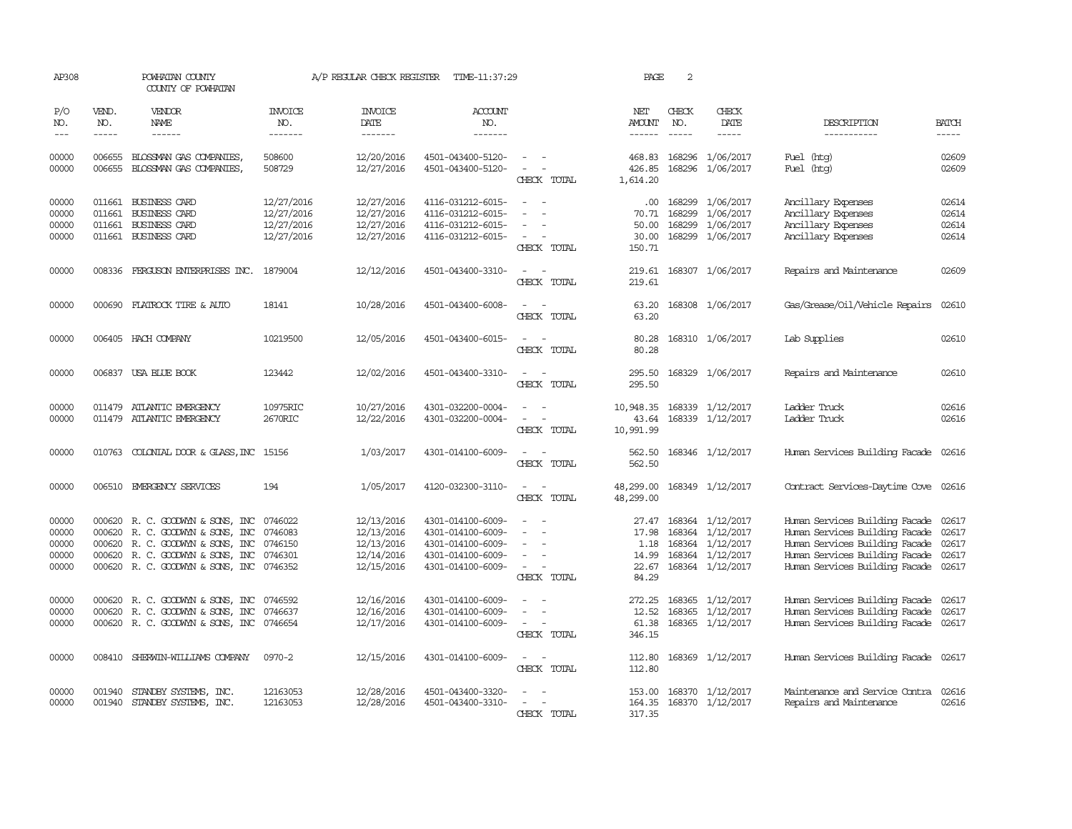| AP308                                     |                             | POWHATAN COUNTY<br>COUNTY OF POWHATAN                                                                                                                                    |                                                      | A/P REGULAR CHECK REGISTER                                         | TIME-11:37:29                                                                                         |                                                                     | PAGE                                              | $\overline{2}$              |                                                                                    |                                                                                                                                                                              |                                  |
|-------------------------------------------|-----------------------------|--------------------------------------------------------------------------------------------------------------------------------------------------------------------------|------------------------------------------------------|--------------------------------------------------------------------|-------------------------------------------------------------------------------------------------------|---------------------------------------------------------------------|---------------------------------------------------|-----------------------------|------------------------------------------------------------------------------------|------------------------------------------------------------------------------------------------------------------------------------------------------------------------------|----------------------------------|
| P/O<br>NO.<br>$---$                       | VEND.<br>NO.<br>$- - - - -$ | <b>VENDOR</b><br>NAME<br>$- - - - - -$                                                                                                                                   | <b>INVOICE</b><br>NO.<br>-------                     | <b>INVOICE</b><br>DATE<br>-------                                  | <b>ACCOUNT</b><br>NO.<br>-------                                                                      |                                                                     | NET<br>AMOUNT<br>$- - - - - -$                    | CHECK<br>NO.<br>$- - - - -$ | CHECK<br>DATE<br>-----                                                             | DESCRIPTION<br>-----------                                                                                                                                                   | <b>BATCH</b><br>$- - - - -$      |
| 00000<br>00000                            | 006655<br>006655            | BLOSSMAN GAS COMPANIES,<br>BLOSSMAN GAS COMPANIES,                                                                                                                       | 508600<br>508729                                     | 12/20/2016<br>12/27/2016                                           | 4501-043400-5120-<br>4501-043400-5120-                                                                | $\sim$<br>$\sim$<br>CHECK TOTAL                                     | 468.83<br>426.85<br>1,614.20                      | 168296                      | 1/06/2017<br>168296 1/06/2017                                                      | Fuel (htg)<br>Fuel (htg)                                                                                                                                                     | 02609<br>02609                   |
| 00000<br>00000<br>00000<br>00000          | 011661<br>011661            | 011661 BUSINESS CARD<br><b>BUSINESS CARD</b><br><b>BUSINESS CARD</b><br>011661 BUSINESS CARD                                                                             | 12/27/2016<br>12/27/2016<br>12/27/2016<br>12/27/2016 | 12/27/2016<br>12/27/2016<br>12/27/2016<br>12/27/2016               | 4116-031212-6015-<br>4116-031212-6015-<br>4116-031212-6015-<br>4116-031212-6015-                      | $\overline{\phantom{a}}$<br>CHECK TOTAL                             | .00.<br>70.71<br>50.00<br>30.00<br>150.71         | 168299<br>168299            | 168299 1/06/2017<br>1/06/2017<br>1/06/2017<br>168299 1/06/2017                     | Ancillary Expenses<br>Ancillary Expenses<br>Ancillary Expenses<br>Ancillary Expenses                                                                                         | 02614<br>02614<br>02614<br>02614 |
| 00000                                     |                             | 008336 FERGUSON ENTERPRISES INC.                                                                                                                                         | 1879004                                              | 12/12/2016                                                         | 4501-043400-3310-                                                                                     | $\overline{\phantom{a}}$<br>$\sim$<br>CHECK TOTAL                   | 219.61<br>219.61                                  |                             | 168307 1/06/2017                                                                   | Repairs and Maintenance                                                                                                                                                      | 02609                            |
| 00000                                     | 000690                      | FLATROCK TIRE & AUTO                                                                                                                                                     | 18141                                                | 10/28/2016                                                         | 4501-043400-6008-                                                                                     | $\overline{a}$<br>CHECK TOTAL                                       | 63.20<br>63.20                                    |                             | 168308 1/06/2017                                                                   | Gas/Grease/Oil/Vehicle Repairs                                                                                                                                               | 02610                            |
| 00000                                     |                             | 006405 HACH COMPANY                                                                                                                                                      | 10219500                                             | 12/05/2016                                                         | 4501-043400-6015-                                                                                     | $\equiv$<br>CHECK TOTAL                                             | 80.28<br>80.28                                    |                             | 168310 1/06/2017                                                                   | Lab Supplies                                                                                                                                                                 | 02610                            |
| 00000                                     |                             | 006837 USA BLUE BOOK                                                                                                                                                     | 123442                                               | 12/02/2016                                                         | 4501-043400-3310-                                                                                     | $ -$<br>CHECK TOTAL                                                 | 295.50<br>295.50                                  |                             | 168329 1/06/2017                                                                   | Repairs and Maintenance                                                                                                                                                      | 02610                            |
| 00000<br>00000                            | 011479                      | ATLANTIC EMERGENCY<br>011479 ATLANTIC EMERGENCY                                                                                                                          | 10975RIC<br>2670RIC                                  | 10/27/2016<br>12/22/2016                                           | 4301-032200-0004-<br>4301-032200-0004-                                                                | $\sim$<br>CHECK TOTAL                                               | 10,948.35<br>43.64<br>10,991.99                   |                             | 168339 1/12/2017<br>168339 1/12/2017                                               | Ladder Truck<br>Ladder Truck                                                                                                                                                 | 02616<br>02616                   |
| 00000                                     |                             | 010763 COLONIAL DOOR & GLASS, INC 15156                                                                                                                                  |                                                      | 1/03/2017                                                          | 4301-014100-6009-                                                                                     | CHECK TOTAL                                                         | 562.50<br>562.50                                  |                             | 168346 1/12/2017                                                                   | Human Services Building Facade 02616                                                                                                                                         |                                  |
| 00000                                     |                             | 006510 EMERGENCY SERVICES                                                                                                                                                | 194                                                  | 1/05/2017                                                          | 4120-032300-3110-                                                                                     | $\overline{\phantom{a}}$<br>$\overline{\phantom{a}}$<br>CHECK TOTAL | 48,299.00<br>48,299.00                            |                             | 168349 1/12/2017                                                                   | Contract Services-Daytime Cove 02616                                                                                                                                         |                                  |
| 00000<br>00000<br>00000<br>00000<br>00000 | 000620                      | 000620 R. C. GOODWYN & SONS, INC<br>R. C. GOODWYN & SONS, INC<br>000620 R.C. GOODWYN & SONS, INC<br>000620 R. C. GOODWYN & SONS, INC<br>000620 R. C. GOODWYN & SONS, INC | 0746022<br>0746083<br>0746150<br>0746301<br>0746352  | 12/13/2016<br>12/13/2016<br>12/13/2016<br>12/14/2016<br>12/15/2016 | 4301-014100-6009-<br>4301-014100-6009-<br>4301-014100-6009-<br>4301-014100-6009-<br>4301-014100-6009- | $\equiv$<br>$\sim$<br>CHECK TOTAL                                   | 27.47<br>17.98<br>1.18<br>14.99<br>22.67<br>84.29 | 168364<br>168364            | 168364 1/12/2017<br>1/12/2017<br>1/12/2017<br>168364 1/12/2017<br>168364 1/12/2017 | Human Services Building Facade<br>Human Services Building Facade<br>Human Services Building Facade<br>Human Services Building Facade<br>Human Services Building Facade 02617 | 02617<br>02617<br>02617<br>02617 |
| 00000<br>00000<br>00000                   |                             | 000620 R. C. GOODWYN & SONS, INC<br>000620 R. C. GOODWYN & SONS, INC<br>000620 R. C. GOODWYN & SONS, INC 0746654                                                         | 0746592<br>0746637                                   | 12/16/2016<br>12/16/2016<br>12/17/2016                             | 4301-014100-6009-<br>4301-014100-6009-<br>4301-014100-6009-                                           | $\sim$ $-$<br>CHECK TOTAL                                           | 272.25<br>12.52<br>61.38<br>346.15                | 168365<br>168365            | 1/12/2017<br>1/12/2017<br>168365 1/12/2017                                         | Human Services Building Facade<br>Human Services Building Facade<br>Human Services Building Facade 02617                                                                     | 02617<br>02617                   |
| 00000                                     |                             | 008410 SHERWIN-WILLIAMS COMPANY                                                                                                                                          | 0970-2                                               | 12/15/2016                                                         | 4301-014100-6009-                                                                                     | $\equiv$<br>$\sim$<br>CHECK TOTAL                                   | 112.80<br>112.80                                  |                             | 168369 1/12/2017                                                                   | Human Services Building Facade 02617                                                                                                                                         |                                  |
| 00000<br>00000                            | 001940                      | STANDBY SYSTEMS, INC.<br>001940 STANDBY SYSTEMS, INC.                                                                                                                    | 12163053<br>12163053                                 | 12/28/2016<br>12/28/2016                                           | 4501-043400-3320-<br>4501-043400-3310-                                                                | CHECK TOTAL                                                         | 153.00<br>164.35<br>317.35                        |                             | 168370 1/12/2017<br>168370 1/12/2017                                               | Maintenance and Service Contra<br>Repairs and Maintenance                                                                                                                    | 02616<br>02616                   |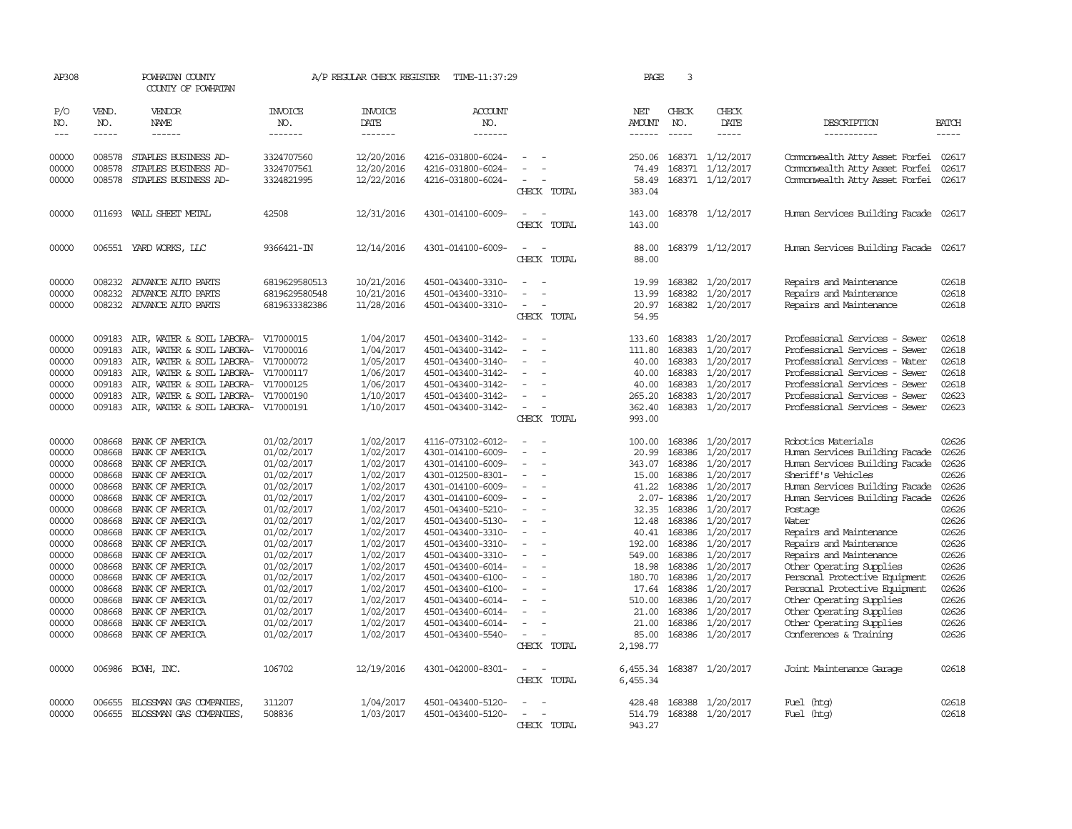| AP308          |                  | POWHATAN COUNTY<br>COUNTY OF POWHATAN      |                          | A/P REGULAR CHECK REGISTER | TIME-11:37:29                          |                          |             | PAGE            | 3                |                        |                                                     |                |
|----------------|------------------|--------------------------------------------|--------------------------|----------------------------|----------------------------------------|--------------------------|-------------|-----------------|------------------|------------------------|-----------------------------------------------------|----------------|
| P/O<br>NO.     | VEND.<br>NO.     | <b>VENDOR</b><br>NAME                      | <b>INVOICE</b><br>NO.    | <b>INVOICE</b><br>DATE     | <b>ACCOUNT</b><br>NO.                  |                          |             | NET<br>AMOUNT   | CHECK<br>NO.     | CHECK<br>DATE          | DESCRIPTION                                         | <b>BATCH</b>   |
| $---$          | $\frac{1}{2}$    | $- - - - - -$                              | -------                  | --------                   | -------                                |                          |             | ------          | $\frac{1}{2}$    | $\frac{1}{2}$          | -----------                                         | -----          |
| 00000          | 008578           | STAPLES BUSINESS AD-                       | 3324707560               | 12/20/2016                 | 4216-031800-6024-                      |                          |             | 250.06          |                  | 168371 1/12/2017       | Commonwealth Atty Asset Forfei                      | 02617          |
| 00000          | 008578           | STAPLES BUSINESS AD-                       | 3324707561               | 12/20/2016                 | 4216-031800-6024-                      |                          |             | 74.49           |                  | 168371 1/12/2017       | Commonwealth Atty Asset Forfei                      | 02617          |
| 00000          | 008578           | STAPLES BUSINESS AD-                       | 3324821995               | 12/22/2016                 | 4216-031800-6024-                      |                          |             | 58.49           |                  | 168371 1/12/2017       | Commonwealth Atty Asset Forfei                      | 02617          |
|                |                  |                                            |                          |                            |                                        |                          | CHECK TOTAL | 383.04          |                  |                        |                                                     |                |
| 00000          |                  | 011693 WALL SHEET METAL                    | 42508                    | 12/31/2016                 | 4301-014100-6009-                      |                          |             | 143.00          |                  | 168378 1/12/2017       | Human Services Building Facade 02617                |                |
|                |                  |                                            |                          |                            |                                        |                          | CHECK TOTAL | 143.00          |                  |                        |                                                     |                |
| 00000          |                  | 006551 YARD WORKS, LLC                     | 9366421-IN               | 12/14/2016                 | 4301-014100-6009-                      |                          |             | 88.00           |                  | 168379 1/12/2017       | Human Services Building Facade 02617                |                |
|                |                  |                                            |                          |                            |                                        |                          | CHECK TOTAL | 88.00           |                  |                        |                                                     |                |
| 00000          | 008232           | ADVANCE AUTO PARTS                         | 6819629580513            | 10/21/2016                 | 4501-043400-3310-                      |                          |             | 19.99           |                  | 168382 1/20/2017       | Repairs and Maintenance                             | 02618          |
| 00000          | 008232           | ADVANCE AUTO PARTS                         | 6819629580548            | 10/21/2016                 | 4501-043400-3310-                      |                          |             | 13.99           |                  | 168382 1/20/2017       | Repairs and Maintenance                             | 02618          |
| 00000          |                  | 008232 ADVANCE AUTO PARTS                  | 6819633382386            | 11/28/2016                 | 4501-043400-3310-                      | $\sim$                   |             | 20.97           |                  | 168382 1/20/2017       | Repairs and Maintenance                             | 02618          |
|                |                  |                                            |                          |                            |                                        | CHECK TOTAL              |             | 54.95           |                  |                        |                                                     |                |
| 00000          | 009183           | AIR, WATER & SOIL LABORA-                  | V17000015                | 1/04/2017                  | 4501-043400-3142-                      |                          |             | 133.60          |                  | 168383 1/20/2017       | Professional Services - Sewer                       | 02618          |
| 00000          | 009183           | AIR, WATER & SOIL LABORA-                  | V17000016                | 1/04/2017                  | 4501-043400-3142-                      | $\equiv$                 |             | 111.80          | 168383           | 1/20/2017              | Professional Services - Sewer                       | 02618          |
| 00000          | 009183           | AIR, WATER & SOIL LABORA- V17000072        |                          | 1/05/2017                  | 4501-043400-3140-                      |                          |             | 40.00           | 168383           | 1/20/2017              | Professional Services - Water                       | 02618          |
| 00000          | 009183           | AIR, WATER & SOIL LABORA- V17000117        |                          | 1/06/2017                  | 4501-043400-3142-                      |                          |             | 40.00           | 168383           | 1/20/2017              | Professional Services - Sewer                       | 02618          |
| 00000          | 009183           | AIR, WATER & SOIL LABORA- V17000125        |                          | 1/06/2017                  | 4501-043400-3142-                      | $\equiv$                 |             | 40.00           |                  | 168383 1/20/2017       | Professional Services - Sewer                       | 02618          |
| 00000          | 009183           | AIR, WATER & SOIL LABORA-                  | V17000190                | 1/10/2017                  | 4501-043400-3142-                      |                          |             | 265.20          | 168383           | 1/20/2017              | Professional Services - Sewer                       | 02623          |
| 00000          |                  | 009183 AIR, WATER & SOIL LABORA- V17000191 |                          | 1/10/2017                  | 4501-043400-3142-                      | $\equiv$                 |             | 362.40          |                  | 168383 1/20/2017       | Professional Services - Sewer                       | 02623          |
|                |                  |                                            |                          |                            |                                        |                          | CHECK TOTAL | 993.00          |                  |                        |                                                     |                |
| 00000          | 008668           | BANK OF AMERICA                            | 01/02/2017               | 1/02/2017                  | 4116-073102-6012-                      |                          |             | 100.00          |                  | 168386 1/20/2017       | Robotics Materials                                  | 02626          |
| 00000          | 008668           | BANK OF AMERICA                            | 01/02/2017               | 1/02/2017                  | 4301-014100-6009-                      |                          |             | 20.99           | 168386           | 1/20/2017              | Human Services Building Facade                      | 02626          |
| 00000          | 008668           | BANK OF AMERICA                            | 01/02/2017               | 1/02/2017                  | 4301-014100-6009-                      | $\overline{\phantom{a}}$ |             | 343.07          |                  | 168386 1/20/2017       | Human Services Building Facade                      | 02626          |
| 00000          | 008668           | BANK OF AMERICA                            | 01/02/2017               | 1/02/2017                  | 4301-012500-8301-                      | $\overline{\phantom{a}}$ |             | 15.00           | 168386           | 1/20/2017              | Sheriff's Vehicles                                  | 02626          |
| 00000          | 008668           | BANK OF AMERICA                            | 01/02/2017               | 1/02/2017                  | 4301-014100-6009-                      |                          |             | 41.22           | 168386           | 1/20/2017              | Human Services Building Facade                      | 02626          |
| 00000          | 008668           | BANK OF AMERICA                            | 01/02/2017               | 1/02/2017                  | 4301-014100-6009-                      | $\equiv$                 |             |                 | 2.07-168386      | 1/20/2017              | Human Services Building Facade                      | 02626          |
| 00000          | 008668           | BANK OF AMERICA                            | 01/02/2017               | 1/02/2017                  | 4501-043400-5210-                      | $\equiv$                 |             | 32.35           | 168386           | 1/20/2017              | Postage                                             | 02626          |
| 00000          | 008668           | BANK OF AMERICA                            | 01/02/2017               | 1/02/2017                  | 4501-043400-5130-                      |                          |             | 12.48           |                  | 168386 1/20/2017       | Water                                               | 02626          |
| 00000          | 008668           | BANK OF AMERICA                            | 01/02/2017               | 1/02/2017                  | 4501-043400-3310-                      |                          |             | 40.41           |                  | 168386 1/20/2017       | Repairs and Maintenance                             | 02626          |
| 00000          | 008668           | BANK OF AMERICA                            | 01/02/2017               | 1/02/2017                  | 4501-043400-3310-                      | $\overline{\phantom{a}}$ |             | 192.00          |                  | 168386 1/20/2017       | Repairs and Maintenance                             | 02626<br>02626 |
| 00000<br>00000 | 008668<br>008668 | BANK OF AMERICA<br>BANK OF AMERICA         | 01/02/2017<br>01/02/2017 | 1/02/2017<br>1/02/2017     | 4501-043400-3310-<br>4501-043400-6014- |                          |             | 549.00<br>18.98 | 168386<br>168386 | 1/20/2017<br>1/20/2017 | Repairs and Maintenance<br>Other Operating Supplies | 02626          |
| 00000          | 008668           | BANK OF AMERICA                            | 01/02/2017               | 1/02/2017                  | 4501-043400-6100-                      | $\equiv$                 |             | 180.70          | 168386           | 1/20/2017              | Personal Protective Equipment                       | 02626          |
| 00000          | 008668           | BANK OF AMERICA                            | 01/02/2017               | 1/02/2017                  | 4501-043400-6100-                      |                          |             | 17.64           | 168386           | 1/20/2017              | Personal Protective Equipment                       | 02626          |
| 00000          | 008668           | BANK OF AMERICA                            | 01/02/2017               | 1/02/2017                  | 4501-043400-6014-                      |                          |             | 510.00          | 168386           | 1/20/2017              | Other Operating Supplies                            | 02626          |
| 00000          | 008668           | BANK OF AMERICA                            | 01/02/2017               | 1/02/2017                  | 4501-043400-6014-                      |                          |             | 21.00           | 168386           | 1/20/2017              | Other Operating Supplies                            | 02626          |
| 00000          | 008668           | BANK OF AMERICA                            | 01/02/2017               | 1/02/2017                  | 4501-043400-6014-                      |                          |             | 21.00           | 168386           | 1/20/2017              | Other Operating Supplies                            | 02626          |
| 00000          | 008668           | BANK OF AMERICA                            | 01/02/2017               | 1/02/2017                  | 4501-043400-5540-                      | $\sim$                   |             | 85.00           |                  | 168386 1/20/2017       | Conferences & Training                              | 02626          |
|                |                  |                                            |                          |                            |                                        |                          | CHECK TOTAL | 2,198.77        |                  |                        |                                                     |                |
| 00000          | 006986           | BCWH, INC.                                 | 106702                   | 12/19/2016                 | 4301-042000-8301-                      |                          |             | 6,455.34        |                  | 168387 1/20/2017       | Joint Maintenance Garage                            | 02618          |
|                |                  |                                            |                          |                            |                                        |                          | CHECK TOTAL | 6,455.34        |                  |                        |                                                     |                |
| 00000          | 006655           | BLOSSMAN GAS COMPANIES                     | 311207                   | 1/04/2017                  | 4501-043400-5120-                      |                          |             | 428.48          |                  | 168388 1/20/2017       | Fuel (htg)                                          | 02618          |
| 00000          |                  | 006655 BLOSSMAN GAS COMPANIES,             | 508836                   | 1/03/2017                  | 4501-043400-5120-                      |                          |             | 514.79          |                  | 168388 1/20/2017       | Fuel (htg)                                          | 02618          |
|                |                  |                                            |                          |                            |                                        |                          | CHECK TOTAL | 943.27          |                  |                        |                                                     |                |
|                |                  |                                            |                          |                            |                                        |                          |             |                 |                  |                        |                                                     |                |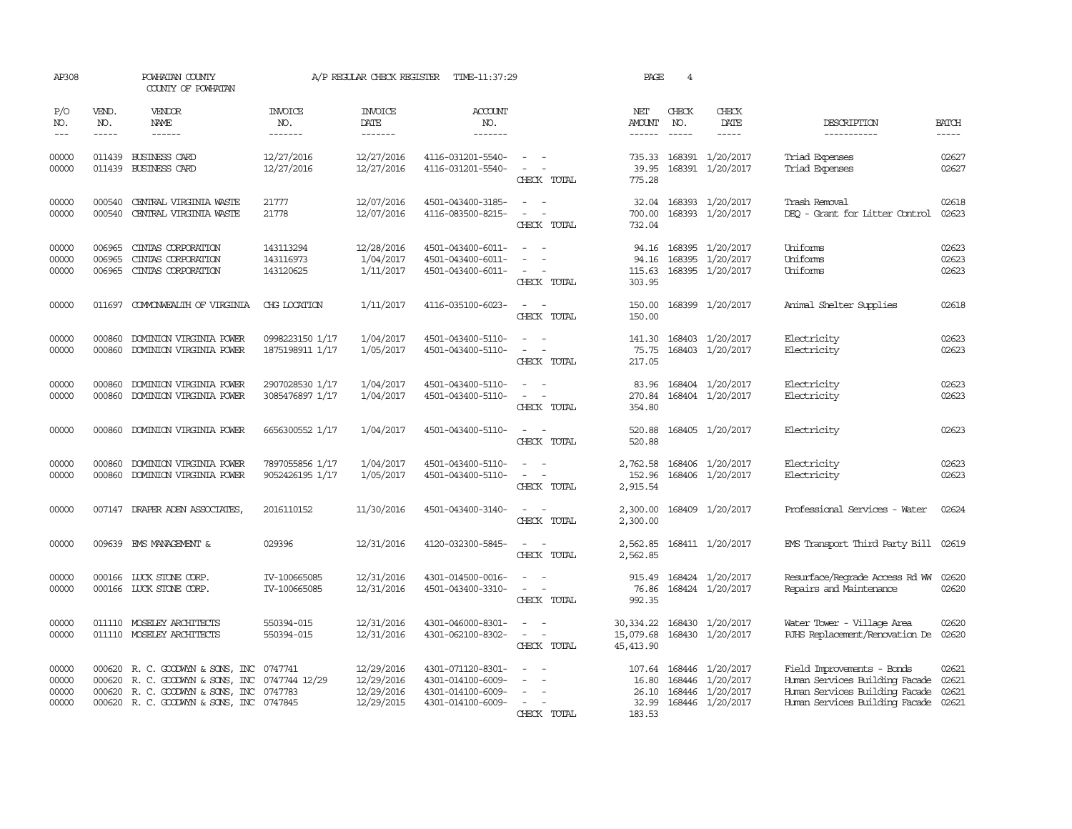| AP308                            |                             | POWHATAN COUNTY<br>COUNTY OF POWHATAN                                                                                           |                                     | A/P REGULAR CHECK REGISTER                           | TIME-11:37:29                                                                    |                                                                     | PAGE                                        | 4                             |                                                                              |                                                                                                                                        |                             |
|----------------------------------|-----------------------------|---------------------------------------------------------------------------------------------------------------------------------|-------------------------------------|------------------------------------------------------|----------------------------------------------------------------------------------|---------------------------------------------------------------------|---------------------------------------------|-------------------------------|------------------------------------------------------------------------------|----------------------------------------------------------------------------------------------------------------------------------------|-----------------------------|
| P/O<br>NO.<br>$--$               | VEND.<br>NO.<br>$- - - - -$ | <b>VENDOR</b><br>NAME<br>$- - - - - -$                                                                                          | <b>INVOICE</b><br>NO.<br>-------    | <b>INVOICE</b><br>DATE<br>-------                    | <b>ACCOUNT</b><br>NO.<br>-------                                                 |                                                                     | NET<br>AMOUNT                               | CHECK<br>NO.<br>$\frac{1}{2}$ | CHECK<br>DATE<br>-----                                                       | DESCRIPTION<br>-----------                                                                                                             | <b>BATCH</b><br>$- - - - -$ |
| 00000<br>00000                   |                             | 011439 BUSINESS CARD<br>011439 BUSINESS CARD                                                                                    | 12/27/2016<br>12/27/2016            | 12/27/2016<br>12/27/2016                             | 4116-031201-5540-<br>4116-031201-5540-                                           | $\sim$<br>$\sim$<br>CHECK TOTAL                                     | 735.33<br>39.95<br>775.28                   |                               | 168391 1/20/2017<br>168391 1/20/2017                                         | Triad Expenses<br>Triad Expenses                                                                                                       | 02627<br>02627              |
| 00000<br>00000                   | 000540<br>000540            | CENTRAL VIRGINIA WASTE<br>CENTRAL VIRGINIA WASTE                                                                                | 21777<br>21778                      | 12/07/2016<br>12/07/2016                             | 4501-043400-3185-<br>4116-083500-8215-                                           | CHECK TOTAL                                                         | 32.04<br>700.00<br>732.04                   |                               | 168393 1/20/2017<br>168393 1/20/2017                                         | Trash Removal<br>DEQ - Grant for Litter Control                                                                                        | 02618<br>02623              |
| 00000<br>00000<br>00000          | 006965<br>006965<br>006965  | CINIAS CORPORATION<br>CINIAS CORPORATION<br>CINIAS CORPORATION                                                                  | 143113294<br>143116973<br>143120625 | 12/28/2016<br>1/04/2017<br>1/11/2017                 | 4501-043400-6011-<br>4501-043400-6011-<br>4501-043400-6011-                      | $\overline{\phantom{a}}$<br>$\overline{\phantom{a}}$<br>CHECK TOTAL | 94.16<br>94.16<br>115.63<br>303.95          |                               | 168395 1/20/2017<br>168395 1/20/2017<br>168395 1/20/2017                     | <b>Uniforms</b><br>Uniforms<br>Uniforms                                                                                                | 02623<br>02623<br>02623     |
| 00000                            | 011697                      | COMONWEALTH OF VIRGINIA                                                                                                         | CHG LOCATION                        | 1/11/2017                                            | 4116-035100-6023-                                                                | CHECK TOTAL                                                         | 150.00<br>150.00                            |                               | 168399 1/20/2017                                                             | Animal Shelter Supplies                                                                                                                | 02618                       |
| 00000<br>00000                   | 000860<br>000860            | DOMINION VIRGINIA POWER<br>DOMINION VIRGINIA POWER                                                                              | 0998223150 1/17<br>1875198911 1/17  | 1/04/2017<br>1/05/2017                               | 4501-043400-5110-<br>4501-043400-5110-                                           | $\overline{\phantom{a}}$<br>CHECK TOTAL                             | 141.30<br>75.75<br>217.05                   | 168403                        | 1/20/2017<br>168403 1/20/2017                                                | Electricity<br>Electricity                                                                                                             | 02623<br>02623              |
| 00000<br>00000                   | 000860<br>000860            | DOMINION VIRGINIA POWER<br>DOMINION VIRGINIA POWER                                                                              | 2907028530 1/17<br>3085476897 1/17  | 1/04/2017<br>1/04/2017                               | 4501-043400-5110-<br>4501-043400-5110-                                           | CHECK TOTAL                                                         | 83.96<br>270.84<br>354.80                   |                               | 168404 1/20/2017<br>168404 1/20/2017                                         | Electricity<br>Electricity                                                                                                             | 02623<br>02623              |
| 00000                            | 000860                      | DOMINION VIRGINIA POWER                                                                                                         | 6656300552 1/17                     | 1/04/2017                                            | 4501-043400-5110-                                                                | $\sim$ $\sim$<br>CHECK TOTAL                                        | 520.88<br>520.88                            |                               | 168405 1/20/2017                                                             | Electricity                                                                                                                            | 02623                       |
| 00000<br>00000                   | 000860<br>000860            | DOMINION VIRGINIA POWER<br>DOMINION VIRGINIA POWER                                                                              | 7897055856 1/17<br>9052426195 1/17  | 1/04/2017<br>1/05/2017                               | 4501-043400-5110-<br>4501-043400-5110-                                           | CHECK TOTAL                                                         | 2,762.58<br>152.96<br>2,915.54              |                               | 168406 1/20/2017<br>168406 1/20/2017                                         | Electricity<br>Electricity                                                                                                             | 02623<br>02623              |
| 00000                            |                             | 007147 DRAPER ADEN ASSOCIATES,                                                                                                  | 2016110152                          | 11/30/2016                                           | 4501-043400-3140-                                                                | CHECK TOTAL                                                         | 2,300.00<br>2,300.00                        |                               | 168409 1/20/2017                                                             | Professional Services - Water                                                                                                          | 02624                       |
| 00000                            | 009639                      | EMS MANAGEMENT &                                                                                                                | 029396                              | 12/31/2016                                           | 4120-032300-5845-                                                                | CHECK TOTAL                                                         | 2,562.85<br>2,562.85                        |                               | 168411 1/20/2017                                                             | EMS Transport Third Party Bill                                                                                                         | 02619                       |
| 00000<br>00000                   | 000166                      | LUCK STONE CORP.<br>000166 LUCK STONE CORP.                                                                                     | IV-100665085<br>IV-100665085        | 12/31/2016<br>12/31/2016                             | 4301-014500-0016-<br>4501-043400-3310-                                           | $\sim$<br>$\overline{\phantom{a}}$<br>CHECK TOTAL                   | 915.49<br>76.86<br>992.35                   |                               | 168424 1/20/2017<br>168424 1/20/2017                                         | Resurface/Regrade Access Rd WW<br>Repairs and Maintenance                                                                              | 02620<br>02620              |
| 00000<br>00000                   |                             | 011110 MOSELEY ARCHITECTS<br>011110 MOSELEY ARCHITECTS                                                                          | 550394-015<br>550394-015            | 12/31/2016<br>12/31/2016                             | 4301-046000-8301-<br>4301-062100-8302-                                           | $\equiv$<br>CHECK TOTAL                                             | 30, 334.22<br>15,079.68<br>45, 413.90       |                               | 168430 1/20/2017<br>168430 1/20/2017                                         | Water Tower - Village Area<br>RJHS Replacement/Renovation De                                                                           | 02620<br>02620              |
| 00000<br>00000<br>00000<br>00000 | 000620<br>000620<br>000620  | R. C. GOODWYN & SONS, INC<br>R. C. GOODWYN & SONS, INC<br>R. C. GOODWYN & SONS, INC<br>000620 R. C. GOODWYN & SONS, INC 0747845 | 0747741<br>0747744 12/29<br>0747783 | 12/29/2016<br>12/29/2016<br>12/29/2016<br>12/29/2015 | 4301-071120-8301-<br>4301-014100-6009-<br>4301-014100-6009-<br>4301-014100-6009- | $\overline{\phantom{a}}$<br>CHECK TOTAL                             | 107.64<br>16.80<br>26.10<br>32.99<br>183.53 |                               | 168446 1/20/2017<br>168446 1/20/2017<br>168446 1/20/2017<br>168446 1/20/2017 | Field Improvements - Bonds<br>Human Services Building Facade<br>Human Services Building Facade<br>Human Services Building Facade 02621 | 02621<br>02621<br>02621     |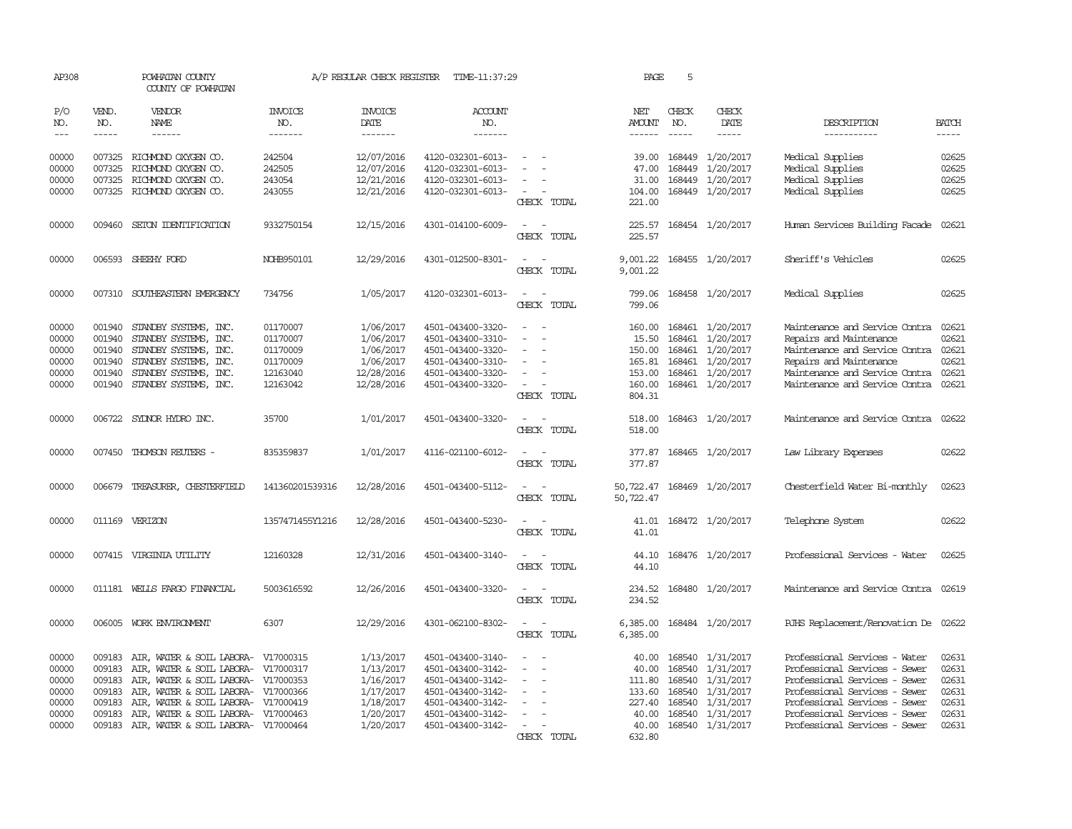| AP308          |                  | POWHATAN COUNTY<br>COUNTY OF POWHATAN             |                       | A/P REGULAR CHECK REGISTER | TIME-11:37:29                          |                                                                | PAGE                   | 5                |                               |                                                           |                |
|----------------|------------------|---------------------------------------------------|-----------------------|----------------------------|----------------------------------------|----------------------------------------------------------------|------------------------|------------------|-------------------------------|-----------------------------------------------------------|----------------|
| P/O<br>NO.     | VEND.<br>NO.     | <b>VENDOR</b><br><b>NAME</b>                      | <b>INVOICE</b><br>NO. | <b>INVOICE</b><br>DATE     | <b>ACCOUNT</b><br>NO.                  |                                                                | NET<br>AMOUNT          | CHECK<br>NO.     | CHECK<br>DATE                 | DESCRIPTION                                               | <b>BATCH</b>   |
| $\frac{1}{2}$  | $- - - - -$      | ------                                            | -------               | -------                    | -------                                |                                                                | ------                 | $- - - - -$      | -----                         | -----------                                               | $- - - - -$    |
| 00000<br>00000 | 007325           | 007325 RICHMOND OXYGEN CO.<br>RICHMOND OXYGEN CO. | 242504<br>242505      | 12/07/2016<br>12/07/2016   | 4120-032301-6013-<br>4120-032301-6013- |                                                                | 39.00<br>47.00         | 168449<br>168449 | 1/20/2017<br>1/20/2017        | Medical Supplies<br>Medical Supplies                      | 02625<br>02625 |
| 00000          | 007325           | RICHMOND OXYGEN CO.                               | 243054                | 12/21/2016                 | 4120-032301-6013-                      |                                                                | 31.00                  | 168449           | 1/20/2017                     | Medical Supplies                                          | 02625          |
| 00000          |                  | 007325 RICHMOND OXYGEN CO.                        | 243055                | 12/21/2016                 | 4120-032301-6013-                      | CHECK TOTAL                                                    | 104.00<br>221.00       |                  | 168449 1/20/2017              | Medical Supplies                                          | 02625          |
| 00000          | 009460           | SETON IDENTIFICATION                              | 9332750154            | 12/15/2016                 | 4301-014100-6009-                      | $\sim$<br>$\sim$<br>CHECK TOTAL                                | 225.57<br>225.57       |                  | 168454 1/20/2017              | Human Services Building Facade                            | 02621          |
| 00000          |                  | 006593 SHEEHY FORD                                | NOHB950101            | 12/29/2016                 | 4301-012500-8301-                      | CHECK TOTAL                                                    | 9,001.22               |                  | 9,001.22 168455 1/20/2017     | Sheriff's Vehicles                                        | 02625          |
| 00000          | 007310           | SOUTHEASTERN EMERGENCY                            | 734756                | 1/05/2017                  | 4120-032301-6013-                      | . —<br>CHECK TOTAL                                             | 799.06<br>799.06       |                  | 168458 1/20/2017              | Medical Supplies                                          | 02625          |
| 00000<br>00000 | 001940<br>001940 | STANDBY SYSTEMS, INC.<br>STANDBY SYSTEMS, INC.    | 01170007<br>01170007  | 1/06/2017<br>1/06/2017     | 4501-043400-3320-<br>4501-043400-3310- | $\overline{\phantom{a}}$<br>$\sim$<br>$\overline{\phantom{a}}$ | 160.00<br>15.50        | 168461           | 168461 1/20/2017<br>1/20/2017 | Maintenance and Service Contra<br>Repairs and Maintenance | 02621<br>02621 |
| 00000          | 001940           | STANDBY SYSTEMS, INC.                             | 01170009              | 1/06/2017                  | 4501-043400-3320-                      |                                                                | 150.00                 |                  | 168461 1/20/2017              | Maintenance and Service Contra                            | 02621          |
| 00000          | 001940           | STANDBY SYSTEMS, INC.                             | 01170009              | 1/06/2017                  | 4501-043400-3310-                      |                                                                | 165.81                 | 168461           | 1/20/2017                     | Repairs and Maintenance                                   | 02621          |
| 00000          | 001940           | STANDBY SYSTEMS, INC.                             | 12163040              | 12/28/2016                 | 4501-043400-3320-                      |                                                                | 153.00                 | 168461           | 1/20/2017                     | Maintenance and Service Contra                            | 02621          |
| 00000          |                  | 001940 STANDBY SYSTEMS, INC.                      | 12163042              | 12/28/2016                 | 4501-043400-3320-                      | CHECK TOTAL                                                    | 160.00<br>804.31       |                  | 168461 1/20/2017              | Maintenance and Service Contra                            | 02621          |
| 00000          |                  | 006722 SYDNOR HYDRO INC.                          | 35700                 | 1/01/2017                  | 4501-043400-3320-                      | CHECK TOTAL                                                    | 518.00<br>518.00       |                  | 168463 1/20/2017              | Maintenance and Service Contra                            | 02622          |
| 00000          |                  | 007450 THOMSON REUTERS -                          | 835359837             | 1/01/2017                  | 4116-021100-6012-                      | CHECK TOTAL                                                    | 377.87<br>377.87       |                  | 168465 1/20/2017              | Law Library Expenses                                      | 02622          |
| 00000          | 006679           | TREASURER, CHESTERFIELD                           | 141360201539316       | 12/28/2016                 | 4501-043400-5112-                      | CHECK TOTAL                                                    | 50,722.47<br>50,722.47 |                  | 168469 1/20/2017              | Chesterfield Water Bi-monthly                             | 02623          |
| 00000          |                  | 011169 VERIZON                                    | 1357471455Y1216       | 12/28/2016                 | 4501-043400-5230-                      | CHECK TOTAL                                                    | 41.01<br>41.01         |                  | 168472 1/20/2017              | Telephone System                                          | 02622          |
| 00000          |                  | 007415 VIRGINIA UTILITY                           | 12160328              | 12/31/2016                 | 4501-043400-3140-                      | CHECK TOTAL                                                    | 44.10<br>44.10         |                  | 168476 1/20/2017              | Professional Services - Water                             | 02625          |
| 00000          | 011181           | WELLS FARGO FINANCIAL                             | 5003616592            | 12/26/2016                 | 4501-043400-3320-                      | CHECK TOTAL                                                    | 234.52<br>234.52       |                  | 168480 1/20/2017              | Maintenance and Service Contra 02619                      |                |
| 00000          |                  | 006005 WORK ENVIRONMENT                           | 6307                  | 12/29/2016                 | 4301-062100-8302-                      | CHECK TOTAL                                                    | 6,385.00<br>6,385.00   |                  | 168484 1/20/2017              | RJHS Replacement/Renovation De 02622                      |                |
| 00000          |                  | 009183 AIR, WATER & SOIL LABORA- V17000315        |                       | 1/13/2017                  | 4501-043400-3140-                      | $\overline{\phantom{a}}$                                       | 40.00                  |                  | 168540 1/31/2017              | Professional Services - Water                             | 02631          |
| 00000          | 009183           | AIR, WATER & SOIL LABORA- V17000317               |                       | 1/13/2017                  | 4501-043400-3142-                      |                                                                | 40.00                  | 168540           | 1/31/2017                     | Professional Services - Sewer                             | 02631          |
| 00000          | 009183           | AIR, WATER & SOIL LABORA- V17000353               |                       | 1/16/2017                  | 4501-043400-3142-                      |                                                                | 111.80                 | 168540           | 1/31/2017                     | Professional Services - Sewer                             | 02631          |
| 00000          | 009183           | AIR, WATER & SOIL LABORA- V17000366               |                       | 1/17/2017                  | 4501-043400-3142-                      |                                                                | 133.60                 | 168540           | 1/31/2017                     | Professional Services - Sewer                             | 02631          |
| 00000          | 009183           | AIR, WATER & SOIL LABORA- V17000419               |                       | 1/18/2017                  | 4501-043400-3142-                      |                                                                | 227.40                 | 168540           | 1/31/2017                     | Professional Services - Sewer                             | 02631          |
| 00000          | 009183           | AIR, WATER & SOIL LABORA- V17000463               |                       | 1/20/2017                  | 4501-043400-3142-                      |                                                                | 40.00                  | 168540           | 1/31/2017                     | Professional Services - Sewer                             | 02631          |
| 00000          |                  | 009183 AIR, WATER & SOIL LABORA- V17000464        |                       | 1/20/2017                  | 4501-043400-3142-                      |                                                                | 40.00                  |                  | 168540 1/31/2017              | Professional Services - Sewer                             | 02631          |
|                |                  |                                                   |                       |                            |                                        | CHECK TOTAL                                                    | 632.80                 |                  |                               |                                                           |                |